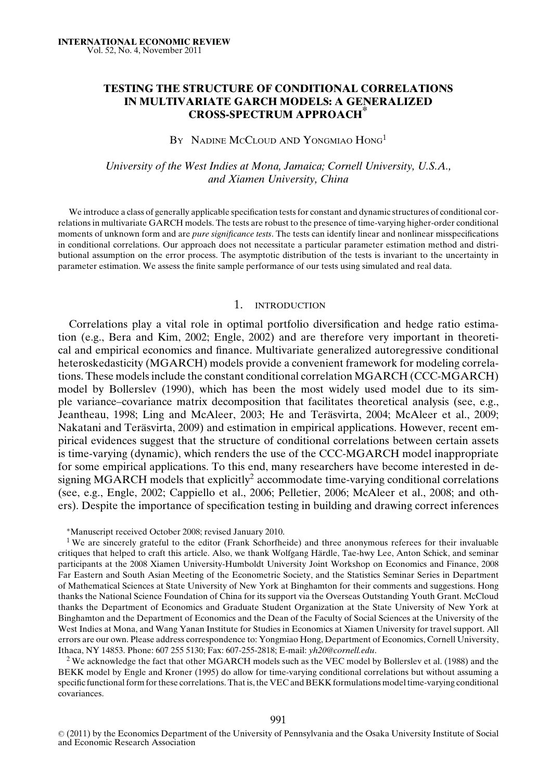# **TESTING THE STRUCTURE OF CONDITIONAL CORRELATIONS IN MULTIVARIATE GARCH MODELS: A GENERALIZED CROSS-SPECTRUM APPROACH\***

## BY NADINE MCCLOUD AND YONGMIAO HONG<sup>1</sup>

# *University of the West Indies at Mona, Jamaica; Cornell University, U.S.A., and Xiamen University, China*

We introduce a class of generally applicable specification tests for constant and dynamic structures of conditional correlations in multivariate GARCH models. The tests are robust to the presence of time-varying higher-order conditional moments of unknown form and are *pure significance tests*. The tests can identify linear and nonlinear misspecifications in conditional correlations. Our approach does not necessitate a particular parameter estimation method and distributional assumption on the error process. The asymptotic distribution of the tests is invariant to the uncertainty in parameter estimation. We assess the finite sample performance of our tests using simulated and real data.

#### 1. INTRODUCTION

Correlations play a vital role in optimal portfolio diversification and hedge ratio estimation (e.g., Bera and Kim, 2002; Engle, 2002) and are therefore very important in theoretical and empirical economics and finance. Multivariate generalized autoregressive conditional heteroskedasticity (MGARCH) models provide a convenient framework for modeling correlations. These models include the constant conditional correlation MGARCH (CCC-MGARCH) model by Bollerslev (1990), which has been the most widely used model due to its simple variance–covariance matrix decomposition that facilitates theoretical analysis (see, e.g., Jeantheau, 1998; Ling and McAleer, 2003; He and Teräsvirta, 2004; McAleer et al., 2009; Nakatani and Teräsvirta, 2009) and estimation in empirical applications. However, recent empirical evidences suggest that the structure of conditional correlations between certain assets is time-varying (dynamic), which renders the use of the CCC-MGARCH model inappropriate for some empirical applications. To this end, many researchers have become interested in designing MGARCH models that explicitly<sup>2</sup> accommodate time-varying conditional correlations (see, e.g., Engle, 2002; Cappiello et al., 2006; Pelletier, 2006; McAleer et al., 2008; and others). Despite the importance of specification testing in building and drawing correct inferences

<sup>∗</sup>Manuscript received October 2008; revised January 2010.

<sup>1</sup> We are sincerely grateful to the editor (Frank Schorfheide) and three anonymous referees for their invaluable critiques that helped to craft this article. Also, we thank Wolfgang Hardle, Tae-hwy Lee, Anton Schick, and seminar ¨ participants at the 2008 Xiamen University-Humboldt University Joint Workshop on Economics and Finance, 2008 Far Eastern and South Asian Meeting of the Econometric Society, and the Statistics Seminar Series in Department of Mathematical Sciences at State University of New York at Binghamton for their comments and suggestions. Hong thanks the National Science Foundation of China for its support via the Overseas Outstanding Youth Grant. McCloud thanks the Department of Economics and Graduate Student Organization at the State University of New York at Binghamton and the Department of Economics and the Dean of the Faculty of Social Sciences at the University of the West Indies at Mona, and Wang Yanan Institute for Studies in Economics at Xiamen University for travel support. All errors are our own. Please address correspondence to: Yongmiao Hong, Department of Economics, Cornell University, Ithaca, NY 14853. Phone: 607 255 5130; Fax: 607-255-2818; E-mail: *yh20@cornell.edu*.

<sup>2</sup> We acknowledge the fact that other MGARCH models such as the VEC model by Bollerslev et al. (1988) and the BEKK model by Engle and Kroner (1995) do allow for time-varying conditional correlations but without assuming a specific functional form for these correlations. That is, the VEC and BEKK formulations model time-varying conditional covariances.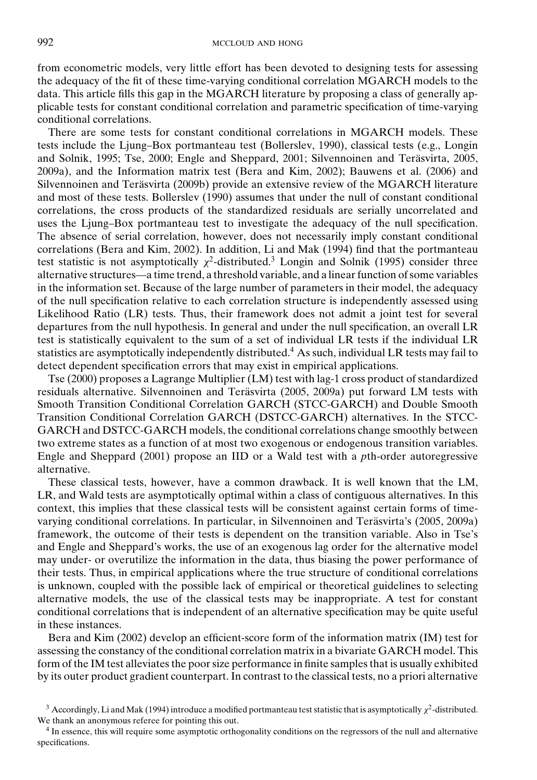from econometric models, very little effort has been devoted to designing tests for assessing the adequacy of the fit of these time-varying conditional correlation MGARCH models to the data. This article fills this gap in the MGARCH literature by proposing a class of generally applicable tests for constant conditional correlation and parametric specification of time-varying conditional correlations.

There are some tests for constant conditional correlations in MGARCH models. These tests include the Ljung–Box portmanteau test (Bollerslev, 1990), classical tests (e.g., Longin and Solnik, 1995; Tse, 2000; Engle and Sheppard, 2001; Silvennoinen and Teräsvirta, 2005, 2009a), and the Information matrix test (Bera and Kim, 2002); Bauwens et al. (2006) and Silvennoinen and Teräsvirta (2009b) provide an extensive review of the MGARCH literature and most of these tests. Bollerslev (1990) assumes that under the null of constant conditional correlations, the cross products of the standardized residuals are serially uncorrelated and uses the Ljung–Box portmanteau test to investigate the adequacy of the null specification. The absence of serial correlation, however, does not necessarily imply constant conditional correlations (Bera and Kim, 2002). In addition, Li and Mak (1994) find that the portmanteau test statistic is not asymptotically  $\chi^2$ -distributed.<sup>3</sup> Longin and Solnik (1995) consider three alternative structures—a time trend, a threshold variable, and a linear function of some variables in the information set. Because of the large number of parameters in their model, the adequacy of the null specification relative to each correlation structure is independently assessed using Likelihood Ratio (LR) tests. Thus, their framework does not admit a joint test for several departures from the null hypothesis. In general and under the null specification, an overall LR test is statistically equivalent to the sum of a set of individual LR tests if the individual LR statistics are asymptotically independently distributed.4 As such, individual LR tests may fail to detect dependent specification errors that may exist in empirical applications.

Tse (2000) proposes a Lagrange Multiplier (LM) test with lag-1 cross product of standardized residuals alternative. Silvennoinen and Teräsvirta (2005, 2009a) put forward LM tests with Smooth Transition Conditional Correlation GARCH (STCC-GARCH) and Double Smooth Transition Conditional Correlation GARCH (DSTCC-GARCH) alternatives. In the STCC-GARCH and DSTCC-GARCH models, the conditional correlations change smoothly between two extreme states as a function of at most two exogenous or endogenous transition variables. Engle and Sheppard (2001) propose an IID or a Wald test with a *p*th-order autoregressive alternative.

These classical tests, however, have a common drawback. It is well known that the LM, LR, and Wald tests are asymptotically optimal within a class of contiguous alternatives. In this context, this implies that these classical tests will be consistent against certain forms of timevarying conditional correlations. In particular, in Silvennoinen and Terasvirta's (2005, 2009a) ¨ framework, the outcome of their tests is dependent on the transition variable. Also in Tse's and Engle and Sheppard's works, the use of an exogenous lag order for the alternative model may under- or overutilize the information in the data, thus biasing the power performance of their tests. Thus, in empirical applications where the true structure of conditional correlations is unknown, coupled with the possible lack of empirical or theoretical guidelines to selecting alternative models, the use of the classical tests may be inappropriate. A test for constant conditional correlations that is independent of an alternative specification may be quite useful in these instances.

Bera and Kim (2002) develop an efficient-score form of the information matrix (IM) test for assessing the constancy of the conditional correlation matrix in a bivariate GARCH model. This form of the IM test alleviates the poor size performance in finite samples that is usually exhibited by its outer product gradient counterpart. In contrast to the classical tests, no a priori alternative

<sup>&</sup>lt;sup>3</sup> Accordingly, Li and Mak (1994) introduce a modified portmanteau test statistic that is asymptotically  $\chi^2$ -distributed. We thank an anonymous referee for pointing this out.

<sup>4</sup> In essence, this will require some asymptotic orthogonality conditions on the regressors of the null and alternative specifications.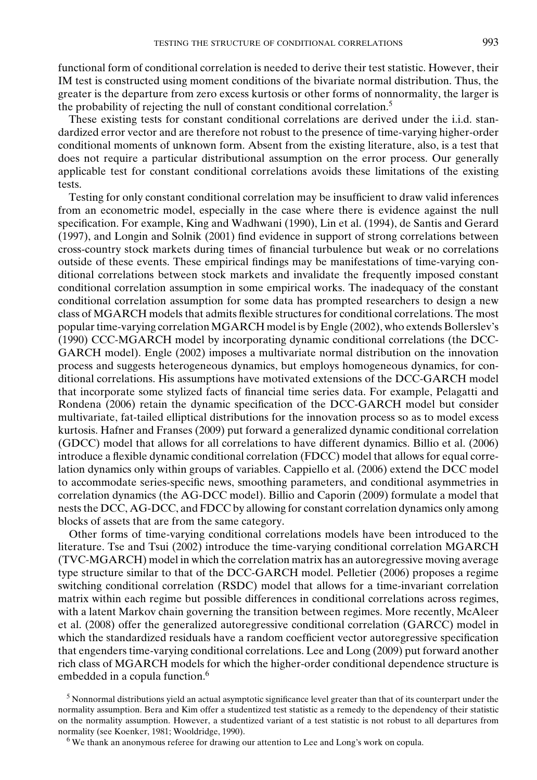functional form of conditional correlation is needed to derive their test statistic. However, their IM test is constructed using moment conditions of the bivariate normal distribution. Thus, the greater is the departure from zero excess kurtosis or other forms of nonnormality, the larger is the probability of rejecting the null of constant conditional correlation.5

These existing tests for constant conditional correlations are derived under the i.i.d. standardized error vector and are therefore not robust to the presence of time-varying higher-order conditional moments of unknown form. Absent from the existing literature, also, is a test that does not require a particular distributional assumption on the error process. Our generally applicable test for constant conditional correlations avoids these limitations of the existing tests.

Testing for only constant conditional correlation may be insufficient to draw valid inferences from an econometric model, especially in the case where there is evidence against the null specification. For example, King and Wadhwani (1990), Lin et al. (1994), de Santis and Gerard (1997), and Longin and Solnik (2001) find evidence in support of strong correlations between cross-country stock markets during times of financial turbulence but weak or no correlations outside of these events. These empirical findings may be manifestations of time-varying conditional correlations between stock markets and invalidate the frequently imposed constant conditional correlation assumption in some empirical works. The inadequacy of the constant conditional correlation assumption for some data has prompted researchers to design a new class of MGARCH models that admits flexible structures for conditional correlations. The most popular time-varying correlation MGARCH model is by Engle (2002), who extends Bollerslev's (1990) CCC-MGARCH model by incorporating dynamic conditional correlations (the DCC-GARCH model). Engle (2002) imposes a multivariate normal distribution on the innovation process and suggests heterogeneous dynamics, but employs homogeneous dynamics, for conditional correlations. His assumptions have motivated extensions of the DCC-GARCH model that incorporate some stylized facts of financial time series data. For example, Pelagatti and Rondena (2006) retain the dynamic specification of the DCC-GARCH model but consider multivariate, fat-tailed elliptical distributions for the innovation process so as to model excess kurtosis. Hafner and Franses (2009) put forward a generalized dynamic conditional correlation (GDCC) model that allows for all correlations to have different dynamics. Billio et al. (2006) introduce a flexible dynamic conditional correlation (FDCC) model that allows for equal correlation dynamics only within groups of variables. Cappiello et al. (2006) extend the DCC model to accommodate series-specific news, smoothing parameters, and conditional asymmetries in correlation dynamics (the AG-DCC model). Billio and Caporin (2009) formulate a model that nests the DCC, AG-DCC, and FDCC by allowing for constant correlation dynamics only among blocks of assets that are from the same category.

Other forms of time-varying conditional correlations models have been introduced to the literature. Tse and Tsui (2002) introduce the time-varying conditional correlation MGARCH (TVC-MGARCH) model in which the correlation matrix has an autoregressive moving average type structure similar to that of the DCC-GARCH model. Pelletier (2006) proposes a regime switching conditional correlation (RSDC) model that allows for a time-invariant correlation matrix within each regime but possible differences in conditional correlations across regimes, with a latent Markov chain governing the transition between regimes. More recently, McAleer et al. (2008) offer the generalized autoregressive conditional correlation (GARCC) model in which the standardized residuals have a random coefficient vector autoregressive specification that engenders time-varying conditional correlations. Lee and Long (2009) put forward another rich class of MGARCH models for which the higher-order conditional dependence structure is embedded in a copula function.<sup>6</sup>

<sup>5</sup> Nonnormal distributions yield an actual asymptotic significance level greater than that of its counterpart under the normality assumption. Bera and Kim offer a studentized test statistic as a remedy to the dependency of their statistic on the normality assumption. However, a studentized variant of a test statistic is not robust to all departures from normality (see Koenker, 1981; Wooldridge, 1990).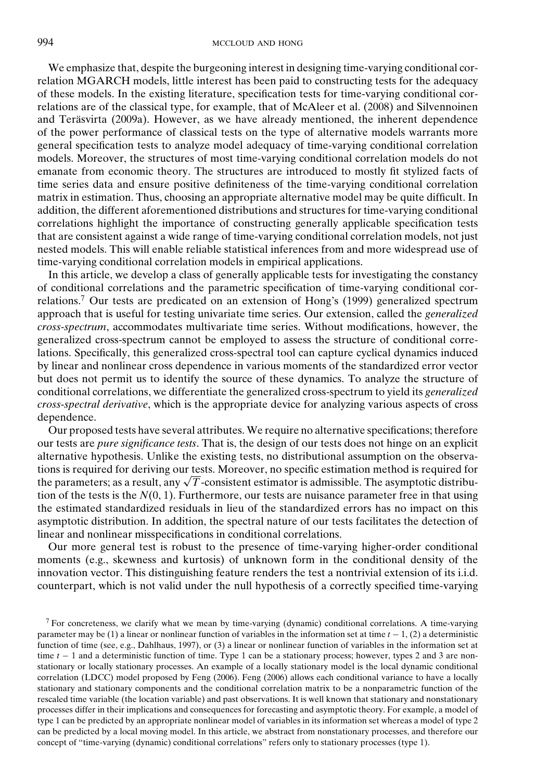We emphasize that, despite the burgeoning interest in designing time-varying conditional correlation MGARCH models, little interest has been paid to constructing tests for the adequacy of these models. In the existing literature, specification tests for time-varying conditional correlations are of the classical type, for example, that of McAleer et al. (2008) and Silvennoinen and Teräsvirta (2009a). However, as we have already mentioned, the inherent dependence of the power performance of classical tests on the type of alternative models warrants more general specification tests to analyze model adequacy of time-varying conditional correlation models. Moreover, the structures of most time-varying conditional correlation models do not emanate from economic theory. The structures are introduced to mostly fit stylized facts of time series data and ensure positive definiteness of the time-varying conditional correlation matrix in estimation. Thus, choosing an appropriate alternative model may be quite difficult. In addition, the different aforementioned distributions and structures for time-varying conditional correlations highlight the importance of constructing generally applicable specification tests that are consistent against a wide range of time-varying conditional correlation models, not just nested models. This will enable reliable statistical inferences from and more widespread use of time-varying conditional correlation models in empirical applications.

In this article, we develop a class of generally applicable tests for investigating the constancy of conditional correlations and the parametric specification of time-varying conditional correlations.<sup>7</sup> Our tests are predicated on an extension of Hong's (1999) generalized spectrum approach that is useful for testing univariate time series. Our extension, called the *generalized cross-spectrum*, accommodates multivariate time series. Without modifications, however, the generalized cross-spectrum cannot be employed to assess the structure of conditional correlations. Specifically, this generalized cross-spectral tool can capture cyclical dynamics induced by linear and nonlinear cross dependence in various moments of the standardized error vector but does not permit us to identify the source of these dynamics. To analyze the structure of conditional correlations, we differentiate the generalized cross-spectrum to yield its *generalized cross-spectral derivative*, which is the appropriate device for analyzing various aspects of cross dependence.

Our proposed tests have several attributes. We require no alternative specifications; therefore our tests are *pure significance tests*. That is, the design of our tests does not hinge on an explicit alternative hypothesis. Unlike the existing tests, no distributional assumption on the observations is required for deriving our tests. Moreover, no specific estimation method is required for tions is required for deriving our tests. Moreover, no specific estimation method is required for<br>the parameters; as a result, any √*T* -consistent estimator is admissible. The asymptotic distribution of the tests is the  $N(0, 1)$ . Furthermore, our tests are nuisance parameter free in that using the estimated standardized residuals in lieu of the standardized errors has no impact on this asymptotic distribution. In addition, the spectral nature of our tests facilitates the detection of linear and nonlinear misspecifications in conditional correlations.

Our more general test is robust to the presence of time-varying higher-order conditional moments (e.g., skewness and kurtosis) of unknown form in the conditional density of the innovation vector. This distinguishing feature renders the test a nontrivial extension of its i.i.d. counterpart, which is not valid under the null hypothesis of a correctly specified time-varying

<sup>&</sup>lt;sup>7</sup> For concreteness, we clarify what we mean by time-varying (dynamic) conditional correlations. A time-varying parameter may be (1) a linear or nonlinear function of variables in the information set at time *t* − 1, (2) a deterministic function of time (see, e.g., Dahlhaus, 1997), or (3) a linear or nonlinear function of variables in the information set at time *t* − 1 and a deterministic function of time. Type 1 can be a stationary process; however, types 2 and 3 are nonstationary or locally stationary processes. An example of a locally stationary model is the local dynamic conditional correlation (LDCC) model proposed by Feng (2006). Feng (2006) allows each conditional variance to have a locally stationary and stationary components and the conditional correlation matrix to be a nonparametric function of the rescaled time variable (the location variable) and past observations. It is well known that stationary and nonstationary processes differ in their implications and consequences for forecasting and asymptotic theory. For example, a model of type 1 can be predicted by an appropriate nonlinear model of variables in its information set whereas a model of type 2 can be predicted by a local moving model. In this article, we abstract from nonstationary processes, and therefore our concept of "time-varying (dynamic) conditional correlations" refers only to stationary processes (type 1).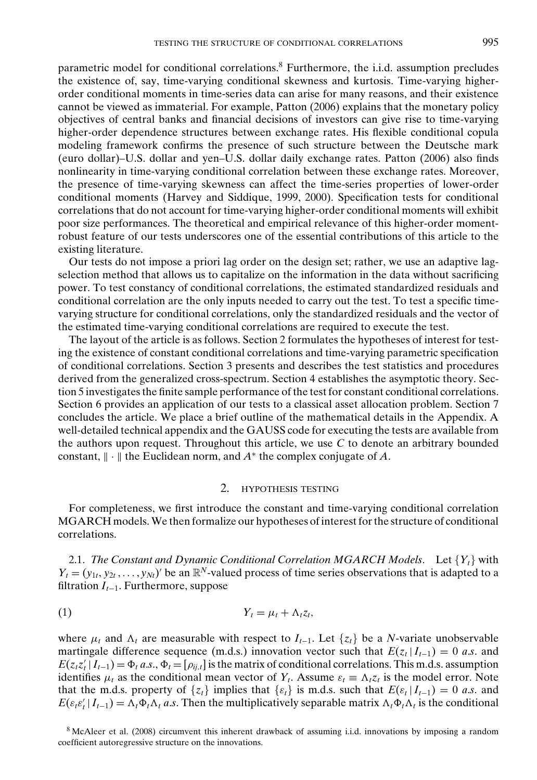parametric model for conditional correlations.8 Furthermore, the i.i.d. assumption precludes the existence of, say, time-varying conditional skewness and kurtosis. Time-varying higherorder conditional moments in time-series data can arise for many reasons, and their existence cannot be viewed as immaterial. For example, Patton (2006) explains that the monetary policy objectives of central banks and financial decisions of investors can give rise to time-varying higher-order dependence structures between exchange rates. His flexible conditional copula modeling framework confirms the presence of such structure between the Deutsche mark (euro dollar)–U.S. dollar and yen–U.S. dollar daily exchange rates. Patton (2006) also finds nonlinearity in time-varying conditional correlation between these exchange rates. Moreover, the presence of time-varying skewness can affect the time-series properties of lower-order conditional moments (Harvey and Siddique, 1999, 2000). Specification tests for conditional correlations that do not account for time-varying higher-order conditional moments will exhibit poor size performances. The theoretical and empirical relevance of this higher-order momentrobust feature of our tests underscores one of the essential contributions of this article to the existing literature.

Our tests do not impose a priori lag order on the design set; rather, we use an adaptive lagselection method that allows us to capitalize on the information in the data without sacrificing power. To test constancy of conditional correlations, the estimated standardized residuals and conditional correlation are the only inputs needed to carry out the test. To test a specific timevarying structure for conditional correlations, only the standardized residuals and the vector of the estimated time-varying conditional correlations are required to execute the test.

The layout of the article is as follows. Section 2 formulates the hypotheses of interest for testing the existence of constant conditional correlations and time-varying parametric specification of conditional correlations. Section 3 presents and describes the test statistics and procedures derived from the generalized cross-spectrum. Section 4 establishes the asymptotic theory. Section 5 investigates the finite sample performance of the test for constant conditional correlations. Section 6 provides an application of our tests to a classical asset allocation problem. Section 7 concludes the article. We place a brief outline of the mathematical details in the Appendix. A well-detailed technical appendix and the GAUSS code for executing the tests are available from the authors upon request. Throughout this article, we use *C* to denote an arbitrary bounded constant,  $\|\cdot\|$  the Euclidean norm, and  $A^*$  the complex conjugate of  $A$ .

## 2. HYPOTHESIS TESTING

For completeness, we first introduce the constant and time-varying conditional correlation MGARCH models.We then formalize our hypotheses of interest for the structure of conditional correlations.

2.1. *The Constant and Dynamic Conditional Correlation MGARCH Models.* Let  ${Y_t}$  with  $Y_t = (y_{1t}, y_{2t}, \dots, y_{Nt})'$  be an  $\mathbb{R}^N$ -valued process of time series observations that is adapted to a filtration *It*−1. Furthermore, suppose

$$
(1) \t Y_t = \mu_t + \Lambda_t z_t,
$$

where  $\mu_t$  and  $\Lambda_t$  are measurable with respect to  $I_{t-1}$ . Let  $\{z_t\}$  be a *N*-variate unobservable martingale difference sequence (m.d.s.) innovation vector such that  $E(z_t | I_{t-1}) = 0$  *a.s.* and  $E(z_t z_t' | I_{t-1}) = \Phi_t a.s., \Phi_t = [\rho_{ij,t}]$  is the matrix of conditional correlations. This m.d.s. assumption identifies  $\mu_t$  as the conditional mean vector of  $Y_t$ . Assume  $\varepsilon_t \equiv \Lambda_t z_t$  is the model error. Note that the m.d.s. property of  $\{z_t\}$  implies that  $\{s_t\}$  is m.d.s. such that  $E(\varepsilon_t | I_{t-1}) = 0$  *a.s.* and  $E(\varepsilon_t \varepsilon'_t | I_{t-1}) = \Lambda_t \Phi_t \Lambda_t$  *a.s.* Then the multiplicatively separable matrix  $\Lambda_t \Phi_t \Lambda_t$  is the conditional

<sup>8</sup> McAleer et al. (2008) circumvent this inherent drawback of assuming i.i.d. innovations by imposing a random coefficient autoregressive structure on the innovations.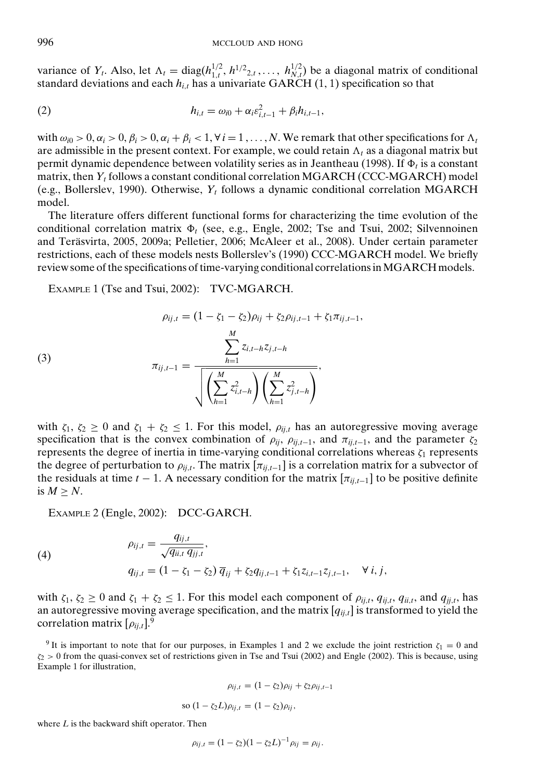variance of  $Y_t$ . Also, let  $\Lambda_t = \text{diag}(h_{1,t}^{1/2}, h_{2,t}, \ldots, h_{N,t}^{1/2})$  be a diagonal matrix of conditional standard deviations and each  $h_{i,t}$  has a univariate GARCH (1, 1) specification so that

(2) 
$$
h_{i,t} = \omega_{i0} + \alpha_i \varepsilon_{i,t-1}^2 + \beta_i h_{i,t-1},
$$

with  $\omega_{i0} > 0$ ,  $\alpha_i > 0$ ,  $\beta_i > 0$ ,  $\alpha_i + \beta_i < 1$ ,  $\forall i = 1, ..., N$ . We remark that other specifications for  $\Lambda_i$ are admissible in the present context. For example, we could retain  $\Lambda_t$  as a diagonal matrix but permit dynamic dependence between volatility series as in Jeantheau (1998). If  $\Phi_t$  is a constant matrix, then *Yt* follows a constant conditional correlation MGARCH (CCC-MGARCH) model (e.g., Bollerslev, 1990). Otherwise, *Yt* follows a dynamic conditional correlation MGARCH model.

The literature offers different functional forms for characterizing the time evolution of the conditional correlation matrix  $\Phi_t$  (see, e.g., Engle, 2002; Tse and Tsui, 2002; Silvennoinen and Terasvirta, 2005, 2009a; Pelletier, 2006; McAleer et al., 2008). Under certain parameter ¨ restrictions, each of these models nests Bollerslev's (1990) CCC-MGARCH model. We briefly review some of the specifications of time-varying conditional correlations inMGARCH models.

EXAMPLE 1 (Tse and Tsui, 2002): TVC-MGARCH.

(3)  

$$
\rho_{ij,t} = (1 - \zeta_1 - \zeta_2)\rho_{ij} + \zeta_2 \rho_{ij,t-1} + \zeta_1 \pi_{ij,t-1},
$$

$$
\pi_{ij,t-1} = \frac{\sum_{h=1}^M z_{i,t-h} z_{j,t-h}}{\sqrt{\left(\sum_{h=1}^M z_{i,t-h}^2\right) \left(\sum_{h=1}^M z_{j,t-h}^2\right)}},
$$

with  $\zeta_1, \zeta_2 \geq 0$  and  $\zeta_1 + \zeta_2 \leq 1$ . For this model,  $\rho_{ii,t}$  has an autoregressive moving average specification that is the convex combination of  $\rho_{ij}$ ,  $\rho_{ij,t-1}$ , and  $\pi_{ij,t-1}$ , and the parameter  $\zeta_2$ represents the degree of inertia in time-varying conditional correlations whereas  $\zeta_1$  represents the degree of perturbation to  $\rho_{ij,t}$ . The matrix  $[\pi_{ij,t-1}]$  is a correlation matrix for a subvector of the residuals at time  $t - 1$ . A necessary condition for the matrix  $[\pi_{ii,t-1}]$  to be positive definite is  $M > N$ .

EXAMPLE 2 (Engle, 2002): DCC-GARCH.

(4)  
\n
$$
\rho_{ij,t} = \frac{q_{ij,t}}{\sqrt{q_{ii,t} q_{jj,t}}},
$$
\n
$$
q_{ij,t} = (1 - \zeta_1 - \zeta_2) \overline{q}_{ij} + \zeta_2 q_{ij,t-1} + \zeta_1 z_{i,t-1} z_{j,t-1}, \quad \forall i, j,
$$

with  $\zeta_1, \zeta_2 \ge 0$  and  $\zeta_1 + \zeta_2 \le 1$ . For this model each component of  $\rho_{ij,t}, q_{ij,t}, q_{ii,t}$ , and  $q_{jj,t}$ , has an autoregressive moving average specification, and the matrix [*qij*,*<sup>t</sup>*] is transformed to yield the correlation matrix  $[\rho_{ii,t}]$ <sup>9</sup>.

<sup>9</sup> It is important to note that for our purposes, in Examples 1 and 2 we exclude the joint restriction  $\zeta_1 = 0$  and  $\zeta_2 > 0$  from the quasi-convex set of restrictions given in Tse and Tsui (2002) and Engle (2002). This is because, using Example 1 for illustration,

$$
\rho_{ij,t} = (1 - \zeta_2)\rho_{ij} + \zeta_2 \rho_{ij,t-1}
$$
  
so  $(1 - \zeta_2 L)\rho_{ij,t} = (1 - \zeta_2)\rho_{ij}$ ,

where *L* is the backward shift operator. Then

$$
\rho_{ij,t} = (1 - \zeta_2)(1 - \zeta_2 L)^{-1} \rho_{ij} = \rho_{ij}.
$$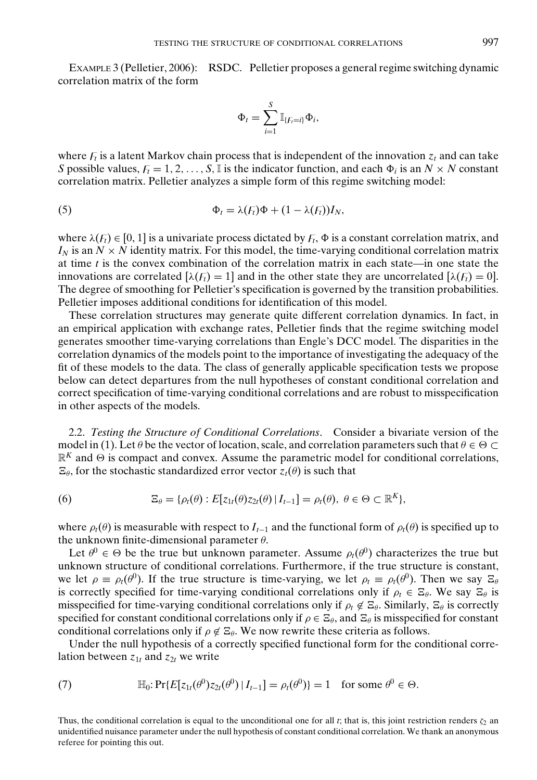EXAMPLE 3 (Pelletier, 2006): RSDC. Pelletier proposes a general regime switching dynamic correlation matrix of the form

$$
\Phi_t = \sum_{i=1}^S \mathbb{I}_{\{F_i=i\}} \Phi_i,
$$

where  $F_t$  is a latent Markov chain process that is independent of the innovation  $z_t$  and can take *S* possible values,  $F_t = 1, 2, ..., S$ , *I* is the indicator function, and each  $\Phi_i$  is an  $N \times N$  constant correlation matrix. Pelletier analyzes a simple form of this regime switching model:

(5) 
$$
\Phi_t = \lambda(F_t)\Phi + (1 - \lambda(F_t))I_N,
$$

where  $\lambda(F_t) \in [0, 1]$  is a univariate process dictated by  $F_t$ ,  $\Phi$  is a constant correlation matrix, and  $I_N$  is an  $N \times N$  identity matrix. For this model, the time-varying conditional correlation matrix at time *t* is the convex combination of the correlation matrix in each state—in one state the innovations are correlated  $[\lambda(f_t) = 1]$  and in the other state they are uncorrelated  $[\lambda(f_t) = 0]$ . The degree of smoothing for Pelletier's specification is governed by the transition probabilities. Pelletier imposes additional conditions for identification of this model.

These correlation structures may generate quite different correlation dynamics. In fact, in an empirical application with exchange rates, Pelletier finds that the regime switching model generates smoother time-varying correlations than Engle's DCC model. The disparities in the correlation dynamics of the models point to the importance of investigating the adequacy of the fit of these models to the data. The class of generally applicable specification tests we propose below can detect departures from the null hypotheses of constant conditional correlation and correct specification of time-varying conditional correlations and are robust to misspecification in other aspects of the models.

2.2. *Testing the Structure of Conditional Correlations*. Consider a bivariate version of the model in (1). Let  $\theta$  be the vector of location, scale, and correlation parameters such that  $\theta \in \Theta$  $\mathbb{R}^K$  and  $\Theta$  is compact and convex. Assume the parametric model for conditional correlations,  $\Xi_{\theta}$ , for the stochastic standardized error vector  $z_t(\theta)$  is such that

(6) 
$$
\mathbb{E}_{\theta} = {\rho_t(\theta) : E[z_{1t}(\theta)z_{2t}(\theta) | I_{t-1}] = \rho_t(\theta), \ \theta \in \Theta \subset \mathbb{R}^K},
$$

where  $\rho_t(\theta)$  is measurable with respect to  $I_{t-1}$  and the functional form of  $\rho_t(\theta)$  is specified up to the unknown finite-dimensional parameter  $\theta$ .

Let  $\theta^0 \in \Theta$  be the true but unknown parameter. Assume  $\rho_t(\theta^0)$  characterizes the true but unknown structure of conditional correlations. Furthermore, if the true structure is constant, we let  $\rho = \rho_t(\theta^0)$ . If the true structure is time-varying, we let  $\rho_t = \rho_t(\theta^0)$ . Then we say  $\Xi_\theta$ is correctly specified for time-varying conditional correlations only if  $\rho_t \in \Xi_\theta$ . We say  $\Xi_\theta$  is misspecified for time-varying conditional correlations only if  $\rho_t \notin \Xi_{\theta}$ . Similarly,  $\Xi_{\theta}$  is correctly specified for constant conditional correlations only if  $\rho \in \Xi_{\theta}$ , and  $\Xi_{\theta}$  is misspecified for constant conditional correlations only if  $\rho \notin \Xi_{\theta}$ . We now rewrite these criteria as follows.

Under the null hypothesis of a correctly specified functional form for the conditional correlation between  $z_{1t}$  and  $z_{2t}$  we write

(7) 
$$
\mathbb{H}_0: \Pr\{E[z_{1t}(\theta^0)z_{2t}(\theta^0) | I_{t-1}] = \rho_t(\theta^0)\} = 1 \text{ for some } \theta^0 \in \Theta.
$$

Thus, the conditional correlation is equal to the unconditional one for all *t*; that is, this joint restriction renders  $\zeta_2$  an unidentified nuisance parameter under the null hypothesis of constant conditional correlation. We thank an anonymous referee for pointing this out.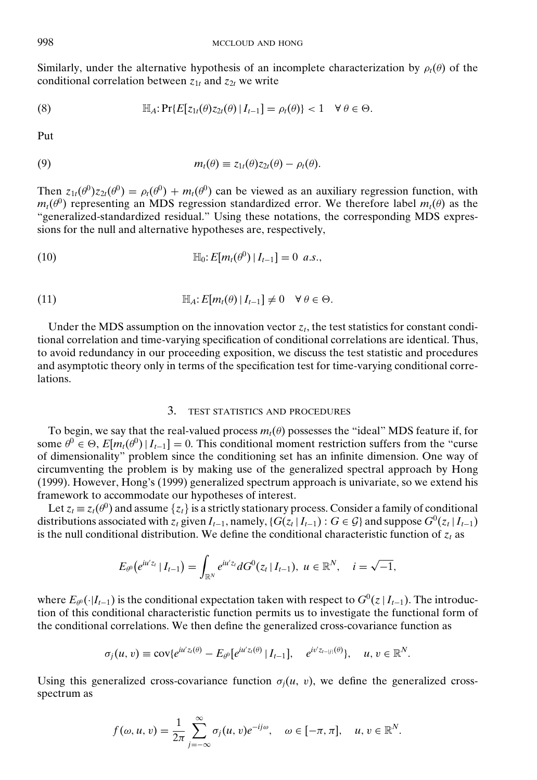Similarly, under the alternative hypothesis of an incomplete characterization by  $\rho_t(\theta)$  of the conditional correlation between  $z_{1t}$  and  $z_{2t}$  we write

(8) 
$$
\mathbb{H}_A: \Pr\{E[z_{1t}(\theta)z_{2t}(\theta) | I_{t-1}] = \rho_t(\theta)\} < 1 \quad \forall \theta \in \Theta.
$$

Put

(9) 
$$
m_t(\theta) \equiv z_{1t}(\theta) z_{2t}(\theta) - \rho_t(\theta).
$$

Then  $z_{1t}(\theta^0)z_{2t}(\theta^0) = \rho_t(\theta^0) + m_t(\theta^0)$  can be viewed as an auxiliary regression function, with  $m_t(\theta)$  representing an MDS regression standardized error. We therefore label  $m_t(\theta)$  as the "generalized-standardized residual." Using these notations, the corresponding MDS expressions for the null and alternative hypotheses are, respectively,

(10) 
$$
\mathbb{H}_0: E[m_t(\theta^0) | I_{t-1}] = 0 \text{ a.s.},
$$

(11) 
$$
\mathbb{H}_A: E[m_t(\theta) | I_{t-1}] \neq 0 \quad \forall \theta \in \Theta.
$$

Under the MDS assumption on the innovation vector  $z_t$ , the test statistics for constant conditional correlation and time-varying specification of conditional correlations are identical. Thus, to avoid redundancy in our proceeding exposition, we discuss the test statistic and procedures and asymptotic theory only in terms of the specification test for time-varying conditional correlations.

#### 3. TEST STATISTICS AND PROCEDURES

To begin, we say that the real-valued process  $m_t(\theta)$  possesses the "ideal" MDS feature if, for some  $\theta^0 \in \Theta$ ,  $E[m_t(\theta^0)|I_{t-1}] = 0$ . This conditional moment restriction suffers from the "curse" of dimensionality" problem since the conditioning set has an infinite dimension. One way of circumventing the problem is by making use of the generalized spectral approach by Hong (1999). However, Hong's (1999) generalized spectrum approach is univariate, so we extend his framework to accommodate our hypotheses of interest.

Let  $z_t \equiv z_t(\theta^0)$  and assume  $\{z_t\}$  is a strictly stationary process. Consider a family of conditional distributions associated with  $z_t$  given  $I_{t-1}$ , namely, { $G(z_t | I_{t-1})$  :  $G \in \mathcal{G}$ } and suppose  $G^0(z_t | I_{t-1})$ is the null conditional distribution. We define the conditional characteristic function of  $z_t$  as

$$
E_{\theta^0}(e^{iu'z_t} | I_{t-1}) = \int_{\mathbb{R}^N} e^{iu'z_t} dG^0(z_t | I_{t-1}), \ u \in \mathbb{R}^N, \quad i = \sqrt{-1},
$$

where  $E_{\theta^0}(\cdot|I_{t-1})$  is the conditional expectation taken with respect to  $G^0(z|I_{t-1})$ . The introduction of this conditional characteristic function permits us to investigate the functional form of the conditional correlations. We then define the generalized cross-covariance function as

$$
\sigma_j(u,v) \equiv \text{cov}\{e^{iu'z_i(\theta)} - E_{\theta^0}[e^{iu'z_i(\theta)} | I_{t-1}], \quad e^{iv'z_{t-|j|}(\theta)}\}, \quad u, v \in \mathbb{R}^N.
$$

Using this generalized cross-covariance function  $\sigma_i(u, v)$ , we define the generalized crossspectrum as

$$
f(\omega, u, v) = \frac{1}{2\pi} \sum_{j=-\infty}^{\infty} \sigma_j(u, v) e^{-ij\omega}, \quad \omega \in [-\pi, \pi], \quad u, v \in \mathbb{R}^N.
$$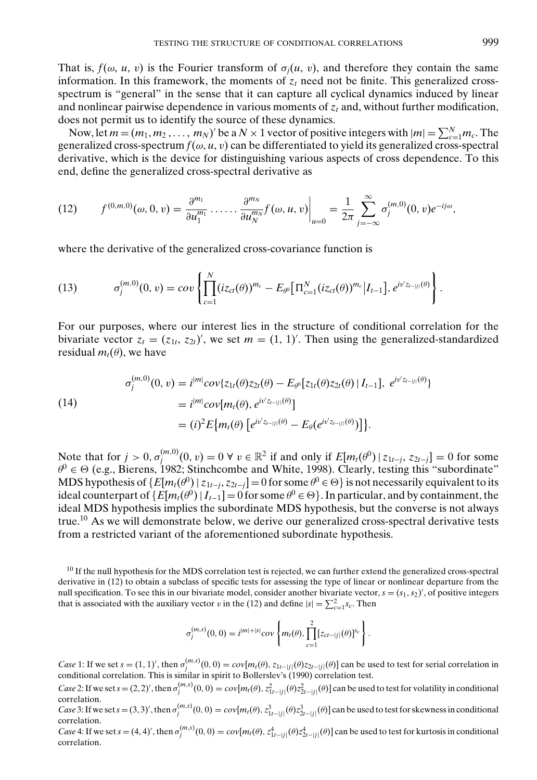That is,  $f(\omega, u, v)$  is the Fourier transform of  $\sigma_i(u, v)$ , and therefore they contain the same information. In this framework, the moments of  $z<sub>t</sub>$  need not be finite. This generalized crossspectrum is "general" in the sense that it can capture all cyclical dynamics induced by linear and nonlinear pairwise dependence in various moments of  $z_t$  and, without further modification, does not permit us to identify the source of these dynamics.

Now, let  $m = (m_1, m_2, \dots, m_N)'$  be a  $N \times 1$  vector of positive integers with  $|m| = \sum_{c=1}^{N} m_c$ . The generalized cross-spectrum  $f(\omega, u, v)$  can be differentiated to yield its generalized cross-spectral derivative, which is the device for distinguishing various aspects of cross dependence. To this end, define the generalized cross-spectral derivative as

(12) 
$$
f^{(0,m,0)}(\omega,0,v) = \frac{\partial^{m_1}}{\partial u_1^{m_1}} \cdot \cdot \cdot \cdot \cdot \cdot \frac{\partial^{m_N}}{\partial u_N^{m_N}} f(\omega,u,v) \Big|_{u=0} = \frac{1}{2\pi} \sum_{j=-\infty}^{\infty} \sigma_j^{(m,0)}(0,v) e^{-ij\omega},
$$

where the derivative of the generalized cross-covariance function is

(13) 
$$
\sigma_j^{(m,0)}(0,v) = cov \left\{ \prod_{c=1}^N (iz_{ct}(\theta))^{m_c} - E_{\theta^0} \big[\Pi_{c=1}^N (iz_{ct}(\theta))^{m_c} \big| I_{t-1} \big], e^{iv'z_{t-|j|}(\theta)} \right\}.
$$

For our purposes, where our interest lies in the structure of conditional correlation for the bivariate vector  $z_t = (z_{1t}, z_{2t})'$ , we set  $m = (1, 1)'$ . Then using the generalized-standardized residual  $m_t(\theta)$ , we have

(14)  
\n
$$
\sigma_j^{(m,0)}(0, v) = i^{|m|} cov\{z_{1t}(\theta)z_{2t}(\theta) - E_{\theta^0}[z_{1t}(\theta)z_{2t}(\theta) | I_{t-1}], e^{iv'z_{t-|j|}(\theta)}\}
$$
\n
$$
= i^{|m|} cov[m_t(\theta), e^{iv'z_{t-|j|}(\theta)}]
$$
\n
$$
= (i)^2 E\{m_t(\theta) [e^{iv'z_{t-|j|}(\theta)} - E_{\theta}(e^{iv'z_{t-|j|}(\theta)})]\}.
$$

Note that for  $j > 0$ ,  $\sigma_j^{(m,0)}(0, v) = 0 \ \forall \ v \in \mathbb{R}^2$  if and only if  $E[m_t(\theta^0) \mid z_{1t-j}, z_{2t-j}] = 0$  for some  $\theta^0 \in \Theta$  (e.g., Bierens, 1982; Stinchcombe and White, 1998). Clearly, testing this "subordinate" MDS hypothesis of  ${E[m_t(\theta^0) | z_{1t-j}, z_{2t-j}]=0}$  for some  $\theta^0 \in \Theta$ } is not necessarily equivalent to its ideal counterpart of  $\{E[m_t(\theta^0)|I_{t-1}]=0$  for some  $\theta^0 \in \Theta\}$ . In particular, and by containment, the ideal MDS hypothesis implies the subordinate MDS hypothesis, but the converse is not always true.<sup>10</sup> As we will demonstrate below, we derive our generalized cross-spectral derivative tests from a restricted variant of the aforementioned subordinate hypothesis.

<sup>10</sup> If the null hypothesis for the MDS correlation test is rejected, we can further extend the generalized cross-spectral derivative in (12) to obtain a subclass of specific tests for assessing the type of linear or nonlinear departure from the null specification. To see this in our bivariate model, consider another bivariate vector,  $s = (s_1, s_2)'$ , of positive integers that is associated with the auxiliary vector v in the (12) and define  $|s| = \sum_{c=1}^{2} s_c$ . Then

$$
\sigma_j^{(m,s)}(0,0) = i^{|m|+|s|} cov \left\{ m_t(\theta), \prod_{c=1}^2 [z_{ct-|j|}(\theta)]^{s_c} \right\}.
$$

*Case* 1: If we set  $s = (1, 1)'$ , then  $\sigma_j^{(m,s)}(0, 0) = cov[m_t(\theta), z_{1t-|j|}(\theta)z_{2t-|j|}(\theta)]$  can be used to test for serial correlation in conditional correlation. This is similar in spirit to Bollerslev's (1990) correlation test.

Case 2: If we set  $s = (2,2)$ , then  $\sigma_j^{(m,s)}(0,0) = cov[m_t(\theta), z_{1t-j}^2(\theta) z_{2t-j}^2(\theta)]$  can be used to test for volatility in conditional correlation.

Case 3: If we set  $s = (3,3)'$ , then  $\sigma_j^{(m,s)}(0,0) = cov[m_t(\theta), z_{1t-j}^3(\theta)z_{2t-j}^3(\theta)]$  can be used to test for skewness in conditional correlation.

Case 4: If we set  $s = (4, 4)'$ , then  $\sigma_j^{(m,s)}(0,0) = cov[m_t(\theta), z_{1t-jj}^4(\theta)z_{2t-jj}^4(\theta)]$  can be used to test for kurtosis in conditional correlation.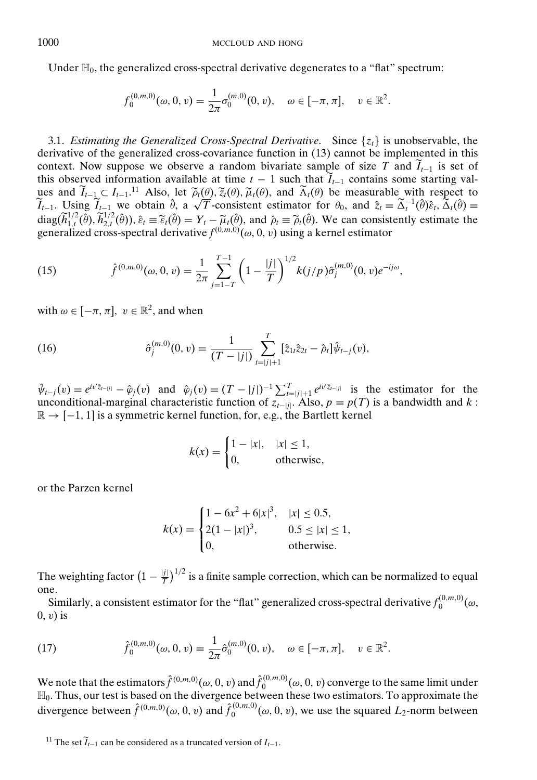Under  $\mathbb{H}_0$ , the generalized cross-spectral derivative degenerates to a "flat" spectrum:

$$
f_0^{(0,m,0)}(\omega,0,v)=\frac{1}{2\pi}\sigma_0^{(m,0)}(0,v), \quad \omega\in[-\pi,\pi], \quad v\in\mathbb{R}^2.
$$

3.1. *Estimating the Generalized Cross-Spectral Derivative.* Since  $\{z_t\}$  is unobservable, the derivative of the generalized cross-covariance function in (13) cannot be implemented in this context. Now suppose we observe a random bivariate sample of size *T* and  $\tilde{I}_{t-1}$  is set of this observed information available at time  $t - 1$  such that  $\widetilde{I}_{t-1}$  contains some starting values and  $\widetilde{I}_{t-1} \subset I_{t-1}$ .<sup>11</sup> Also, let  $\widetilde{\rho}_t(\theta), \widetilde{\chi}_t(\theta), \widetilde{\mu}_t(\theta)$ , and  $\widetilde{\Lambda}_t(\theta)$  be measurable with respect to ues and  $\tilde{I}_{t-1} \subset I_{t-1}$ .<sup>11</sup> Also, let  $\tilde{\rho}_t(\theta), \tilde{\zeta}_t(\theta), \tilde{\mu}_t(\theta)$ , and  $\tilde{\Lambda}_t(\theta)$  be measurable with respect to  $\tilde{I}_{t-1}$ . Using  $\tilde{I}_{t-1}$  we obtain  $\hat{\theta}$ , a  $\sqrt{T}$ -consistent estimator for  $\theta_0$ , a  $diag(\tilde{h}_{1,t}^{1/2}(\hat{\theta}), \tilde{h}_{2,t}^{1/2}(\hat{\theta}))$ ,  $\hat{\varepsilon}_t \equiv \tilde{\varepsilon}_t(\hat{\theta}) = Y_t - \tilde{\mu}_t(\hat{\theta})$ , and  $\hat{\rho}_t \equiv \tilde{\rho}_t(\hat{\theta})$ . We can consistently estimate the generalized cross-spectral derivative  $f^{(0,m,0)}(\omega, 0, v)$  using a kernel estimator

(15) 
$$
\hat{f}^{(0,m,0)}(\omega,0,v) = \frac{1}{2\pi} \sum_{j=1-T}^{T-1} \left(1 - \frac{|j|}{T}\right)^{1/2} k(j/p) \hat{\sigma}_j^{(m,0)}(0,v) e^{-ij\omega},
$$

with  $\omega \in [-\pi, \pi]$ ,  $v \in \mathbb{R}^2$ , and when

(16) 
$$
\hat{\sigma}_j^{(m,0)}(0,v) = \frac{1}{(T-|j|)} \sum_{t=|j|+1}^T [\hat{z}_{1t}\hat{z}_{2t} - \hat{\rho}_t] \hat{\psi}_{t-j}(v),
$$

 $\hat{\psi}_{t-j}(v) = e^{iv'\hat{z}_{t-j|j}} - \hat{\varphi}_j(v)$  and  $\hat{\varphi}_j(v) = (T - |j|)^{-1} \sum_{t=j|j+1}^T e^{iv'\hat{z}_{t-j|j}}$  is the estimator for the unconditional-marginal characteristic function of  $z_{t-|j|}$ . Also,  $p \equiv p(T)$  is a bandwidth and  $k$ :  $\mathbb{R} \rightarrow [-1, 1]$  is a symmetric kernel function, for, e.g., the Bartlett kernel

$$
k(x) = \begin{cases} 1 - |x|, & |x| \le 1, \\ 0, & \text{otherwise,} \end{cases}
$$

or the Parzen kernel

$$
k(x) = \begin{cases} 1 - 6x^2 + 6|x|^3, & |x| \le 0.5, \\ 2(1 - |x|)^3, & 0.5 \le |x| \le 1, \\ 0, & \text{otherwise.} \end{cases}
$$

The weighting factor  $\left(1 - \frac{|j|}{T}\right)^{1/2}$  is a finite sample correction, which can be normalized to equal one.

Similarly, a consistent estimator for the "flat" generalized cross-spectral derivative  $f_0^{(0,m,0)}(ω,$  $(0, v)$  is

(17) 
$$
\hat{f}_0^{(0,m,0)}(\omega,0,v) \equiv \frac{1}{2\pi} \hat{\sigma}_0^{(m,0)}(0,v), \quad \omega \in [-\pi,\pi], \quad v \in \mathbb{R}^2.
$$

We note that the estimators  $\hat{f}^{(0,m,0)}(ω, 0, v)$  and  $\hat{f}^{(0,m,0)}_0(ω, 0, v)$  converge to the same limit under H0. Thus, our test is based on the divergence between these two estimators. To approximate the divergence between  $\hat{f}^{(0,m,0)}(\omega,0,v)$  and  $\hat{f}_0^{(0,m,0)}(\omega,0,v)$ , we use the squared  $L_2$ -norm between

<sup>&</sup>lt;sup>11</sup> The set  $\widetilde{I}_{t-1}$  can be considered as a truncated version of  $I_{t-1}$ .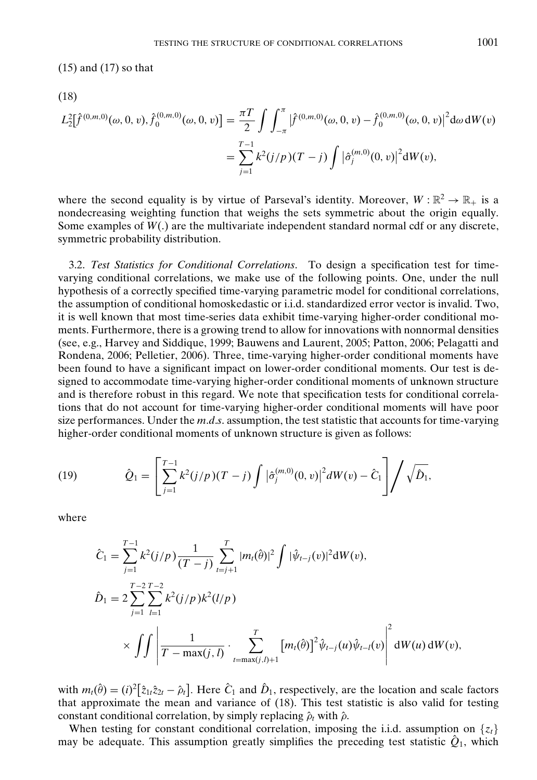(15) and (17) so that

(18)

$$
L_2^2[\hat{f}^{(0,m,0)}(\omega,0,v),\hat{f}_0^{(0,m,0)}(\omega,0,v)] = \frac{\pi T}{2} \int \int_{-\pi}^{\pi} |\hat{f}^{(0,m,0)}(\omega,0,v) - \hat{f}_0^{(0,m,0)}(\omega,0,v)|^2 d\omega dW(v)
$$
  
= 
$$
\sum_{j=1}^{T-1} k^2 (j/p) (T-j) \int |\hat{\sigma}_j^{(m,0)}(0,v)|^2 dW(v),
$$

where the second equality is by virtue of Parseval's identity. Moreover,  $W : \mathbb{R}^2 \to \mathbb{R}_+$  is a nondecreasing weighting function that weighs the sets symmetric about the origin equally. Some examples of *W*(.) are the multivariate independent standard normal cdf or any discrete, symmetric probability distribution.

3.2. *Test Statistics for Conditional Correlations*. To design a specification test for timevarying conditional correlations, we make use of the following points. One, under the null hypothesis of a correctly specified time-varying parametric model for conditional correlations, the assumption of conditional homoskedastic or i.i.d. standardized error vector is invalid. Two, it is well known that most time-series data exhibit time-varying higher-order conditional moments. Furthermore, there is a growing trend to allow for innovations with nonnormal densities (see, e.g., Harvey and Siddique, 1999; Bauwens and Laurent, 2005; Patton, 2006; Pelagatti and Rondena, 2006; Pelletier, 2006). Three, time-varying higher-order conditional moments have been found to have a significant impact on lower-order conditional moments. Our test is designed to accommodate time-varying higher-order conditional moments of unknown structure and is therefore robust in this regard. We note that specification tests for conditional correlations that do not account for time-varying higher-order conditional moments will have poor size performances. Under the *m*.*d*.*s*. assumption, the test statistic that accounts for time-varying higher-order conditional moments of unknown structure is given as follows:

(19) 
$$
\hat{Q}_1 = \left[ \sum_{j=1}^{T-1} k^2 (j/p) (T-j) \int |\hat{\sigma}_j^{(m,0)}(0,v)|^2 dW(v) - \hat{C}_1 \right] / \sqrt{\hat{D}_1},
$$

where

$$
\hat{C}_1 = \sum_{j=1}^{T-1} k^2 (j/p) \frac{1}{(T-j)} \sum_{t=j+1}^T |m_t(\hat{\theta})|^2 \int |\hat{\psi}_{t-j}(v)|^2 dW(v),
$$
  

$$
\hat{D}_1 = 2 \sum_{j=1}^{T-2} \sum_{l=1}^{T-2} k^2 (j/p) k^2 (l/p)
$$
  

$$
\times \int \int \left| \frac{1}{T - \max(j,l)} \cdot \sum_{t=\max(j,l)+1}^T [m_t(\hat{\theta})]^2 \hat{\psi}_{t-j}(u) \hat{\psi}_{t-l}(v) \right|^2 dW(u) dW(v),
$$

with  $m_t(\hat{\theta}) = (i)^2 [\hat{z}_{1t}\hat{z}_{2t} - \hat{\rho}_t]$ . Here  $\hat{C}_1$  and  $\hat{D}_1$ , respectively, are the location and scale factors that approximate the mean and variance of (18). This test statistic is also valid for testing constant conditional correlation, by simply replacing  $\hat{\rho}_t$  with  $\hat{\rho}$ .

When testing for constant conditional correlation, imposing the i.i.d. assumption on  $\{z_t\}$ may be adequate. This assumption greatly simplifies the preceding test statistic  $\hat{Q}_1$ , which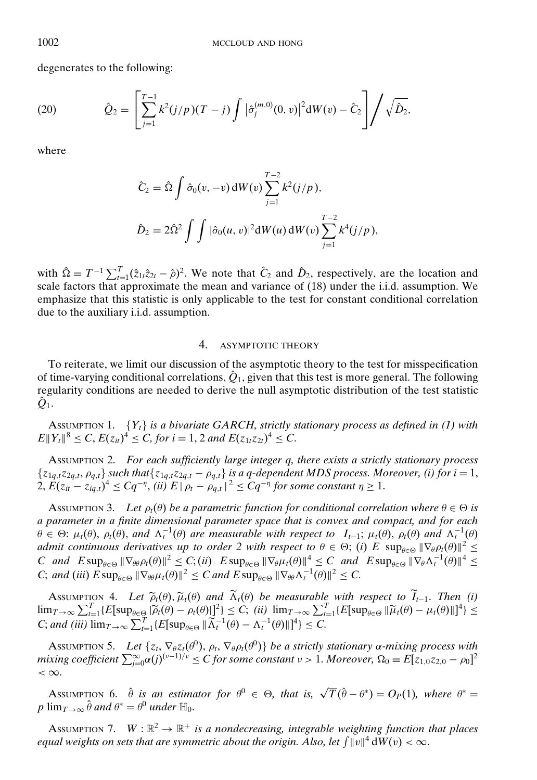degenerates to the following:

(20) 
$$
\hat{Q}_2 = \left[ \sum_{j=1}^{T-1} k^2 (j/p) (T-j) \int |\hat{\sigma}_j^{(m,0)}(0, v)|^2 dW(v) - \hat{C}_2 \right] / \sqrt{\hat{D}_2},
$$

where

$$
\hat{C}_2 = \hat{\Omega} \int \hat{\sigma}_0(v, -v) dW(v) \sum_{j=1}^{T-2} k^2 (j/p),
$$
  

$$
\hat{D}_2 = 2\hat{\Omega}^2 \int \int |\hat{\sigma}_0(u, v)|^2 dW(u) dW(v) \sum_{j=1}^{T-2} k^4 (j/p),
$$

with  $\hat{\Omega} = T^{-1} \sum_{t=1}^{T} (\hat{z}_{1t} \hat{z}_{2t} - \hat{\rho})^2$ . We note that  $\hat{C}_2$  and  $\hat{D}_2$ , respectively, are the location and scale factors that approximate the mean and variance of (18) under the i.i.d. assumption. We emphasize that this statistic is only applicable to the test for constant conditional correlation due to the auxiliary i.i.d. assumption.

## 4. ASYMPTOTIC THEORY

To reiterate, we limit our discussion of the asymptotic theory to the test for misspecification of time-varying conditional correlations,  $\hat{Q}_1$ , given that this test is more general. The following regularity conditions are needed to derive the null asymptotic distribution of the test statistic  $\ddot{Q}_1$ .

ASSUMPTION 1. {*Yt*} *is a bivariate GARCH, strictly stationary process as defined in (1) with*  $E\|Y_t\|^8 \leq C$ ,  $E(z_{it})^4 \leq C$ , for  $i = 1, 2$  and  $E(z_{1t}z_{2t})^4 \leq C$ .

ASSUMPTION 2. *For each sufficiently large integer q, there exists a strictly stationary process*  $\{z_{1q,t}z_{2q,t}, \rho_{q,t}\}\$  *such that* $\{z_{1q,t}z_{2q,t} - \rho_{q,t}\}\$  *is a q-dependent MDS process. Moreover, (i) for*  $i = 1$ *,*  $2, E(z_{it} - z_{iq,t})^4 \leq Cq^{-\eta},$  *(ii)*  $E | \rho_t - \rho_{q,t} |^2 \leq Cq^{-\eta}$  for some constant  $\eta \geq 1$ .

ASSUMPTION 3. Let  $\rho_t(\theta)$  be a parametric function for conditional correlation where  $\theta \in \Theta$  is *a parameter in a finite dimensional parameter space that is convex and compact, and for each*  $\theta \in \Theta$ :  $\mu_t(\theta)$ ,  $\rho_t(\theta)$ , and  $\Lambda_t^{-1}(\theta)$  are measurable with respect to  $I_{t-1}$ ;  $\mu_t(\theta)$ ,  $\rho_t(\theta)$  and  $\Lambda_t^{-1}(\theta)$ *admit continuous derivatives up to order 2 with respect to*  $\theta \in \Theta$ ; (*i*) *E* sup<sub> $\theta \in \Theta$   $\|\nabla_{\theta} \rho_t(\theta)\|^2 \leq$ </sub> *C* and  $E \sup_{\theta \in \Theta} \|\nabla_{\theta} \rho_t(\theta)\|^2 \leq C$ ; (*ii*)  $E \sup_{\theta \in \Theta} \|\nabla_{\theta} \mu_t(\theta)\|^4 \leq C$  and  $E \sup_{\theta \in \Theta} \|\nabla_{\theta} \Lambda_t^{-1}(\theta)\|^4 \leq C$ *C*; *and* (*iii*)  $E \sup_{\theta \in \Theta} \|\nabla_{\theta \theta} \mu_t(\theta)\|^2 \leq C$  *and*  $E \sup_{\theta \in \Theta} \|\nabla_{\theta \theta} \Lambda_t^{-1}(\theta)\|^2 \leq C$ .

ASSUMPTION 4. Let  $\tilde{\rho}_t(\theta)$ ,  $\tilde{\mu}_t(\theta)$  and  $\Lambda_t(\theta)$  be measurable with respect to  $I_{t-1}$ . Then (i)<br>  $\lim_{T\to\infty}\sum_{l=1}^T\{E[\sup_{\theta\in\Theta}|\tilde{\rho}_t(\theta)-\rho_t(\theta)]\}^2\} \leq C$ ; (ii)  $\lim_{T\to\infty}\sum_{l=1}^T\{E[\sup_{\theta\in\Theta}||\tilde{\mu}_t(\theta)-\mu_t(\$ *C*; *and* (*iii*)  $\lim_{T \to \infty} \sum_{t=1}^{T} \{ E[\sup_{\theta \in \Theta} ||\widetilde{\Lambda}_t^{-1}(\theta) - \Lambda_t^{-1}(\theta) ||]^4 \} \leq C$ .

Assumption 5. *Let*  $\{z_t, \nabla_\theta z_t(\theta^0), \rho_t, \nabla_\theta \rho_t(\theta^0)\}$  *be a strictly stationary*  $\alpha$ *-mixing process with*  $mixing\ coefficient\ \sum_{j=0}^{\infty}\alpha(j)^{(v-1)/v}\le C\ for\ some\ constant\ v>1.\ Moreover,\ \Omega_0\equiv E[z_{1,0}z_{2,0}-\rho_0]^2$  $< \infty$ .

ASSUMPTION 6.  $\hat{\theta}$  *is an estimator for*  $\theta^0 \in \Theta$ , *that is,*  $\sqrt{T}(\hat{\theta} - \theta^*) = O_P(1)$ , *where*  $\theta^* =$ *p*  $\lim_{T\to\infty} \hat{\theta}$  *and*  $\theta^* = \theta^0$  *under*  $\mathbb{H}_0$ .

Assumption 7.  $W : \mathbb{R}^2 \to \mathbb{R}^+$  *is a nondecreasing, integrable weighting function that places equal weights on sets that are symmetric about the origin. Also, let*  $\int ||v||^4 dW(v) < \infty$ .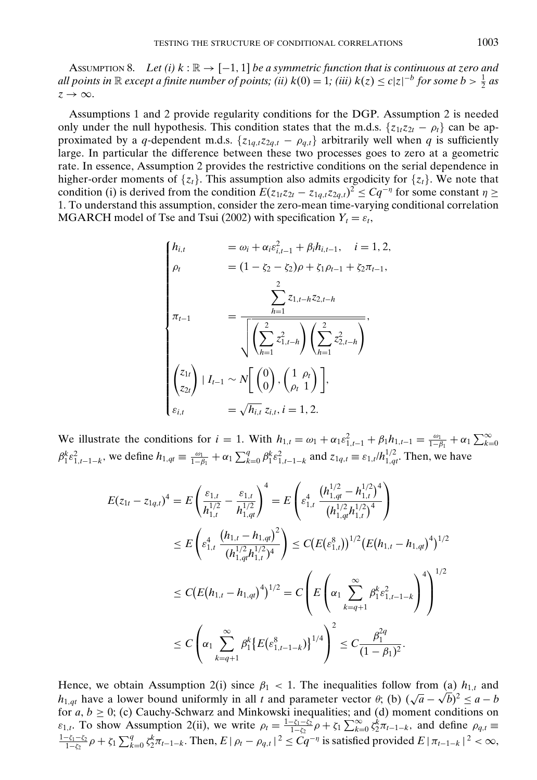ASSUMPTION 8. Let (i)  $k : \mathbb{R} \to [-1, 1]$  be a symmetric function that is continuous at zero and *all points in*  $\mathbb R$  *except a finite number of points; (ii)*  $k(0) = 1$ ; *(iii)*  $k(z) \le c|z|^{-b}$  *for some b* >  $\frac{1}{2}$  *as*  $z \rightarrow \infty$ .

Assumptions 1 and 2 provide regularity conditions for the DGP. Assumption 2 is needed only under the null hypothesis. This condition states that the m.d.s.  $\{z_{1t}z_{2t} - \rho_t\}$  can be approximated by a *q*-dependent m.d.s.  $\{z_{1q,t}z_{2q,t} - \rho_{q,t}\}$  arbitrarily well when *q* is sufficiently large. In particular the difference between these two processes goes to zero at a geometric rate. In essence, Assumption 2 provides the restrictive conditions on the serial dependence in higher-order moments of  $\{z_t\}$ . This assumption also admits ergodicity for  $\{z_t\}$ . We note that condition (i) is derived from the condition  $E(z_{1t}z_{2t} - z_{1q,t}z_{2q,t})^2 \le Cq^{-\eta}$  for some constant  $\eta \ge$ 1. To understand this assumption, consider the zero-mean time-varying conditional correlation MGARCH model of Tse and Tsui (2002) with specification  $Y_t = \varepsilon_t$ ,

$$
\begin{cases}\nh_{i,t} &= \omega_i + \alpha_i \varepsilon_{i,t-1}^2 + \beta_i h_{i,t-1}, \quad i = 1, 2, \\
\rho_t &= (1 - \zeta_2 - \zeta_2)\rho + \zeta_1 \rho_{t-1} + \zeta_2 \pi_{t-1}, \\
& \sum_{h=1}^2 z_{1,t-h} z_{2,t-h} \\
\pi_{t-1} &= \frac{\sum_{h=1}^2 z_{1,t-h} z_{2,t-h}}{\sqrt{\left(\sum_{h=1}^2 z_{1,t-h}^2\right) \left(\sum_{h=1}^2 z_{2,t-h}^2\right)}}, \\
& \begin{cases}\nz_{1t} \\
z_{2t}\n\end{cases} | I_{t-1} \sim N \left[\begin{pmatrix} 0 \\ 0 \end{pmatrix}, \left(\frac{1}{\rho_t} \right) \right], \\
& \varepsilon_{i,t} &= \sqrt{h_{i,t}} z_{i,t}, i = 1, 2.\n\end{cases}
$$

We illustrate the conditions for  $i = 1$ . With  $h_{1,t} = \omega_1 + \alpha_1 \varepsilon_{1,t-1}^2 + \beta_1 h_{1,t-1} = \frac{\omega_1}{1-\beta_1} + \alpha_1 \sum_{k=0}^{\infty}$  $\beta_1^k \varepsilon_{1,t-1-k}^2$ , we define  $h_{1,qt} \equiv \frac{\omega_1}{1-\beta_1} + \alpha_1 \sum_{k=0}^q \beta_1^k \varepsilon_{1,t-1-k}^2$  and  $z_{1q,t} \equiv \varepsilon_{1,t}/h_{1,qt}^{1/2}$ . Then, we have

$$
E(z_{1t} - z_{1q,t})^4 = E\left(\frac{\varepsilon_{1,t}}{h_{1,t}^{1/2}} - \frac{\varepsilon_{1,t}}{h_{1,qt}^{1/2}}\right)^4 = E\left(\varepsilon_{1,t}^4 \frac{\left(h_{1,qt}^{1/2} - h_{1,t}^{1/2}\right)^4}{\left(h_{1,qt}^{1/2}h_{1,t}^{1/2}\right)^4}\right)
$$
  
\n
$$
\leq E\left(\varepsilon_{1,t}^4 \frac{\left(h_{1,t} - h_{1,qt}\right)^2}{\left(h_{1,qt}^{1/2}h_{1,t}^{1/2}\right)^4}\right) \leq C\left(E(\varepsilon_{1,t}^8)\right)^{1/2}\left(E(h_{1,t} - h_{1,qt})^4\right)^{1/2}
$$
  
\n
$$
\leq C\left(E(h_{1,t} - h_{1,qt})^4\right)^{1/2} = C\left(E\left(\alpha_1 \sum_{k=q+1}^\infty \beta_1^k \varepsilon_{1,t-1-k}^2\right)^4\right)^{1/2}
$$
  
\n
$$
\leq C\left(\alpha_1 \sum_{k=q+1}^\infty \beta_1^k \left\{E(\varepsilon_{1,t-1-k}^8)\right\}^{1/4}\right)^2 \leq C\frac{\beta_1^{2q}}{(1-\beta_1)^2}.
$$

Hence, we obtain Assumption 2(i) since  $\beta_1$  < 1. The inequalities follow from (a)  $h_{1,t}$  and *h*<sub>1,*qt*</sub> have a lower bound uniformly in all *t* and parameter vector  $\theta$ ; (b)  $(\sqrt{a} - \sqrt{b})^2 \le a - b$ for  $a, b \geq 0$ ; (c) Cauchy-Schwarz and Minkowski inequalities; and (d) moment conditions on  $\varepsilon_{1,t}$ . To show Assumption 2(ii), we write  $\rho_t = \frac{1-\zeta_1-\zeta_2}{1-\zeta_2} \rho + \zeta_1 \sum_{k=0}^{\infty} \zeta_2^k \pi_{t-1-k}$ , and define  $\rho_{q,t} \equiv$  $\frac{1-\zeta_1-\zeta_2}{1-\zeta_2}$ ρ +  $\zeta_1 \sum_{k=0}^q \zeta_2^k \pi_{t-1-k}$ . Then,  $E | \rho_t - \rho_{q,t} |^2 \leq C q^{-\eta}$  is satisfied provided  $E | \pi_{t-1-k} |^2 < \infty$ ,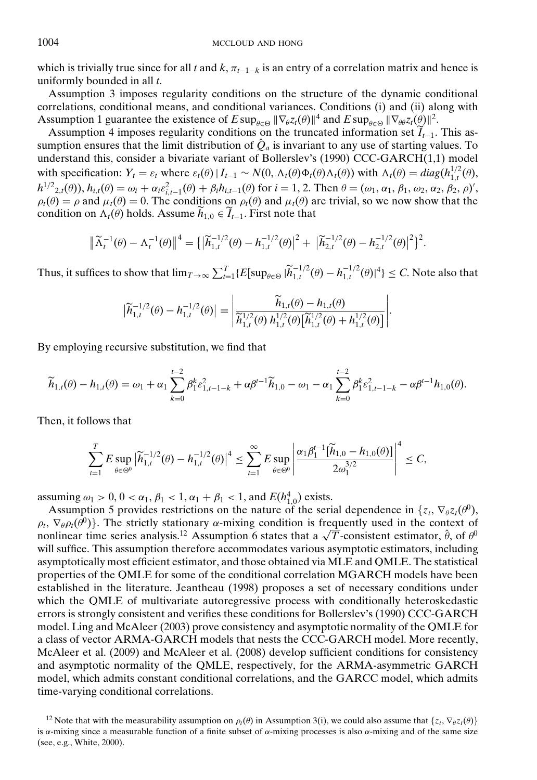which is trivially true since for all *t* and  $k$ ,  $\pi_{t-1-k}$  is an entry of a correlation matrix and hence is uniformly bounded in all *t*.

Assumption 3 imposes regularity conditions on the structure of the dynamic conditional correlations, conditional means, and conditional variances. Conditions (i) and (ii) along with Assumption 1 guarantee the existence of  $E \sup_{\theta \in \Theta} \|\nabla_{\theta} z_t(\theta)\|^4$  and  $E \sup_{\theta \in \Theta} \|\nabla_{\theta} \varphi z_t(\theta)\|^2$ .

Assumption 4 imposes regularity conditions on the truncated information set  $\widetilde{I}_{t-1}$ . This assumption ensures that the limit distribution of  $\hat{Q}_a$  is invariant to any use of starting values. To understand this, consider a bivariate variant of Bollerslev's (1990) CCC-GARCH(1,1) model with specification:  $Y_t = \varepsilon_t$  where  $\varepsilon_t(\theta) | I_{t-1} \sim N(0, \Lambda_t(\theta) \Phi_t(\theta) \Lambda_t(\theta))$  with  $\Lambda_t(\theta) = diag(h_{1,t}^{1/2}(\theta),$  $h^{1/2}$ <sub>2</sub>,*t*( $\theta$ )),  $h_{i,t}(\theta) = \omega_i + \alpha_i \varepsilon_{i,t-1}^2(\theta) + \beta_i h_{i,t-1}(\theta)$  for  $i = 1, 2$ . Then  $\theta = (\omega_1, \alpha_1, \beta_1, \omega_2, \alpha_2, \beta_2, \rho)'$ ,  $\rho_t(\theta) = \rho$  and  $\mu_t(\theta) = 0$ . The conditions on  $\rho_t(\theta)$  and  $\mu_t(\theta)$  are trivial, so we now show that the condition on  $\Lambda_t(\theta)$  holds. Assume  $\widetilde{h}_{1,0} \in \widetilde{I}_{t-1}$ . First note that

$$
\|\widetilde{\Lambda}_t^{-1}(\theta) - \Lambda_t^{-1}(\theta)\|^4 = \left\{\left|\widetilde{h}_{1,t}^{-1/2}(\theta) - h_{1,t}^{-1/2}(\theta)\right|^2 + \left|\widetilde{h}_{2,t}^{-1/2}(\theta) - h_{2,t}^{-1/2}(\theta)\right|^2\right\}^2.
$$

Thus, it suffices to show that  $\lim_{T\to\infty}\sum_{t=1}^T\{E[\sup_{\theta\in\Theta}|\widetilde{h}_{1,t}^{-1/2}(\theta)-h_{1,t}^{-1/2}(\theta)]^4\}\leq C$ . Note also that

$$
\left|\widetilde{h}_{1,t}^{-1/2}(\theta)-h_{1,t}^{-1/2}(\theta)\right|=\left|\frac{\widetilde{h}_{1,t}(\theta)-h_{1,t}(\theta)}{\widetilde{h}_{1,t}^{1/2}(\theta)\,h_{1,t}^{1/2}(\theta)\big[\widetilde{h}_{1,t}^{1/2}(\theta)+h_{1,t}^{1/2}(\theta)\big]}\right|.
$$

By employing recursive substitution, we find that

$$
\widetilde{h}_{1,t}(\theta) - h_{1,t}(\theta) = \omega_1 + \alpha_1 \sum_{k=0}^{t-2} \beta_1^k \varepsilon_{1,t-1-k}^2 + \alpha \beta^{t-1} \widetilde{h}_{1,0} - \omega_1 - \alpha_1 \sum_{k=0}^{t-2} \beta_1^k \varepsilon_{1,t-1-k}^2 - \alpha \beta^{t-1} h_{1,0}(\theta).
$$

Then, it follows that

$$
\sum_{t=1}^T E \sup_{\theta \in \Theta^0} \left| \widetilde{h}_{1,t}^{-1/2}(\theta) - h_{1,t}^{-1/2}(\theta) \right|^4 \leq \sum_{t=1}^\infty E \sup_{\theta \in \Theta^0} \left| \frac{\alpha_1 \beta_1^{t-1} [\widetilde{h}_{1,0} - h_{1,0}(\theta)]}{2\omega_1^{3/2}} \right|^4 \leq C,
$$

assuming  $\omega_1 > 0$ ,  $0 < \alpha_1$ ,  $\beta_1 < 1$ ,  $\alpha_1 + \beta_1 < 1$ , and  $E(h_{1,0}^4)$  exists.

Assumption 5 provides restrictions on the nature of the serial dependence in  $\{z_t, \nabla_\theta z_t(\theta^0),\}$  $\rho_t$ ,  $\nabla_{\theta} \rho_t(\hat{\theta}^0)$ . The strictly stationary  $\alpha$ -mixing condition is frequently used in the context of  $\rho_t$ ,  $\nabla_{\theta} \rho_t(\theta^{\alpha})$ . The strictly stationary  $\alpha$ -mixing condition is frequently used in the context of nonlinear time series analysis.<sup>12</sup> Assumption 6 states that a  $\sqrt{T}$ -consistent estimator,  $\hat{\theta}$ , of  $\theta^0$ will suffice. This assumption therefore accommodates various asymptotic estimators, including asymptotically most efficient estimator, and those obtained via MLE and QMLE. The statistical properties of the QMLE for some of the conditional correlation MGARCH models have been established in the literature. Jeantheau (1998) proposes a set of necessary conditions under which the QMLE of multivariate autoregressive process with conditionally heteroskedastic errors is strongly consistent and verifies these conditions for Bollerslev's (1990) CCC-GARCH model. Ling and McAleer (2003) prove consistency and asymptotic normality of the QMLE for a class of vector ARMA-GARCH models that nests the CCC-GARCH model. More recently, McAleer et al. (2009) and McAleer et al. (2008) develop sufficient conditions for consistency and asymptotic normality of the QMLE, respectively, for the ARMA-asymmetric GARCH model, which admits constant conditional correlations, and the GARCC model, which admits time-varying conditional correlations.

<sup>&</sup>lt;sup>12</sup> Note that with the measurability assumption on  $\rho_t(\theta)$  in Assumption 3(i), we could also assume that  $\{z_t, \nabla_\theta z_t(\theta)\}$ is  $\alpha$ -mixing since a measurable function of a finite subset of  $\alpha$ -mixing processes is also  $\alpha$ -mixing and of the same size (see, e.g., White, 2000).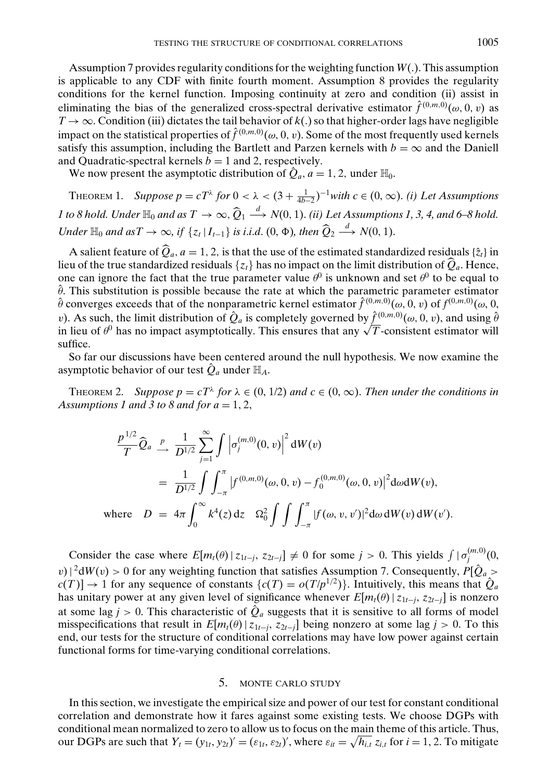Assumption 7 provides regularity conditions for the weighting function *W*(.). This assumption is applicable to any CDF with finite fourth moment. Assumption 8 provides the regularity conditions for the kernel function. Imposing continuity at zero and condition (ii) assist in eliminating the bias of the generalized cross-spectral derivative estimator  $\hat{f}^{(0,m,0)}(\omega,0,v)$  as  $T \rightarrow \infty$ . Condition (iii) dictates the tail behavior of  $k(.)$  so that higher-order lags have negligible impact on the statistical properties of  $\hat{f}^{(0,m,0)}(ω, 0, v)$ . Some of the most frequently used kernels satisfy this assumption, including the Bartlett and Parzen kernels with  $b = \infty$  and the Daniell and Quadratic-spectral kernels  $b = 1$  and 2, respectively.

We now present the asymptotic distribution of  $\hat{Q}_a$ ,  $a = 1, 2$ , under  $\mathbb{H}_0$ .

THEOREM 1. *Suppose p* =  $cT^{\lambda}$  *for* 0 <  $\lambda$  <  $(3 + \frac{1}{4b-2})^{-1}$ *with c* ∈  $(0, \infty)$ . *(i) Let Assumptions 1* to 8 hold. Under  $\mathbb{H}_0$  and as  $T \to \infty$ ,  $\widehat{Q}_1 \stackrel{d}{\longrightarrow} N(0, 1)$ . *(ii)* Let Assumptions 1, 3, 4, and 6–8 hold. *Under*  $\mathbb{H}_0$  *and as*  $T \to \infty$ *, if*  $\{z_t | I_{t-1}\}$  *is i.i.d.*  $(0, \Phi)$ *, then*  $\widehat{Q}_2 \stackrel{d}{\longrightarrow} N(0, 1)$ *.* 

A salient feature of  $\hat{Q}_a$ ,  $a = 1, 2$ , is that the use of the estimated standardized residuals  $\{\hat{z}_t\}$  in lieu of the true standardized residuals  $\{z_t\}$  has no impact on the limit distribution of  $\widehat{Q}_a$ . Hence, one can ignore the fact that the true parameter value  $\theta^0$  is unknown and set  $\theta^0$  to be equal to  $\hat{\theta}$ . This substitution is possible because the rate at which the parametric parameter estimator  $\hat{\theta}$  converges exceeds that of the nonparametric kernel estimator  $\hat{f}^{(0,m,0)}(\omega, 0, v)$  of  $f^{(0,m,0)}(\omega, 0, v)$ *v*). As such, the limit distribution of  $\hat{Q}_a$  is completely governed by  $\hat{f}^{(0,m,0)}(\omega,0,v)$ , and using  $\hat{\theta}$ v). As such, the limit distribution of  $Q_a$  is completely governed by  $f^{(0,m,\nu)}(\omega,0,\nu)$ , and using  $\theta$  in lieu of  $\theta^0$  has no impact asymptotically. This ensures that any  $\sqrt{T}$ -consistent estimator will suffice.

So far our discussions have been centered around the null hypothesis. We now examine the asymptotic behavior of our test  $\mathcal{Q}_a$  under  $\mathbb{H}_A$ .

THEOREM 2. *Suppose*  $p = cT^{\lambda}$  *for*  $\lambda \in (0, 1/2)$  *and*  $c \in (0, \infty)$ *. Then under the conditions in Assumptions 1 and 3 to 8 and for*  $a = 1, 2$ *,* 

$$
\frac{p^{1/2}}{T} \widehat{Q}_a \xrightarrow{p} \frac{1}{D^{1/2}} \sum_{j=1}^{\infty} \int \left| \sigma_j^{(m,0)}(0,v) \right|^2 dW(v)
$$
\n
$$
= \frac{1}{D^{1/2}} \int \int_{-\pi}^{\pi} \left| f^{(0,m,0)}(\omega,0,v) - f_0^{(0,m,0)}(\omega,0,v) \right|^2 d\omega dW(v),
$$
\nwhere  $D = 4\pi \int_0^{\infty} k^4(z) dz \quad \Omega_0^2 \int \int \int_{-\pi}^{\pi} \left| f(\omega, v, v') \right|^2 d\omega dW(v) dW(v').$ 

Consider the case where  $E[m_t(\theta)|z_{1t-j}, z_{2t-j}] \neq 0$  for some  $j > 0$ . This yields  $\int |\sigma_j^{(m,0)}(0, z_{1t-j}, z_{2t-j}]$  $|v|^{2}dW(v) > 0$  for any weighting function that satisfies Assumption 7. Consequently,  $P[\hat{Q}_{a} > 0]$  $c(T) \rightarrow 1$  for any sequence of constants  $\{c(T) = o(T/p^{1/2})\}$ . Intuitively, this means that  $\hat{Q}_a$ has unitary power at any given level of significance whenever  $E[m_t(\theta) | z_{1t-j}, z_{2t-j}]$  is nonzero at some lag  $j > 0$ . This characteristic of  $\hat{Q}_a$  suggests that it is sensitive to all forms of model misspecifications that result in  $E[m_t(\theta)| z_{1t-j}, z_{2t-j}]$  being nonzero at some lag  $j > 0$ . To this end, our tests for the structure of conditional correlations may have low power against certain functional forms for time-varying conditional correlations.

#### 5. MONTE CARLO STUDY

In this section, we investigate the empirical size and power of our test for constant conditional correlation and demonstrate how it fares against some existing tests. We choose DGPs with conditional mean normalized to zero to allow us to focus on the main theme of this article. Thus, our DGPs are such that  $Y_t = (y_{1t}, y_{2t})' = (\varepsilon_{1t}, \varepsilon_{2t})'$ , where  $\varepsilon_{it} = \sqrt{h_{i,t}} z_{i,t}$  for  $i = 1, 2$ . To mitigate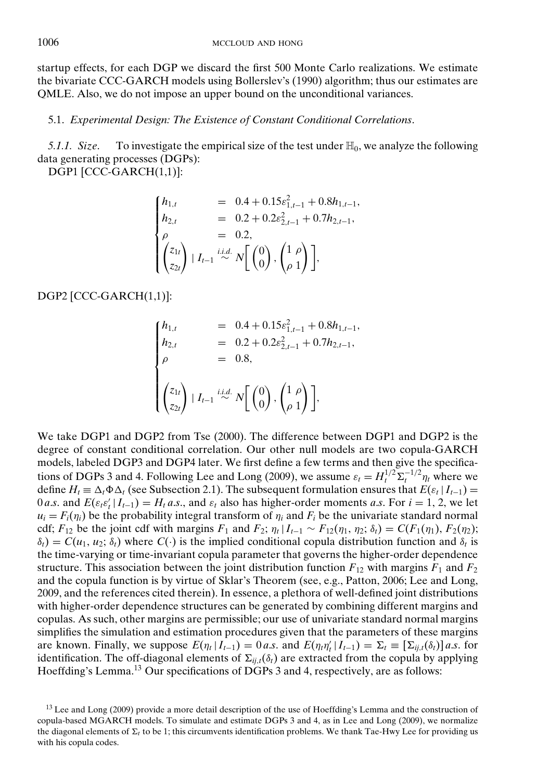startup effects, for each DGP we discard the first 500 Monte Carlo realizations. We estimate the bivariate CCC-GARCH models using Bollerslev's (1990) algorithm; thus our estimates are QMLE. Also, we do not impose an upper bound on the unconditional variances.

## 5.1. *Experimental Design: The Existence of Constant Conditional Correlations*.

*5.1.1. Size.* To investigate the empirical size of the test under  $\mathbb{H}_0$ , we analyze the following data generating processes (DGPs):

DGP1 [CCC-GARCH(1,1)]:

$$
\begin{cases}\nh_{1,t} = 0.4 + 0.15\varepsilon_{1,t-1}^2 + 0.8h_{1,t-1}, \\
h_{2,t} = 0.2 + 0.2\varepsilon_{2,t-1}^2 + 0.7h_{2,t-1}, \\
\rho = 0.2, \\
\left(\zeta_{1t}\right) | I_{t-1} \stackrel{i.i.d.}{\sim} N\left[\begin{pmatrix} 0\\0 \end{pmatrix}, \begin{pmatrix} 1 & \rho\\ \rho & 1 \end{pmatrix} \right],\n\end{cases}
$$

DGP2 [CCC-GARCH(1,1)]:

$$
\begin{cases}\nh_{1,t} &= 0.4 + 0.15\varepsilon_{1,t-1}^2 + 0.8h_{1,t-1}, \\
h_{2,t} &= 0.2 + 0.2\varepsilon_{2,t-1}^2 + 0.7h_{2,t-1}, \\
\rho &= 0.8, \\
\left(\zeta_{1t}\right) | I_{t-1} \stackrel{i.i.d.}{\sim} N\left[\begin{pmatrix}0\\0\end{pmatrix}, \begin{pmatrix}1 & \rho\\ \rho & 1\end{pmatrix}\right],\n\end{cases}
$$

We take DGP1 and DGP2 from Tse (2000). The difference between DGP1 and DGP2 is the degree of constant conditional correlation. Our other null models are two copula-GARCH models, labeled DGP3 and DGP4 later. We first define a few terms and then give the specifications of DGPs 3 and 4. Following Lee and Long (2009), we assume  $\varepsilon_t = H_t^{1/2} \Sigma_t^{-1/2} \eta_t$  where we define  $H_t \equiv \Delta_t \Phi \Delta_t$  (see Subsection 2.1). The subsequent formulation ensures that  $E(\varepsilon_t | I_{t-1}) =$ 0 *a.s.* and  $E(\varepsilon_t \varepsilon'_t | I_{t-1}) = H_t a.s.$ , and  $\varepsilon_t$  also has higher-order moments *a.s.* For  $i = 1, 2$ , we let  $u_i = F_i(\eta_i)$  be the probability integral transform of  $\eta_i$  and  $F_i$  be the univariate standard normal cdf;  $F_{12}$  be the joint cdf with margins  $F_1$  and  $F_2$ ;  $\eta_t | I_{t-1} \sim F_{12}(\eta_1, \eta_2; \delta_t) = C(F_1(\eta_1), F_2(\eta_2);$  $\delta_t$ ) =  $C(u_1, u_2; \delta_t)$  where  $C(\cdot)$  is the implied conditional copula distribution function and  $\delta_t$  is the time-varying or time-invariant copula parameter that governs the higher-order dependence structure. This association between the joint distribution function  $F_{12}$  with margins  $F_1$  and  $F_2$ and the copula function is by virtue of Sklar's Theorem (see, e.g., Patton, 2006; Lee and Long, 2009, and the references cited therein). In essence, a plethora of well-defined joint distributions with higher-order dependence structures can be generated by combining different margins and copulas. As such, other margins are permissible; our use of univariate standard normal margins simplifies the simulation and estimation procedures given that the parameters of these margins are known. Finally, we suppose  $E(\eta_t | I_{t-1}) = 0$  *a.s.* and  $E(\eta_t \eta'_t | I_{t-1}) = \Sigma_t \equiv [\Sigma_{ij,t}(\delta_t)]$  *a.s.* for identification. The off-diagonal elements of  $\Sigma_{ii}$ , $(\delta_t)$  are extracted from the copula by applying Hoeffding's Lemma.<sup>13</sup> Our specifications of DGPs 3 and 4, respectively, are as follows:

<sup>&</sup>lt;sup>13</sup> Lee and Long (2009) provide a more detail description of the use of Hoeffding's Lemma and the construction of copula-based MGARCH models. To simulate and estimate DGPs 3 and 4, as in Lee and Long (2009), we normalize the diagonal elements of  $\Sigma_t$  to be 1; this circumvents identification problems. We thank Tae-Hwy Lee for providing us with his copula codes.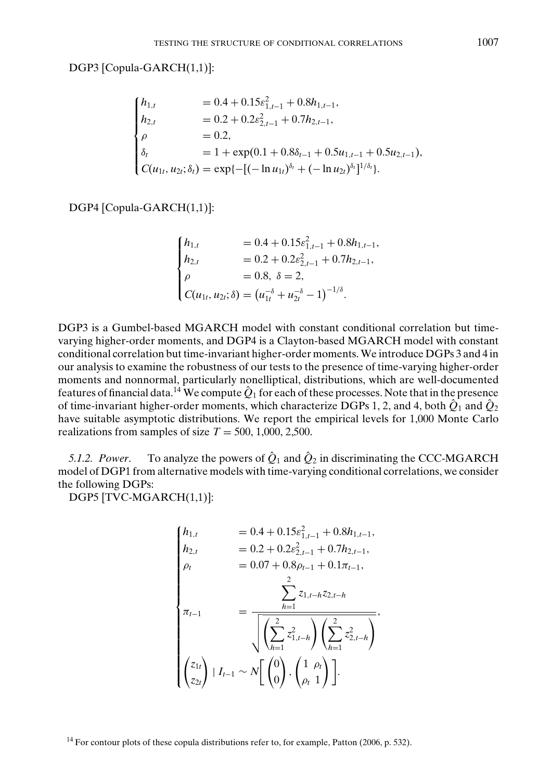DGP3 [Copula-GARCH(1,1)]:

$$
\begin{cases}\nh_{1,t} = 0.4 + 0.15\varepsilon_{1,t-1}^2 + 0.8h_{1,t-1}, \\
h_{2,t} = 0.2 + 0.2\varepsilon_{2,t-1}^2 + 0.7h_{2,t-1}, \\
\rho = 0.2, \\
\delta_t = 1 + \exp(0.1 + 0.8\delta_{t-1} + 0.5u_{1,t-1} + 0.5u_{2,t-1}), \\
C(u_{1t}, u_{2t}; \delta_t) = \exp\{-[(-\ln u_{1t})^{\delta_t} + (-\ln u_{2t})^{\delta_t}]^{1/\delta_t}\}.\n\end{cases}
$$

DGP4 [Copula-GARCH(1,1)]:

$$
\begin{cases}\nh_{1,t} = 0.4 + 0.15\varepsilon_{1,t-1}^2 + 0.8h_{1,t-1}, \\
h_{2,t} = 0.2 + 0.2\varepsilon_{2,t-1}^2 + 0.7h_{2,t-1}, \\
\rho = 0.8, \delta = 2, \\
C(u_{1t}, u_{2t}; \delta) = (u_{1t}^{-\delta} + u_{2t}^{-\delta} - 1)^{-1/\delta}.\n\end{cases}
$$

DGP3 is a Gumbel-based MGARCH model with constant conditional correlation but timevarying higher-order moments, and DGP4 is a Clayton-based MGARCH model with constant conditional correlation but time-invariant higher-order moments.We introduce DGPs 3 and 4 in our analysis to examine the robustness of our tests to the presence of time-varying higher-order moments and nonnormal, particularly nonelliptical, distributions, which are well-documented features of financial data.<sup>14</sup> We compute  $\hat{Q}_1$  for each of these processes. Note that in the presence of time-invariant higher-order moments, which characterize DGPs 1, 2, and 4, both  $\hat{Q}_1$  and  $\hat{Q}_2$ have suitable asymptotic distributions. We report the empirical levels for 1,000 Monte Carlo realizations from samples of size  $T = 500, 1,000, 2,500$ .

*5.1.2. Power.* To analyze the powers of  $\hat{Q}_1$  and  $\hat{Q}_2$  in discriminating the CCC-MGARCH model of DGP1 from alternative models with time-varying conditional correlations, we consider the following DGPs:

DGP5 [TVC-MGARCH(1,1)]:

$$
\begin{cases}\nh_{1,t} &= 0.4 + 0.15\varepsilon_{1,t-1}^2 + 0.8h_{1,t-1}, \\
h_{2,t} &= 0.2 + 0.2\varepsilon_{2,t-1}^2 + 0.7h_{2,t-1}, \\
\rho_t &= 0.07 + 0.8\rho_{t-1} + 0.1\pi_{t-1}, \\
\frac{\sum_{h=1}^{2} z_{1,t-h} z_{2,t-h}}{\sqrt{\left(\sum_{h=1}^{2} z_{1,t-h}^2\right)\left(\sum_{h=1}^{2} z_{2,t-h}^2\right)}}, \\
\frac{\left(z_{1t}\right)}{\left(z_{2t}\right) \mid I_{t-1} \sim N\left[\begin{pmatrix}0\\0\end{pmatrix}, \begin{pmatrix}1 & \rho_t\\ \rho_t & 1\end{pmatrix}\right].\n\end{cases}
$$

<sup>&</sup>lt;sup>14</sup> For contour plots of these copula distributions refer to, for example, Patton (2006, p. 532).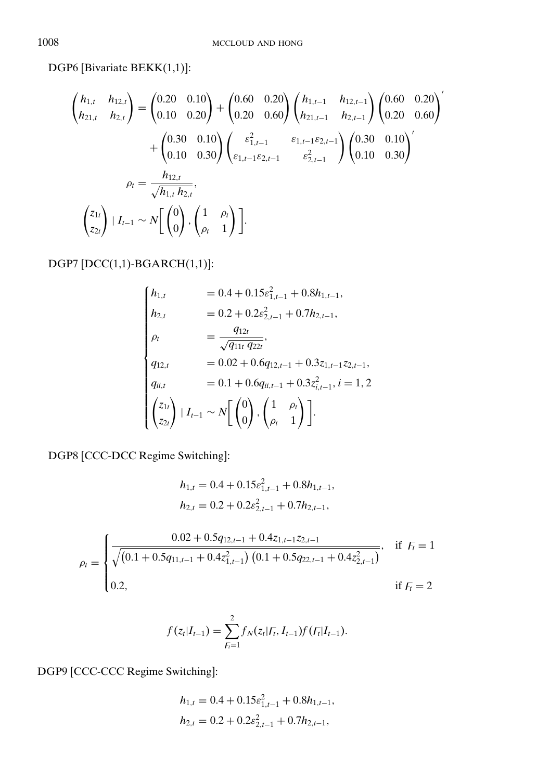DGP6 [Bivariate BEKK(1,1)]:

$$
\begin{pmatrix}\nh_{1,t} & h_{12,t} \\
h_{21,t} & h_{2,t}\n\end{pmatrix} = \begin{pmatrix}\n0.20 & 0.10 \\
0.10 & 0.20\n\end{pmatrix} + \begin{pmatrix}\n0.60 & 0.20 \\
0.20 & 0.60\n\end{pmatrix} \begin{pmatrix}\nh_{1,t-1} & h_{12,t-1} \\
h_{21,t-1} & h_{2,t-1}\n\end{pmatrix} \begin{pmatrix}\n0.60 & 0.20 \\
0.20 & 0.60\n\end{pmatrix}'
$$
\n
$$
+ \begin{pmatrix}\n0.30 & 0.10 \\
0.10 & 0.30\n\end{pmatrix} \begin{pmatrix}\n\varepsilon_{1,t-1}^2 & \varepsilon_{1,t-1}\varepsilon_{2,t-1} \\
\varepsilon_{1,t-1}\varepsilon_{2,t-1} & \varepsilon_{2,t-1}^2\n\end{pmatrix} \begin{pmatrix}\n0.30 & 0.10 \\
0.10 & 0.30\n\end{pmatrix}'
$$
\n
$$
\rho_t = \frac{h_{12,t}}{\sqrt{h_{1,t} h_{2,t}}},
$$
\n
$$
\begin{pmatrix}\nz_{1t} \\
z_{2t}\n\end{pmatrix} | I_{t-1} \sim N \begin{bmatrix}\n0 \\
0\n\end{bmatrix}, \begin{pmatrix}\n1 & \rho_t \\
\rho_t & 1\n\end{pmatrix}.
$$

DGP7 [DCC(1,1)-BGARCH(1,1)]:

$$
\begin{cases}\nh_{1,t} = 0.4 + 0.15\varepsilon_{1,t-1}^2 + 0.8h_{1,t-1}, \\
h_{2,t} = 0.2 + 0.2\varepsilon_{2,t-1}^2 + 0.7h_{2,t-1}, \\
\rho_t = \frac{q_{12t}}{\sqrt{q_{11t} q_{22t}}}, \\
q_{12,t} = 0.02 + 0.6q_{12,t-1} + 0.3z_{1,t-1}z_{2,t-1}, \\
q_{ii,t} = 0.1 + 0.6q_{ii,t-1} + 0.3z_{i,t-1}^2, i = 1, 2 \\
\begin{pmatrix} z_{1t} \\ z_{2t} \end{pmatrix} | I_{t-1} \sim N \begin{bmatrix} 0 \\ 0 \end{bmatrix}, \begin{pmatrix} 1 & \rho_t \\ \rho_t & 1 \end{pmatrix}.\n\end{cases}
$$

DGP8 [CCC-DCC Regime Switching]:

$$
h_{1,t} = 0.4 + 0.15\varepsilon_{1,t-1}^2 + 0.8h_{1,t-1},
$$
  

$$
h_{2,t} = 0.2 + 0.2\varepsilon_{2,t-1}^2 + 0.7h_{2,t-1},
$$

$$
\rho_{t} = \begin{cases}\n\frac{0.02 + 0.5q_{12,t-1} + 0.4z_{1,t-1}z_{2,t-1}}{\sqrt{(0.1 + 0.5q_{11,t-1} + 0.4z_{1,t-1}^2) (0.1 + 0.5q_{22,t-1} + 0.4z_{2,t-1}^2)}}, & \text{if } F_{t} = 1 \\
0.2, & \text{if } F_{t} = 2\n\end{cases}
$$

$$
f(z_t|I_{t-1}) = \sum_{F_i=1}^{2} f_N(z_t|F_t, I_{t-1}) f(F_t|I_{t-1}).
$$

DGP9 [CCC-CCC Regime Switching]:

$$
h_{1,t} = 0.4 + 0.15\varepsilon_{1,t-1}^2 + 0.8h_{1,t-1},
$$
  

$$
h_{2,t} = 0.2 + 0.2\varepsilon_{2,t-1}^2 + 0.7h_{2,t-1},
$$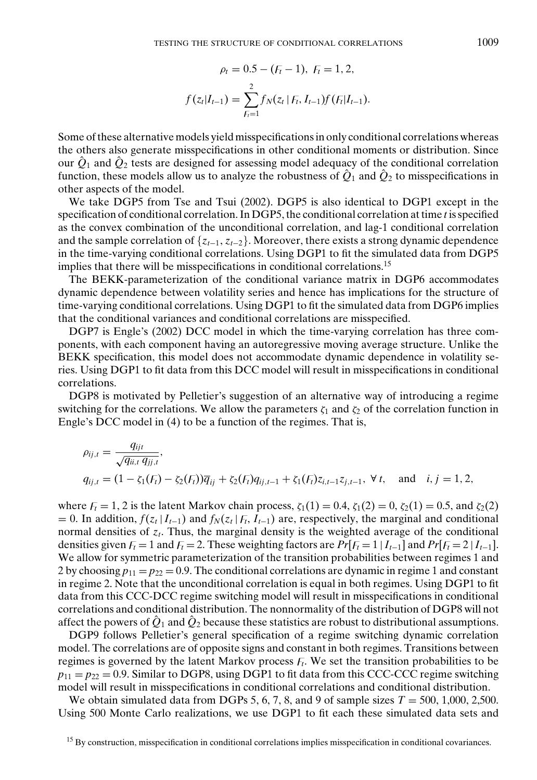$$
\rho_t = 0.5 - (F_t - 1), \ F_t = 1, 2,
$$
  

$$
f(z_t|I_{t-1}) = \sum_{F_t=1}^{2} f_N(z_t|F_t, I_{t-1}) f(F_t|I_{t-1}).
$$

Some of these alternative models yield misspecifications in only conditional correlations whereas the others also generate misspecifications in other conditional moments or distribution. Since our  $\hat{Q}_1$  and  $\hat{Q}_2$  tests are designed for assessing model adequacy of the conditional correlation function, these models allow us to analyze the robustness of  $\hat{Q}_1$  and  $\hat{Q}_2$  to misspecifications in other aspects of the model.

We take DGP5 from Tse and Tsui (2002). DGP5 is also identical to DGP1 except in the specification of conditional correlation. In DGP5, the conditional correlation at time *t* is specified as the convex combination of the unconditional correlation, and lag-1 conditional correlation and the sample correlation of {*zt*−1, *zt*<sup>−</sup>2}. Moreover, there exists a strong dynamic dependence in the time-varying conditional correlations. Using DGP1 to fit the simulated data from DGP5 implies that there will be misspecifications in conditional correlations.<sup>15</sup>

The BEKK-parameterization of the conditional variance matrix in DGP6 accommodates dynamic dependence between volatility series and hence has implications for the structure of time-varying conditional correlations. Using DGP1 to fit the simulated data from DGP6 implies that the conditional variances and conditional correlations are misspecified.

DGP7 is Engle's (2002) DCC model in which the time-varying correlation has three components, with each component having an autoregressive moving average structure. Unlike the BEKK specification, this model does not accommodate dynamic dependence in volatility series. Using DGP1 to fit data from this DCC model will result in misspecifications in conditional correlations.

DGP8 is motivated by Pelletier's suggestion of an alternative way of introducing a regime switching for the correlations. We allow the parameters  $\zeta_1$  and  $\zeta_2$  of the correlation function in Engle's DCC model in (4) to be a function of the regimes. That is,

$$
\rho_{ij,t} = \frac{q_{ijt}}{\sqrt{q_{ii,t} q_{jj,t}}},
$$
  
\n
$$
q_{ij,t} = (1 - \zeta_1(F_t) - \zeta_2(F_t))\overline{q}_{ij} + \zeta_2(F_t)q_{ij,t-1} + \zeta_1(F_t)z_{i,t-1}z_{j,t-1}, \forall t, \text{ and } i, j = 1, 2,
$$

where  $F_t = 1, 2$  is the latent Markov chain process,  $\zeta_1(1) = 0.4$ ,  $\zeta_1(2) = 0$ ,  $\zeta_2(1) = 0.5$ , and  $\zeta_2(2)$  $= 0$ . In addition,  $f(z_t | I_{t-1})$  and  $f_N(z_t | F_t, I_{t-1})$  are, respectively, the marginal and conditional normal densities of *zt*. Thus, the marginal density is the weighted average of the conditional densities given  $F_t = 1$  and  $F_t = 2$ . These weighting factors are  $Pr[F_t = 1 | I_{t-1}]$  and  $Pr[F_t = 2 | I_{t-1}]$ . We allow for symmetric parameterization of the transition probabilities between regimes 1 and 2 by choosing  $p_{11} = p_{22} = 0.9$ . The conditional correlations are dynamic in regime 1 and constant in regime 2. Note that the unconditional correlation is equal in both regimes. Using DGP1 to fit data from this CCC-DCC regime switching model will result in misspecifications in conditional correlations and conditional distribution. The nonnormality of the distribution of DGP8 will not affect the powers of  $\hat{Q}_1$  and  $\hat{Q}_2$  because these statistics are robust to distributional assumptions.

DGP9 follows Pelletier's general specification of a regime switching dynamic correlation model. The correlations are of opposite signs and constant in both regimes. Transitions between regimes is governed by the latent Markov process  $F_t$ . We set the transition probabilities to be  $p_{11} = p_{22} = 0.9$ . Similar to DGP8, using DGP1 to fit data from this CCC-CCC regime switching model will result in misspecifications in conditional correlations and conditional distribution.

We obtain simulated data from DGPs 5, 6, 7, 8, and 9 of sample sizes  $T = 500$ , 1,000, 2,500. Using 500 Monte Carlo realizations, we use DGP1 to fit each these simulated data sets and

<sup>15</sup> By construction, misspecification in conditional correlations implies misspecification in conditional covariances.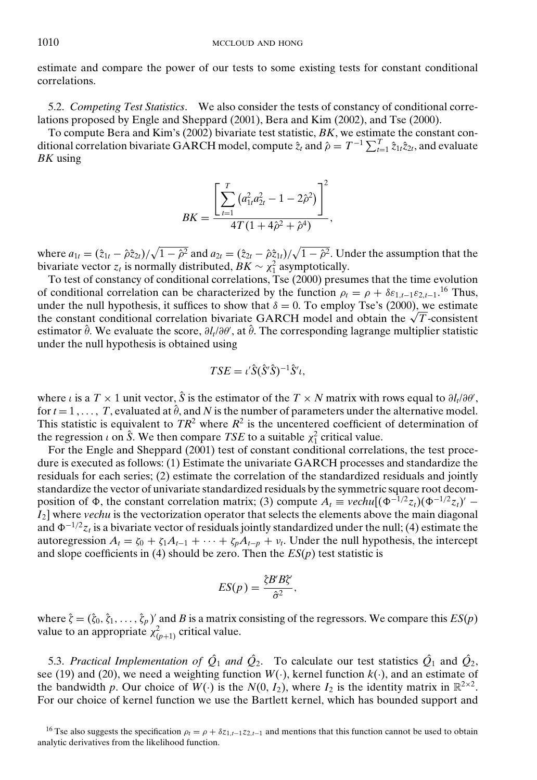estimate and compare the power of our tests to some existing tests for constant conditional correlations.

5.2. *Competing Test Statistics*. We also consider the tests of constancy of conditional correlations proposed by Engle and Sheppard (2001), Bera and Kim (2002), and Tse (2000).

To compute Bera and Kim's (2002) bivariate test statistic, *BK*, we estimate the constant conditional correlation bivariate GARCH model, compute  $\hat{z}_t$  and  $\hat{\rho} = T^{-1} \sum_{t=1}^T \hat{z}_{1t} \hat{z}_{2t}$ , and evaluate *BK* using

$$
BK = \frac{\left[\sum_{t=1}^{T} (a_{1t}^2 a_{2t}^2 - 1 - 2\hat{\rho}^2)\right]^2}{4T(1 + 4\hat{\rho}^2 + \hat{\rho}^4)},
$$

where  $a_{1t} = (\hat{z}_{1t} - \hat{\rho}\hat{z}_{2t})/\sqrt{1-\hat{\rho}^2}$  and  $a_{2t} = (\hat{z}_{2t} - \hat{\rho}\hat{z}_{1t})/\sqrt{1-\hat{\rho}^2}$ . Under the assumption that the bivariate vector  $z_t$  is normally distributed,  $BK \sim \chi_1^2$  asymptotically.

To test of constancy of conditional correlations, Tse (2000) presumes that the time evolution of conditional correlation can be characterized by the function  $\rho_t = \rho + \delta \varepsilon_{1,t-1} \varepsilon_{2,t-1}$ <sup>16</sup> Thus, under the null hypothesis, it suffices to show that  $\delta = 0$ . To employ Tse's (2000), we estimate the constant conditional correlation bivariate GARCH model and obtain the  $\sqrt{T}$ -consistent the constant conditional correlation bivariate GARCH model and obtain the  $\sqrt{T}$ -consistent estimator θ̂. We evaluate the score,  $\partial l_t/\partial \theta'$ , at θ̂. The corresponding lagrange multiplier statistic under the null hypothesis is obtained using

$$
TSE = \iota' \hat{S} (\hat{S}' \hat{S})^{-1} \hat{S}' \iota,
$$

where *i* is a  $T \times 1$  unit vector,  $\hat{S}$  is the estimator of the  $T \times N$  matrix with rows equal to  $\partial l_t / \partial \theta'$ , for  $t = 1, \ldots, T$ , evaluated at  $\hat{\theta}$ , and N is the number of parameters under the alternative model. This statistic is equivalent to  $TR^2$  where  $R^2$  is the uncentered coefficient of determination of the regression  $\iota$  on  $\hat{S}$ . We then compare *TSE* to a suitable  $\chi_1^2$  critical value.

For the Engle and Sheppard (2001) test of constant conditional correlations, the test procedure is executed as follows: (1) Estimate the univariate GARCH processes and standardize the residuals for each series; (2) estimate the correlation of the standardized residuals and jointly standardize the vector of univariate standardized residuals by the symmetric square root decomposition of  $\Phi$ , the constant correlation matrix; (3) compute  $A_t \equiv$  *vechu* $[(\Phi^{-1/2}z_t)(\Phi^{-1/2}z_t) I_2$ ] where *vechu* is the vectorization operator that selects the elements above the main diagonal and  $\Phi^{-1/2}z_t$  is a bivariate vector of residuals jointly standardized under the null; (4) estimate the autoregression  $A_t = \zeta_0 + \zeta_1 A_{t-1} + \cdots + \zeta_p A_{t-p} + v_t$ . Under the null hypothesis, the intercept and slope coefficients in (4) should be zero. Then the *ES*(*p*) test statistic is

$$
ES(p) = \frac{\hat{\zeta} B' B \hat{\zeta}}{\hat{\sigma}^2},
$$

where  $\hat{\zeta} = (\hat{\zeta}_0, \hat{\zeta}_1, \dots, \hat{\zeta}_p)$  and *B* is a matrix consisting of the regressors. We compare this  $ES(p)$ value to an appropriate  $\chi^2_{(p+1)}$  critical value.

5.3. *Practical Implementation of*  $\hat{Q}_1$  *and*  $\hat{Q}_2$ *.* To calculate our test statistics  $\hat{Q}_1$  and  $\hat{Q}_2$ , see (19) and (20), we need a weighting function  $W(.)$ , kernel function  $k(.)$ , and an estimate of the bandwidth *p*. Our choice of  $W(\cdot)$  is the  $N(0, I_2)$ , where  $I_2$  is the identity matrix in  $\mathbb{R}^{2 \times 2}$ . For our choice of kernel function we use the Bartlett kernel, which has bounded support and

<sup>&</sup>lt;sup>16</sup> Tse also suggests the specification  $\rho_1 = \rho + \delta z_{1,t-1} z_{2,t-1}$  and mentions that this function cannot be used to obtain analytic derivatives from the likelihood function.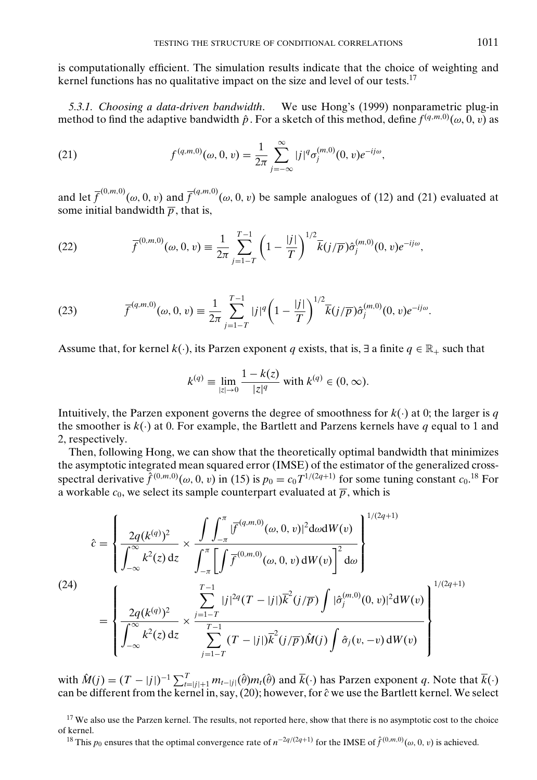is computationally efficient. The simulation results indicate that the choice of weighting and kernel functions has no qualitative impact on the size and level of our tests.<sup>17</sup>

*5.3.1. Choosing a data-driven bandwidth*. We use Hong's (1999) nonparametric plug-in method to find the adaptive bandwidth  $\hat{p}$ . For a sketch of this method, define  $f(q,m,0)(\omega, 0, v)$  as

(21) 
$$
f^{(q,m,0)}(\omega,0,v) = \frac{1}{2\pi} \sum_{j=-\infty}^{\infty} |j|^q \sigma_j^{(m,0)}(0,v) e^{-ij\omega},
$$

and let  $\bar{f}^{(0,m,0)}(\omega,0,v)$  and  $\bar{f}^{(q,m,0)}(\omega,0,v)$  be sample analogues of (12) and (21) evaluated at some initial bandwidth  $\overline{p}$ , that is,

(22) 
$$
\overline{f}^{(0,m,0)}(\omega,0,v) \equiv \frac{1}{2\pi} \sum_{j=1-T}^{T-1} \left(1 - \frac{|j|}{T}\right)^{1/2} \overline{k}(j/\overline{p}) \hat{\sigma}_j^{(m,0)}(0,v) e^{-ij\omega},
$$

(23) 
$$
\overline{f}^{(q,m,0)}(\omega,0,v) \equiv \frac{1}{2\pi} \sum_{j=1-T}^{T-1} |j|^q \left(1 - \frac{|j|}{T}\right)^{1/2} \overline{k}(j/\overline{p}) \hat{\sigma}_j^{(m,0)}(0,v) e^{-ij\omega}.
$$

Assume that, for kernel  $k(.)$ , its Parzen exponent *q* exists, that is,  $\exists$  a finite  $q \in \mathbb{R}_+$  such that

$$
k^{(q)} \equiv \lim_{|z| \to 0} \frac{1 - k(z)}{|z|^q} \text{ with } k^{(q)} \in (0, \infty).
$$

Intuitively, the Parzen exponent governs the degree of smoothness for  $k(\cdot)$  at 0; the larger is *q* the smoother is  $k(\cdot)$  at 0. For example, the Bartlett and Parzens kernels have *q* equal to 1 and 2, respectively.

Then, following Hong, we can show that the theoretically optimal bandwidth that minimizes the asymptotic integrated mean squared error (IMSE) of the estimator of the generalized crossspectral derivative  $\hat{f}^{(0,m,0)}(\omega, 0, v)$  in (15) is  $p_0 = c_0 T^{1/(2q+1)}$  for some tuning constant  $c_0$ .<sup>18</sup> For a workable  $c_0$ , we select its sample counterpart evaluated at  $\overline{p}$ , which is

$$
\hat{c} = \left\{ \frac{2q(k^{(q)})^2}{\int_{-\infty}^{\infty} k^2(z) dz} \times \frac{\int \int_{-\pi}^{\pi} |\overline{f}^{(q,m,0)}(\omega,0,v)|^2 d\omega dW(v)}{\int_{-\pi}^{\pi} \left[ \int \overline{f}^{(0,m,0)}(\omega,0,v) dW(v) \right]^2 d\omega} \right\}^{1/(2q+1)}
$$
\n
$$
(24)
$$
\n
$$
= \left\{ \frac{2q(k^{(q)})^2}{\int_{-\infty}^{\infty} k^2(z) dz} \times \frac{\sum_{j=1-T}^{T-1} |j|^{2q} (T-|j|) \overline{k}^2(j/\overline{p}) \int |\hat{\sigma}_j^{(m,0)}(0,v)|^2 dW(v)}{\sum_{j=1-T}^{T-1} (T-|j|) \overline{k}^2(j/\overline{p}) \hat{M}(j) \int \hat{\sigma}_j(v,-v) dW(v)} \right\}^{1/(2q+1)}
$$

with  $\hat{M}(j) = (T - |j|)^{-1} \sum_{t=|j|+1}^{T} m_{t-|j|}(\hat{\theta}) m_t(\hat{\theta})$  and  $\bar{k}(\cdot)$  has Parzen exponent *q*. Note that  $\bar{k}(\cdot)$ can be different from the kernel in, say, (20); however, for  $\hat{c}$  we use the Bartlett kernel. We select

<sup>17</sup> We also use the Parzen kernel. The results, not reported here, show that there is no asymptotic cost to the choice of kernel.

<sup>18</sup> This  $p_0$  ensures that the optimal convergence rate of  $n^{-2q/(2q+1)}$  for the IMSE of  $\hat{f}^{(0,m,0)}(\omega,0,v)$  is achieved.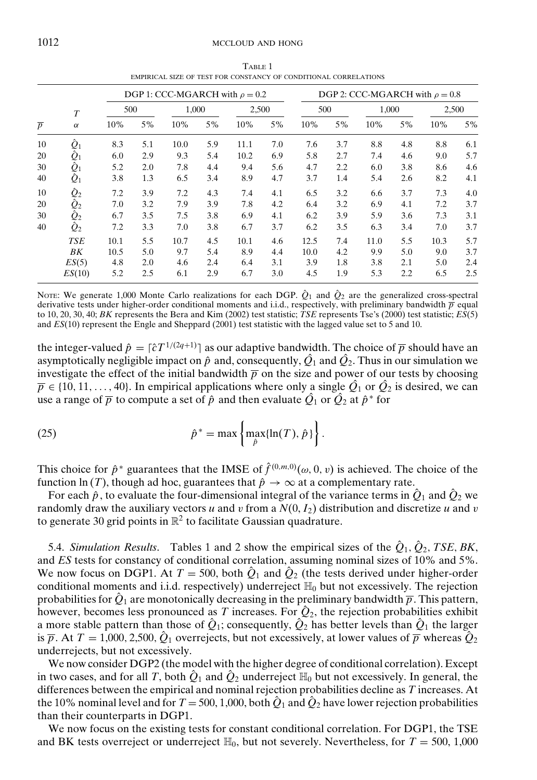#### 1012 MCCLOUD AND HONG

TABLE 1 EMPIRICAL SIZE OF TEST FOR CONSTANCY OF CONDITIONAL CORRELATIONS

|                |                  |      |     | DGP 1: CCC-MGARCH with $\rho = 0.2$ |     |       |     |      |     | DGP 2: CCC-MGARCH with $\rho = 0.8$ |     |       |     |
|----------------|------------------|------|-----|-------------------------------------|-----|-------|-----|------|-----|-------------------------------------|-----|-------|-----|
|                | $\boldsymbol{T}$ | 500  |     | 1,000                               |     | 2,500 |     | 500  |     | 1,000                               |     | 2,500 |     |
| $\overline{p}$ | $\alpha$         | 10%  | 5%  | 10%                                 | 5%  | 10%   | 5%  | 10%  | 5%  | 10%                                 | 5%  | 10%   | 5%  |
| 10             | $\hat{Q}_1$      | 8.3  | 5.1 | 10.0                                | 5.9 | 11.1  | 7.0 | 7.6  | 3.7 | 8.8                                 | 4.8 | 8.8   | 6.1 |
| 20             | $\hat{Q}_1$      | 6.0  | 2.9 | 9.3                                 | 5.4 | 10.2  | 6.9 | 5.8  | 2.7 | 7.4                                 | 4.6 | 9.0   | 5.7 |
| 30             | $\hat{Q}_1$      | 5.2  | 2.0 | 7.8                                 | 4.4 | 9.4   | 5.6 | 4.7  | 2.2 | 6.0                                 | 3.8 | 8.6   | 4.6 |
| 40             | $\hat{Q}_1$      | 3.8  | 1.3 | 6.5                                 | 3.4 | 8.9   | 4.7 | 3.7  | 1.4 | 5.4                                 | 2.6 | 8.2   | 4.1 |
| 10             | $\hat{Q}_2$      | 7.2  | 3.9 | 7.2                                 | 4.3 | 7.4   | 4.1 | 6.5  | 3.2 | 6.6                                 | 3.7 | 7.3   | 4.0 |
| 20             | $\hat{Q}_2$      | 7.0  | 3.2 | 7.9                                 | 3.9 | 7.8   | 4.2 | 6.4  | 3.2 | 6.9                                 | 4.1 | 7.2   | 3.7 |
| 30             | $\hat{Q}_2$      | 6.7  | 3.5 | 7.5                                 | 3.8 | 6.9   | 4.1 | 6.2  | 3.9 | 5.9                                 | 3.6 | 7.3   | 3.1 |
| 40             | $\hat{Q}_2$      | 7.2  | 3.3 | 7.0                                 | 3.8 | 6.7   | 3.7 | 6.2  | 3.5 | 6.3                                 | 3.4 | 7.0   | 3.7 |
|                | <b>TSE</b>       | 10.1 | 5.5 | 10.7                                | 4.5 | 10.1  | 4.6 | 12.5 | 7.4 | 11.0                                | 5.5 | 10.3  | 5.7 |
|                | ВK               | 10.5 | 5.0 | 9.7                                 | 5.4 | 8.9   | 4.4 | 10.0 | 4.2 | 9.9                                 | 5.0 | 9.0   | 3.7 |
|                | ES(5)            | 4.8  | 2.0 | 4.6                                 | 2.4 | 6.4   | 3.1 | 3.9  | 1.8 | 3.8                                 | 2.1 | 5.0   | 2.4 |
|                | ES(10)           | 5.2  | 2.5 | 6.1                                 | 2.9 | 6.7   | 3.0 | 4.5  | 1.9 | 5.3                                 | 2.2 | 6.5   | 2.5 |

NOTE: We generate 1,000 Monte Carlo realizations for each DGP.  $\hat{Q}_1$  and  $\hat{Q}_2$  are the generalized cross-spectral derivative tests under higher-order conditional moments and i.i.d., respectively, with preliminary bandwidth  $\bar{p}$  equal to 10, 20, 30, 40; *BK* represents the Bera and Kim (2002) test statistic; *TSE* represents Tse's (2000) test statistic; *ES*(5) and *ES*(10) represent the Engle and Sheppard (2001) test statistic with the lagged value set to 5 and 10.

the integer-valued  $\hat{p} = [\hat{c}T^{1/(2q+1)}]$  as our adaptive bandwidth. The choice of  $\overline{p}$  should have an asymptotically negligible impact on  $\hat{p}$  and, consequently,  $\hat{Q_1}$  and  $\hat{Q_2}$ . Thus in our simulation we investigate the effect of the initial bandwidth  $\bar{p}$  on the size and power of our tests by choosing  $\overline{p} \in \{10, 11, \ldots, 40\}$ . In empirical applications where only a single  $\hat{Q}_1$  or  $\hat{Q}_2$  is desired, we can use a range of  $\overline{p}$  to compute a set of  $\hat{p}$  and then evaluate  $\hat{Q}_1$  or  $\hat{Q}_2$  at  $\hat{p}^*$  for

(25) 
$$
\hat{p}^* = \max \left\{ \max_{\hat{p}} \{ \ln(T), \hat{p} \} \right\}.
$$

This choice for  $\hat{p}^*$  guarantees that the IMSE of  $\hat{f}^{(0,m,0)}(\omega,0,v)$  is achieved. The choice of the function ln (*T*), though ad hoc, guarantees that  $\hat{p} \rightarrow \infty$  at a complementary rate.

For each  $\hat{p}$ , to evaluate the four-dimensional integral of the variance terms in  $\hat{Q}_1$  and  $\hat{Q}_2$  we randomly draw the auxiliary vectors *u* and *v* from a  $N(0, I_2)$  distribution and discretize *u* and *v* to generate 30 grid points in  $\mathbb{R}^2$  to facilitate Gaussian quadrature.

5.4. *Simulation Results*. Tables 1 and 2 show the empirical sizes of the  $\hat{Q}_1$ ,  $\hat{Q}_2$ , *TSE*, *BK*, and *ES* tests for constancy of conditional correlation, assuming nominal sizes of 10% and 5%. We now focus on DGP1. At  $T = 500$ , both  $\hat{Q}_1$  and  $\hat{Q}_2$  (the tests derived under higher-order conditional moments and i.i.d. respectively) underreject  $\mathbb{H}_0$  but not excessively. The rejection probabilities for  $\hat{Q}_1$  are monotonically decreasing in the preliminary bandwidth  $\bar{p}$ . This pattern, however, becomes less pronounced as *T* increases. For  $\hat{Q}_2$ , the rejection probabilities exhibit a more stable pattern than those of  $\hat{Q}_1$ ; consequently,  $\hat{Q}_2$  has better levels than  $\hat{Q}_1$  the larger is  $\bar{p}$ . At  $T = 1,000, 2,500, \hat{Q}_1$  overrejects, but not excessively, at lower values of  $\bar{p}$  whereas  $\hat{Q}_2$ underrejects, but not excessively.

We now consider DGP2 (the model with the higher degree of conditional correlation). Except in two cases, and for all *T*, both  $\hat{Q}_1$  and  $\hat{Q}_2$  underreject  $\mathbb{H}_0$  but not excessively. In general, the differences between the empirical and nominal rejection probabilities decline as *T* increases. At the 10% nominal level and for  $T = 500, 1,000$ , both  $\hat{Q}_1$  and  $\hat{Q}_2$  have lower rejection probabilities than their counterparts in DGP1.

We now focus on the existing tests for constant conditional correlation. For DGP1, the TSE and BK tests overreject or underreject  $\mathbb{H}_0$ , but not severely. Nevertheless, for  $T = 500, 1,000$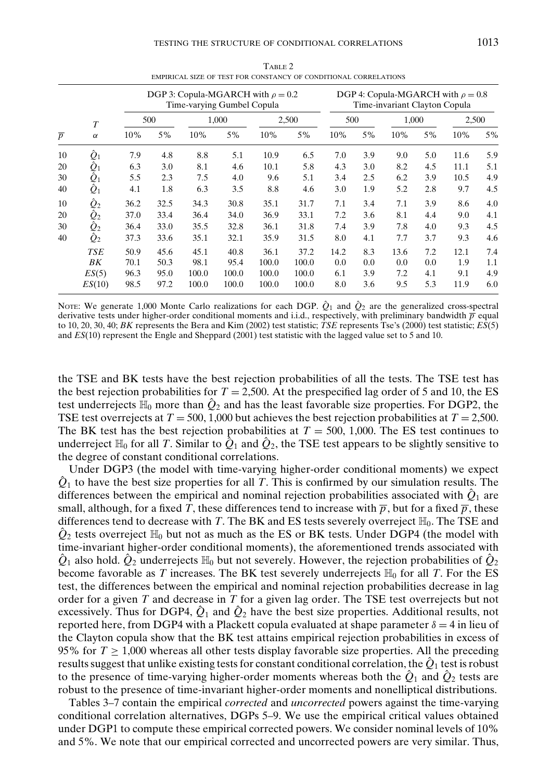|                |                  |      |      | DGP 3: Copula-MGARCH with $\rho = 0.2$<br>Time-varying Gumbel Copula |       |       |       |      |     | Time-invariant Clayton Copula |     | DGP 4: Copula-MGARCH with $\rho = 0.8$ |     |
|----------------|------------------|------|------|----------------------------------------------------------------------|-------|-------|-------|------|-----|-------------------------------|-----|----------------------------------------|-----|
|                | $\boldsymbol{T}$ |      | 500  |                                                                      | 1,000 |       | 2,500 | 500  |     | 1,000                         |     | 2,500                                  |     |
| $\overline{p}$ | $\alpha$         | 10%  | 5%   | 10%                                                                  | 5%    | 10%   | 5%    | 10%  | 5%  | 10%                           | 5%  | 10%                                    | 5%  |
| 10             | $\hat{Q}_1$      | 7.9  | 4.8  | 8.8                                                                  | 5.1   | 10.9  | 6.5   | 7.0  | 3.9 | 9.0                           | 5.0 | 11.6                                   | 5.9 |
| 20             | $\hat{Q}_1$      | 6.3  | 3.0  | 8.1                                                                  | 4.6   | 10.1  | 5.8   | 4.3  | 3.0 | 8.2                           | 4.5 | 11.1                                   | 5.1 |
| 30             | $\hat{Q}_1$      | 5.5  | 2.3  | 7.5                                                                  | 4.0   | 9.6   | 5.1   | 3.4  | 2.5 | 6.2                           | 3.9 | 10.5                                   | 4.9 |
| 40             | $\hat{Q}_1$      | 4.1  | 1.8  | 6.3                                                                  | 3.5   | 8.8   | 4.6   | 3.0  | 1.9 | 5.2                           | 2.8 | 9.7                                    | 4.5 |
| 10             | $\hat{Q}_2$      | 36.2 | 32.5 | 34.3                                                                 | 30.8  | 35.1  | 31.7  | 7.1  | 3.4 | 7.1                           | 3.9 | 8.6                                    | 4.0 |
| 20             | $\hat{Q}_2$      | 37.0 | 33.4 | 36.4                                                                 | 34.0  | 36.9  | 33.1  | 7.2  | 3.6 | 8.1                           | 4.4 | 9.0                                    | 4.1 |
| 30             | $\hat{Q}_2$      | 36.4 | 33.0 | 35.5                                                                 | 32.8  | 36.1  | 31.8  | 7.4  | 3.9 | 7.8                           | 4.0 | 9.3                                    | 4.5 |
| 40             | $\hat{Q}_2$      | 37.3 | 33.6 | 35.1                                                                 | 32.1  | 35.9  | 31.5  | 8.0  | 4.1 | 7.7                           | 3.7 | 9.3                                    | 4.6 |
|                | <b>TSE</b>       | 50.9 | 45.6 | 45.1                                                                 | 40.8  | 36.1  | 37.2  | 14.2 | 8.3 | 13.6                          | 7.2 | 12.1                                   | 7.4 |
|                | BK               | 70.1 | 50.3 | 98.1                                                                 | 95.4  | 100.0 | 100.0 | 0.0  | 0.0 | 0.0                           | 0.0 | 1.9                                    | 1.1 |
|                | ES(5)            | 96.3 | 95.0 | 100.0                                                                | 100.0 | 100.0 | 100.0 | 6.1  | 3.9 | 7.2                           | 4.1 | 9.1                                    | 4.9 |
|                | ES(10)           | 98.5 | 97.2 | 100.0                                                                | 100.0 | 100.0 | 100.0 | 8.0  | 3.6 | 9.5                           | 5.3 | 11.9                                   | 6.0 |

 $T = 2$ EMPIRICAL SIZE OF TEST FOR CONSTANCY OF CONDITIONAL CORRELATIONS

NOTE: We generate 1,000 Monte Carlo realizations for each DGP.  $\hat{Q}_1$  and  $\hat{Q}_2$  are the generalized cross-spectral derivative tests under higher-order conditional moments and i.i.d., respectively, with preliminary bandwidth  $\bar{p}$  equal to 10, 20, 30, 40; *BK* represents the Bera and Kim (2002) test statistic; *TSE* represents Tse's (2000) test statistic; *ES*(5) and *ES*(10) represent the Engle and Sheppard (2001) test statistic with the lagged value set to 5 and 10.

the TSE and BK tests have the best rejection probabilities of all the tests. The TSE test has the best rejection probabilities for  $T = 2,500$ . At the prespecified lag order of 5 and 10, the ES test underrejects  $\mathbb{H}_0$  more than  $\hat{Q}_2$  and has the least favorable size properties. For DGP2, the TSE test overrejects at  $T = 500, 1,000$  but achieves the best rejection probabilities at  $T = 2,500$ . The BK test has the best rejection probabilities at *T* = 500, 1,000. The ES test continues to underreject  $\mathbb{H}_0$  for all *T*. Similar to  $\hat{Q}_1$  and  $\hat{Q}_2$ , the TSE test appears to be slightly sensitive to the degree of constant conditional correlations.

Under DGP3 (the model with time-varying higher-order conditional moments) we expect  $\hat{Q}_1$  to have the best size properties for all *T*. This is confirmed by our simulation results. The differences between the empirical and nominal rejection probabilities associated with  $\hat{Q}_1$  are small, although, for a fixed *T*, these differences tend to increase with  $\bar{p}$ , but for a fixed  $\bar{p}$ , these differences tend to decrease with *T*. The BK and ES tests severely overreject  $\mathbb{H}_0$ . The TSE and  $\hat{Q}_2$  tests overreject  $\mathbb{H}_0$  but not as much as the ES or BK tests. Under DGP4 (the model with time-invariant higher-order conditional moments), the aforementioned trends associated with  $\hat{Q}_1$  also hold.  $\hat{Q}_2$  underrejects  $\mathbb{H}_0$  but not severely. However, the rejection probabilities of  $\hat{Q}_2$ become favorable as *T* increases. The BK test severely underrejects  $\mathbb{H}_0$  for all *T*. For the ES test, the differences between the empirical and nominal rejection probabilities decrease in lag order for a given *T* and decrease in *T* for a given lag order. The TSE test overrejects but not excessively. Thus for DGP4,  $\hat{Q}_1$  and  $\hat{Q}_2$  have the best size properties. Additional results, not reported here, from DGP4 with a Plackett copula evaluated at shape parameter  $\delta = 4$  in lieu of the Clayton copula show that the BK test attains empirical rejection probabilities in excess of 95% for  $T \ge 1,000$  whereas all other tests display favorable size properties. All the preceding results suggest that unlike existing tests for constant conditional correlation, the  $\tilde{Q}_1$  test is robust to the presence of time-varying higher-order moments whereas both the  $\hat{Q}_1$  and  $\hat{Q}_2$  tests are robust to the presence of time-invariant higher-order moments and nonelliptical distributions.

Tables 3–7 contain the empirical *corrected* and *uncorrected* powers against the time-varying conditional correlation alternatives, DGPs 5–9. We use the empirical critical values obtained under DGP1 to compute these empirical corrected powers. We consider nominal levels of 10% and 5%. We note that our empirical corrected and uncorrected powers are very similar. Thus,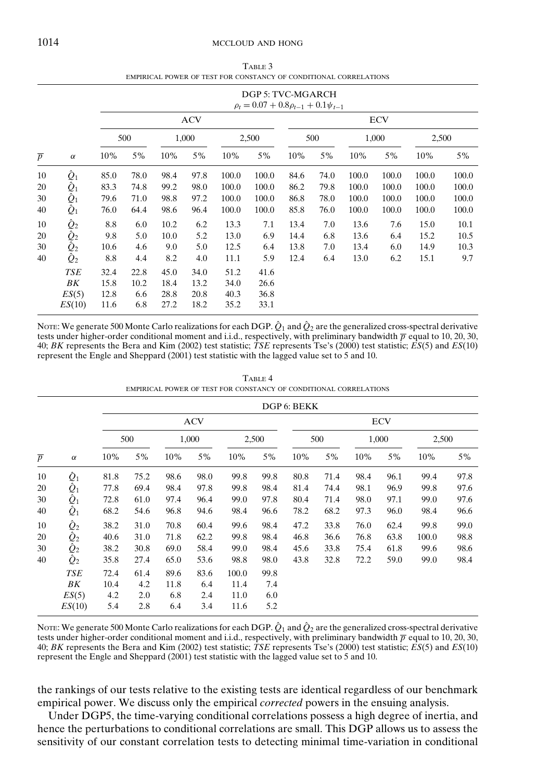#### 1014 MCCLOUD AND HONG

TABLE 3 EMPIRICAL POWER OF TEST FOR CONSTANCY OF CONDITIONAL CORRELATIONS

|                |                                                                                |      |      |      |            |       | DGP 5: TVC-MGARCH<br>$\rho_t = 0.07 + 0.8 \rho_{t-1} + 0.1 \psi_{t-1}$ |      |      |       |            |       |       |
|----------------|--------------------------------------------------------------------------------|------|------|------|------------|-------|------------------------------------------------------------------------|------|------|-------|------------|-------|-------|
|                |                                                                                |      |      |      | <b>ACV</b> |       |                                                                        |      |      |       | <b>ECV</b> |       |       |
|                |                                                                                |      | 500  |      | 1,000      |       | 2,500                                                                  |      | 500  |       | 1,000      | 2,500 |       |
| $\overline{p}$ | $\alpha$                                                                       | 10%  | 5%   | 10%  | 5%         | 10%   | 5%                                                                     | 10%  | 5%   | 10%   | 5%         | 10%   | 5%    |
| 10             | $\hat{Q}_1$                                                                    | 85.0 | 78.0 | 98.4 | 97.8       | 100.0 | 100.0                                                                  | 84.6 | 74.0 | 100.0 | 100.0      | 100.0 | 100.0 |
| 20             | $\hat{Q}_1$                                                                    | 83.3 | 74.8 | 99.2 | 98.0       | 100.0 | 100.0                                                                  | 86.2 | 79.8 | 100.0 | 100.0      | 100.0 | 100.0 |
| 30             | $\hat{Q}_1$                                                                    | 79.6 | 71.0 | 98.8 | 97.2       | 100.0 | 100.0                                                                  | 86.8 | 78.0 | 100.0 | 100.0      | 100.0 | 100.0 |
| 40             | $\hat{Q}_1$                                                                    | 76.0 | 64.4 | 98.6 | 96.4       | 100.0 | 100.0                                                                  | 85.8 | 76.0 | 100.0 | 100.0      | 100.0 | 100.0 |
| 10             | $\hat{\varrho}_2$                                                              | 8.8  | 6.0  | 10.2 | 6.2        | 13.3  | 7.1                                                                    | 13.4 | 7.0  | 13.6  | 7.6        | 15.0  | 10.1  |
| 20             | $\begin{matrix}\tilde{\hat{\varrho}}_{2}\ \hat{\hat{\varrho}}_{2}\end{matrix}$ | 9.8  | 5.0  | 10.0 | 5.2        | 13.0  | 6.9                                                                    | 14.4 | 6.8  | 13.6  | 6.4        | 15.2  | 10.5  |
| 30             |                                                                                | 10.6 | 4.6  | 9.0  | 5.0        | 12.5  | 6.4                                                                    | 13.8 | 7.0  | 13.4  | 6.0        | 14.9  | 10.3  |
| 40             | $\hat{Q}_2$                                                                    | 8.8  | 4.4  | 8.2  | 4.0        | 11.1  | 5.9                                                                    | 12.4 | 6.4  | 13.0  | 6.2        | 15.1  | 9.7   |
|                | <b>TSE</b>                                                                     | 32.4 | 22.8 | 45.0 | 34.0       | 51.2  | 41.6                                                                   |      |      |       |            |       |       |
|                | BK                                                                             | 15.8 | 10.2 | 18.4 | 13.2       | 34.0  | 26.6                                                                   |      |      |       |            |       |       |
|                | ES(5)                                                                          | 12.8 | 6.6  | 28.8 | 20.8       | 40.3  | 36.8                                                                   |      |      |       |            |       |       |
|                | ES(10)                                                                         | 11.6 | 6.8  | 27.2 | 18.2       | 35.2  | 33.1                                                                   |      |      |       |            |       |       |

NOTE: We generate 500 Monte Carlo realizations for each DGP.  $\hat{Q}_1$  and  $\hat{Q}_2$  are the generalized cross-spectral derivative tests under higher-order conditional moment and i.i.d., respectively, with preliminary bandwidth  $\bar{p}$  equal to 10, 20, 30, 40; *BK* represents the Bera and Kim (2002) test statistic; *TSE* represents Tse's (2000) test statistic; *ES*(5) and *ES*(10) represent the Engle and Sheppard (2001) test statistic with the lagged value set to 5 and 10.

|                |                       |      |      |      |            | EMPIRICAL POWER OF TEST FOR CONSTANCY OF CONDITIONAL CORRELATIONS |       |             |      |      |            |       |      |
|----------------|-----------------------|------|------|------|------------|-------------------------------------------------------------------|-------|-------------|------|------|------------|-------|------|
|                |                       |      |      |      |            |                                                                   |       | DGP 6: BEKK |      |      |            |       |      |
|                |                       |      |      |      | <b>ACV</b> |                                                                   |       |             |      |      | <b>ECV</b> |       |      |
|                |                       |      | 500  |      | 1,000      |                                                                   | 2,500 |             | 500  |      | 1,000      | 2,500 |      |
| $\overline{p}$ | $\alpha$              | 10%  | 5%   | 10%  | 5%         | 10%                                                               | 5%    | 10%         | 5%   | 10%  | 5%         | 10%   | 5%   |
| 10             | $\hat{\mathcal{Q}}_1$ | 81.8 | 75.2 | 98.6 | 98.0       | 99.8                                                              | 99.8  | 80.8        | 71.4 | 98.4 | 96.1       | 99.4  | 97.8 |
| 20             | $\hat{Q}_1$           | 77.8 | 69.4 | 98.4 | 97.8       | 99.8                                                              | 98.4  | 81.4        | 74.4 | 98.1 | 96.9       | 99.8  | 97.6 |
| 30             | $\hat{Q}_1$           | 72.8 | 61.0 | 97.4 | 96.4       | 99.0                                                              | 97.8  | 80.4        | 71.4 | 98.0 | 97.1       | 99.0  | 97.6 |
| 40             | $\hat{Q}_1$           | 68.2 | 54.6 | 96.8 | 94.6       | 98.4                                                              | 96.6  | 78.2        | 68.2 | 97.3 | 96.0       | 98.4  | 96.6 |
| 10             | $\hat{Q}_2$           | 38.2 | 31.0 | 70.8 | 60.4       | 99.6                                                              | 98.4  | 47.2        | 33.8 | 76.0 | 62.4       | 99.8  | 99.0 |
| 20             | $\hat{Q}_2$           | 40.6 | 31.0 | 71.8 | 62.2       | 99.8                                                              | 98.4  | 46.8        | 36.6 | 76.8 | 63.8       | 100.0 | 98.8 |
| 30             | $\hat{Q}_2$           | 38.2 | 30.8 | 69.0 | 58.4       | 99.0                                                              | 98.4  | 45.6        | 33.8 | 75.4 | 61.8       | 99.6  | 98.6 |
| 40             | $\hat{Q}_2$           | 35.8 | 27.4 | 65.0 | 53.6       | 98.8                                                              | 98.0  | 43.8        | 32.8 | 72.2 | 59.0       | 99.0  | 98.4 |
|                | <b>TSE</b>            | 72.4 | 61.4 | 89.6 | 83.6       | 100.0                                                             | 99.8  |             |      |      |            |       |      |
|                | ВK                    | 10.4 | 4.2  | 11.8 | 6.4        | 11.4                                                              | 7.4   |             |      |      |            |       |      |
|                | ES(5)                 | 4.2  | 2.0  | 6.8  | 2.4        | 11.0                                                              | 6.0   |             |      |      |            |       |      |
|                | ES(10)                | 5.4  | 2.8  | 6.4  | 3.4        | 11.6                                                              | 5.2   |             |      |      |            |       |      |

TABLE 4

NOTE: We generate 500 Monte Carlo realizations for each DGP.  $\hat{Q}_1$  and  $\hat{Q}_2$  are the generalized cross-spectral derivative tests under higher-order conditional moment and i.i.d., respectively, with preliminary bandwidth  $\bar{p}$  equal to 10, 20, 30, 40; *BK* represents the Bera and Kim (2002) test statistic; *TSE* represents Tse's (2000) test statistic; *ES*(5) and *ES*(10) represent the Engle and Sheppard (2001) test statistic with the lagged value set to 5 and 10.

the rankings of our tests relative to the existing tests are identical regardless of our benchmark empirical power. We discuss only the empirical *corrected* powers in the ensuing analysis.

Under DGP5, the time-varying conditional correlations possess a high degree of inertia, and hence the perturbations to conditional correlations are small. This DGP allows us to assess the sensitivity of our constant correlation tests to detecting minimal time-variation in conditional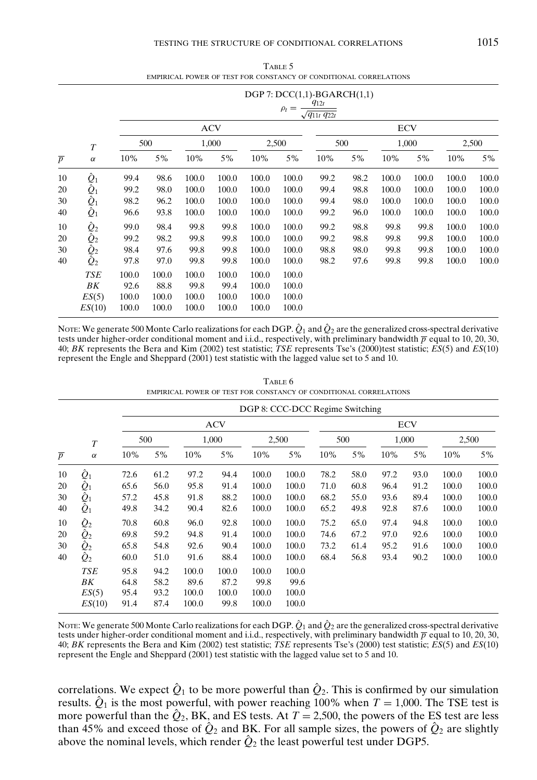## TESTING THE STRUCTURE OF CONDITIONAL CORRELATIONS 1015

| TABLE 5                                                           |
|-------------------------------------------------------------------|
| EMPIRICAL POWER OF TEST FOR CONSTANCY OF CONDITIONAL CORRELATIONS |

|                |                                 |       |       |       |            |       | $\rho_t =$ | $DGP$ 7: $DCC(1,1)$ -BGARCH $(1,1)$<br>$q_{12t}$<br>$\sqrt{q_{11t} q_{22t}}$ |      |       |            |       |       |
|----------------|---------------------------------|-------|-------|-------|------------|-------|------------|------------------------------------------------------------------------------|------|-------|------------|-------|-------|
|                |                                 |       |       |       | <b>ACV</b> |       |            |                                                                              |      |       | <b>ECV</b> |       |       |
|                | $\boldsymbol{T}$                |       | 500   |       | 1,000      |       | 2,500      | 500                                                                          |      |       | 1,000      |       | 2,500 |
| $\overline{p}$ | $\alpha$                        | 10%   | 5%    | 10%   | 5%         | 10%   | 5%         | 10%                                                                          | 5%   | 10%   | 5%         | 10%   | 5%    |
| 10             | $\hat{\varrho}_\text{\tiny{1}}$ | 99.4  | 98.6  | 100.0 | 100.0      | 100.0 | 100.0      | 99.2                                                                         | 98.2 | 100.0 | 100.0      | 100.0 | 100.0 |
| 20             | $\hat{Q}_1$                     | 99.2  | 98.0  | 100.0 | 100.0      | 100.0 | 100.0      | 99.4                                                                         | 98.8 | 100.0 | 100.0      | 100.0 | 100.0 |
| 30             | $\hat{Q}_1$                     | 98.2  | 96.2  | 100.0 | 100.0      | 100.0 | 100.0      | 99.4                                                                         | 98.0 | 100.0 | 100.0      | 100.0 | 100.0 |
| 40             | $\hat{Q}_1$                     | 96.6  | 93.8  | 100.0 | 100.0      | 100.0 | 100.0      | 99.2                                                                         | 96.0 | 100.0 | 100.0      | 100.0 | 100.0 |
| 10             | $\hat{Q}_2$                     | 99.0  | 98.4  | 99.8  | 99.8       | 100.0 | 100.0      | 99.2                                                                         | 98.8 | 99.8  | 99.8       | 100.0 | 100.0 |
| 20             | $\hat{Q}_2$                     | 99.2  | 98.2  | 99.8  | 99.8       | 100.0 | 100.0      | 99.2                                                                         | 98.8 | 99.8  | 99.8       | 100.0 | 100.0 |
| 30             | $\hat{Q}_2$                     | 98.4  | 97.6  | 99.8  | 99.8       | 100.0 | 100.0      | 98.8                                                                         | 98.0 | 99.8  | 99.8       | 100.0 | 100.0 |
| 40             | $\hat{Q}_2$                     | 97.8  | 97.0  | 99.8  | 99.8       | 100.0 | 100.0      | 98.2                                                                         | 97.6 | 99.8  | 99.8       | 100.0 | 100.0 |
|                | <b>TSE</b>                      | 100.0 | 100.0 | 100.0 | 100.0      | 100.0 | 100.0      |                                                                              |      |       |            |       |       |
|                | BK                              | 92.6  | 88.8  | 99.8  | 99.4       | 100.0 | 100.0      |                                                                              |      |       |            |       |       |
|                | ES(5)                           | 100.0 | 100.0 | 100.0 | 100.0      | 100.0 | 100.0      |                                                                              |      |       |            |       |       |
|                | ES(10)                          | 100.0 | 100.0 | 100.0 | 100.0      | 100.0 | 100.0      |                                                                              |      |       |            |       |       |

NOTE: We generate 500 Monte Carlo realizations for each DGP.  $\hat{Q}_1$  and  $\hat{Q}_2$  are the generalized cross-spectral derivative tests under higher-order conditional moment and i.i.d., respectively, with preliminary bandwidth  $\overline{p}$  equal to 10, 20, 30, 40; *BK* represents the Bera and Kim (2002) test statistic; *TSE* represents Tse's (2000)test statistic; *ES*(5) and *ES*(10) represent the Engle and Sheppard (2001) test statistic with the lagged value set to 5 and 10.

|                |                           |      |      |       |            |       | DGP 8: CCC-DCC Regime Switching |      |      |      |       |       |       |
|----------------|---------------------------|------|------|-------|------------|-------|---------------------------------|------|------|------|-------|-------|-------|
|                |                           |      |      |       | <b>ACV</b> |       |                                 |      |      |      | ECV   |       |       |
|                | $\boldsymbol{T}$          |      | 500  |       | 1,000      |       | 2,500                           |      | 500  |      | 1,000 |       | 2,500 |
| $\overline{p}$ | $\alpha$                  | 10%  | 5%   | 10%   | 5%         | 10%   | 5%                              | 10%  | 5%   | 10%  | 5%    | 10%   | 5%    |
| 10             | $\hat{Q}_1$               | 72.6 | 61.2 | 97.2  | 94.4       | 100.0 | 100.0                           | 78.2 | 58.0 | 97.2 | 93.0  | 100.0 | 100.0 |
| 20             | $\tilde{\hat{\varrho}}_1$ | 65.6 | 56.0 | 95.8  | 91.4       | 100.0 | 100.0                           | 71.0 | 60.8 | 96.4 | 91.2  | 100.0 | 100.0 |
| 30             | $\hat{Q}_1$               | 57.2 | 45.8 | 91.8  | 88.2       | 100.0 | 100.0                           | 68.2 | 55.0 | 93.6 | 89.4  | 100.0 | 100.0 |
| 40             | $\hat{Q}_1$               | 49.8 | 34.2 | 90.4  | 82.6       | 100.0 | 100.0                           | 65.2 | 49.8 | 92.8 | 87.6  | 100.0 | 100.0 |
| 10             | $\hat{Q}_2$               | 70.8 | 60.8 | 96.0  | 92.8       | 100.0 | 100.0                           | 75.2 | 65.0 | 97.4 | 94.8  | 100.0 | 100.0 |
| 20             | $\hat{Q}_2$               | 69.8 | 59.2 | 94.8  | 91.4       | 100.0 | 100.0                           | 74.6 | 67.2 | 97.0 | 92.6  | 100.0 | 100.0 |
| 30             | $\hat{Q}_2$               | 65.8 | 54.8 | 92.6  | 90.4       | 100.0 | 100.0                           | 73.2 | 61.4 | 95.2 | 91.6  | 100.0 | 100.0 |
| 40             | $\hat{Q}_2$               | 60.0 | 51.0 | 91.6  | 88.4       | 100.0 | 100.0                           | 68.4 | 56.8 | 93.4 | 90.2  | 100.0 | 100.0 |
|                | <b>TSE</b>                | 95.8 | 94.2 | 100.0 | 100.0      | 100.0 | 100.0                           |      |      |      |       |       |       |
|                | ΒK                        | 64.8 | 58.2 | 89.6  | 87.2       | 99.8  | 99.6                            |      |      |      |       |       |       |
|                | ES(5)                     | 95.4 | 93.2 | 100.0 | 100.0      | 100.0 | 100.0                           |      |      |      |       |       |       |
|                | ES(10)                    | 91.4 | 87.4 | 100.0 | 99.8       | 100.0 | 100.0                           |      |      |      |       |       |       |

TABLE 6 EMPIRICAL POWER OF TEST FOR CONSTANCY OF CONDITIONAL CORRELATIONS

NOTE: We generate 500 Monte Carlo realizations for each DGP.  $\hat{Q}_1$  and  $\hat{Q}_2$  are the generalized cross-spectral derivative tests under higher-order conditional moment and i.i.d., respectively, with preliminary bandwidth  $\bar{p}$  equal to 10, 20, 30, 40; *BK* represents the Bera and Kim (2002) test statistic; *TSE* represents Tse's (2000) test statistic; *ES*(5) and *ES*(10) represent the Engle and Sheppard (2001) test statistic with the lagged value set to 5 and 10.

correlations. We expect  $\hat{Q}_1$  to be more powerful than  $\hat{Q}_2$ . This is confirmed by our simulation results.  $\hat{Q}_1$  is the most powerful, with power reaching 100% when  $T = 1,000$ . The TSE test is more powerful than the  $\hat{Q}_2$ , BK, and ES tests. At  $T = 2,500$ , the powers of the ES test are less than 45% and exceed those of  $\hat{Q}_2$  and BK. For all sample sizes, the powers of  $\hat{Q}_2$  are slightly above the nominal levels, which render  $\hat{Q}_2$  the least powerful test under DGP5.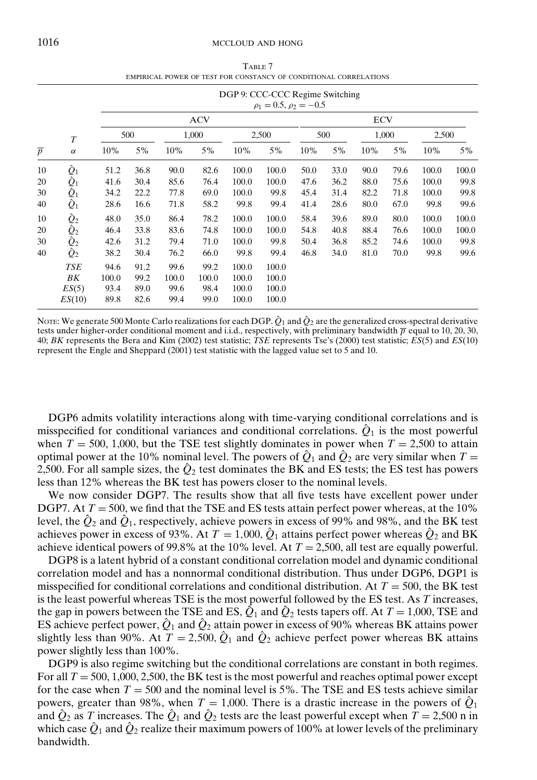#### 1016 MCCLOUD AND HONG

TABLE 7 EMPIRICAL POWER OF TEST FOR CONSTANCY OF CONDITIONAL CORRELATIONS

|                |                          |       |      |       |            |       | DGP 9: CCC-CCC Regime Switching<br>$\rho_1 = 0.5, \rho_2 = -0.5$ |      |      |            |       |       |       |
|----------------|--------------------------|-------|------|-------|------------|-------|------------------------------------------------------------------|------|------|------------|-------|-------|-------|
|                |                          |       |      |       | <b>ACV</b> |       |                                                                  |      |      | <b>ECV</b> |       |       |       |
|                | $\boldsymbol{T}$         |       | 500  |       | 1,000      |       | 2,500                                                            |      | 500  |            | 1,000 | 2,500 |       |
| $\overline{p}$ | $\alpha$                 | 10%   | 5%   | 10%   | 5%         | 10%   | 5%                                                               | 10%  | 5%   | 10%        | 5%    | 10%   | 5%    |
| 10             | $\hat{Q}_1 \\ \hat{Q}_1$ | 51.2  | 36.8 | 90.0  | 82.6       | 100.0 | 100.0                                                            | 50.0 | 33.0 | 90.0       | 79.6  | 100.0 | 100.0 |
| 20             |                          | 41.6  | 30.4 | 85.6  | 76.4       | 100.0 | 100.0                                                            | 47.6 | 36.2 | 88.0       | 75.6  | 100.0 | 99.8  |
| 30             | $\hat{Q}_1$              | 34.2  | 22.2 | 77.8  | 69.0       | 100.0 | 99.8                                                             | 45.4 | 31.4 | 82.2       | 71.8  | 100.0 | 99.8  |
| 40             | $\hat{Q}_1$              | 28.6  | 16.6 | 71.8  | 58.2       | 99.8  | 99.4                                                             | 41.4 | 28.6 | 80.0       | 67.0  | 99.8  | 99.6  |
| 10             | $\hat{Q}_2$              | 48.0  | 35.0 | 86.4  | 78.2       | 100.0 | 100.0                                                            | 58.4 | 39.6 | 89.0       | 80.0  | 100.0 | 100.0 |
| 20             | $\hat{Q}_2$              | 46.4  | 33.8 | 83.6  | 74.8       | 100.0 | 100.0                                                            | 54.8 | 40.8 | 88.4       | 76.6  | 100.0 | 100.0 |
| 30             | $\hat{Q}_2$              | 42.6  | 31.2 | 79.4  | 71.0       | 100.0 | 99.8                                                             | 50.4 | 36.8 | 85.2       | 74.6  | 100.0 | 99.8  |
| 40             | $\hat{\mathcal{Q}}_2$    | 38.2  | 30.4 | 76.2  | 66.0       | 99.8  | 99.4                                                             | 46.8 | 34.0 | 81.0       | 70.0  | 99.8  | 99.6  |
|                | <b>TSE</b>               | 94.6  | 91.2 | 99.6  | 99.2       | 100.0 | 100.0                                                            |      |      |            |       |       |       |
|                | ΒK                       | 100.0 | 99.2 | 100.0 | 100.0      | 100.0 | 100.0                                                            |      |      |            |       |       |       |
|                | ES(5)                    | 93.4  | 89.0 | 99.6  | 98.4       | 100.0 | 100.0                                                            |      |      |            |       |       |       |
|                | ES(10)                   | 89.8  | 82.6 | 99.4  | 99.0       | 100.0 | 100.0                                                            |      |      |            |       |       |       |

NOTE: We generate 500 Monte Carlo realizations for each DGP.  $\hat{Q}_1$  and  $\hat{Q}_2$  are the generalized cross-spectral derivative tests under higher-order conditional moment and i.i.d., respectively, with preliminary bandwidth  $\bar{p}$  equal to 10, 20, 30, 40; *BK* represents the Bera and Kim (2002) test statistic; *TSE* represents Tse's (2000) test statistic; *ES*(5) and *ES*(10) represent the Engle and Sheppard (2001) test statistic with the lagged value set to 5 and 10.

DGP6 admits volatility interactions along with time-varying conditional correlations and is misspecified for conditional variances and conditional correlations.  $\hat{Q}_1$  is the most powerful when  $T = 500$ , 1,000, but the TSE test slightly dominates in power when  $T = 2,500$  to attain optimal power at the 10% nominal level. The powers of  $\hat{Q}_1$  and  $\hat{Q}_2$  are very similar when  $T =$ 2,500. For all sample sizes, the  $\hat{Q}_2$  test dominates the BK and ES tests; the ES test has powers less than 12% whereas the BK test has powers closer to the nominal levels.

We now consider DGP7. The results show that all five tests have excellent power under DGP7. At  $T = 500$ , we find that the TSE and ES tests attain perfect power whereas, at the 10% level, the  $\hat{Q}_2$  and  $\hat{Q}_1$ , respectively, achieve powers in excess of 99% and 98%, and the BK test achieves power in excess of 93%. At  $T = 1,000$ ,  $\hat{Q}_1$  attains perfect power whereas  $\hat{Q}_2$  and BK achieve identical powers of 99.8% at the 10% level. At  $T = 2,500$ , all test are equally powerful.

DGP8 is a latent hybrid of a constant conditional correlation model and dynamic conditional correlation model and has a nonnormal conditional distribution. Thus under DGP6, DGP1 is misspecified for conditional correlations and conditional distribution. At *T* = 500, the BK test is the least powerful whereas TSE is the most powerful followed by the ES test. As *T* increases, the gap in powers between the TSE and ES,  $\hat{Q}_1$  and  $\hat{Q}_2$  tests tapers off. At  $T = 1,000$ , TSE and ES achieve perfect power,  $\hat{Q}_1$  and  $\hat{Q}_2$  attain power in excess of 90% whereas BK attains power slightly less than 90%. At  $T = 2,500$ ,  $\hat{Q}_1$  and  $\hat{Q}_2$  achieve perfect power whereas BK attains power slightly less than 100%.

DGP9 is also regime switching but the conditional correlations are constant in both regimes. For all  $T = 500, 1,000, 2,500$ , the BK test is the most powerful and reaches optimal power except for the case when  $T = 500$  and the nominal level is 5%. The TSE and ES tests achieve similar powers, greater than 98%, when  $T = 1,000$ . There is a drastic increase in the powers of  $\hat{Q}_1$ and  $\hat{Q}_2$  as *T* increases. The  $\hat{Q}_1$  and  $\hat{Q}_2$  tests are the least powerful except when  $T = 2,500$  n in which case  $\hat{Q}_1$  and  $\hat{Q}_2$  realize their maximum powers of 100% at lower levels of the preliminary bandwidth.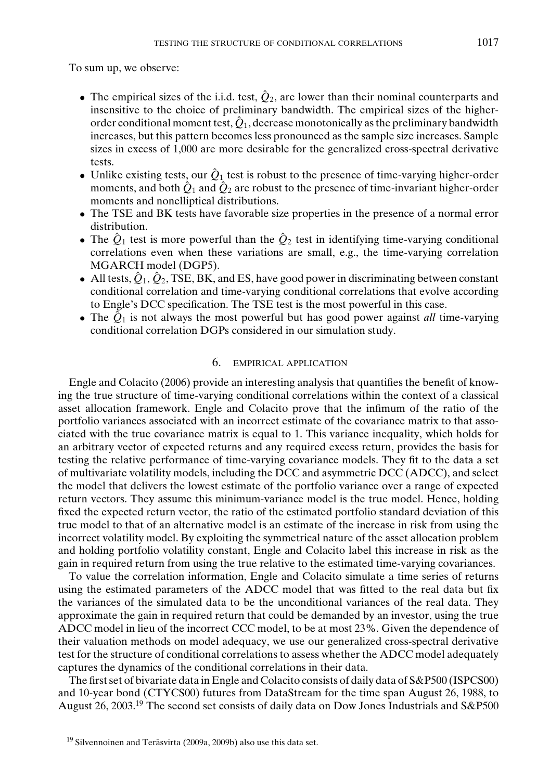To sum up, we observe:

- The empirical sizes of the i.i.d. test,  $\hat{Q}_2$ , are lower than their nominal counterparts and insensitive to the choice of preliminary bandwidth. The empirical sizes of the higherorder conditional moment test,  $\hat{Q}_1$ , decrease monotonically as the preliminary bandwidth increases, but this pattern becomes less pronounced as the sample size increases. Sample sizes in excess of 1,000 are more desirable for the generalized cross-spectral derivative tests.
- Unlike existing tests, our  $\hat{Q}_1$  test is robust to the presence of time-varying higher-order moments, and both  $\hat{Q}_1$  and  $\hat{Q}_2$  are robust to the presence of time-invariant higher-order moments and nonelliptical distributions.
- The TSE and BK tests have favorable size properties in the presence of a normal error distribution.
- The  $\hat{Q}_1$  test is more powerful than the  $\hat{Q}_2$  test in identifying time-varying conditional correlations even when these variations are small, e.g., the time-varying correlation MGARCH model (DGP5).
- All tests,  $\hat{Q}_1$ ,  $\hat{Q}_2$ , TSE, BK, and ES, have good power in discriminating between constant conditional correlation and time-varying conditional correlations that evolve according to Engle's DCC specification. The TSE test is the most powerful in this case.
- The  $\hat{Q}_1$  is not always the most powerful but has good power against *all* time-varying conditional correlation DGPs considered in our simulation study.

## 6. EMPIRICAL APPLICATION

Engle and Colacito (2006) provide an interesting analysis that quantifies the benefit of knowing the true structure of time-varying conditional correlations within the context of a classical asset allocation framework. Engle and Colacito prove that the infimum of the ratio of the portfolio variances associated with an incorrect estimate of the covariance matrix to that associated with the true covariance matrix is equal to 1. This variance inequality, which holds for an arbitrary vector of expected returns and any required excess return, provides the basis for testing the relative performance of time-varying covariance models. They fit to the data a set of multivariate volatility models, including the DCC and asymmetric DCC (ADCC), and select the model that delivers the lowest estimate of the portfolio variance over a range of expected return vectors. They assume this minimum-variance model is the true model. Hence, holding fixed the expected return vector, the ratio of the estimated portfolio standard deviation of this true model to that of an alternative model is an estimate of the increase in risk from using the incorrect volatility model. By exploiting the symmetrical nature of the asset allocation problem and holding portfolio volatility constant, Engle and Colacito label this increase in risk as the gain in required return from using the true relative to the estimated time-varying covariances.

To value the correlation information, Engle and Colacito simulate a time series of returns using the estimated parameters of the ADCC model that was fitted to the real data but fix the variances of the simulated data to be the unconditional variances of the real data. They approximate the gain in required return that could be demanded by an investor, using the true ADCC model in lieu of the incorrect CCC model, to be at most 23%. Given the dependence of their valuation methods on model adequacy, we use our generalized cross-spectral derivative test for the structure of conditional correlations to assess whether the ADCC model adequately captures the dynamics of the conditional correlations in their data.

The first set of bivariate data in Engle and Colacito consists of daily data of S&P500 (ISPCS00) and 10-year bond (CTYCS00) futures from DataStream for the time span August 26, 1988, to August 26, 2003.<sup>19</sup> The second set consists of daily data on Dow Jones Industrials and S&P500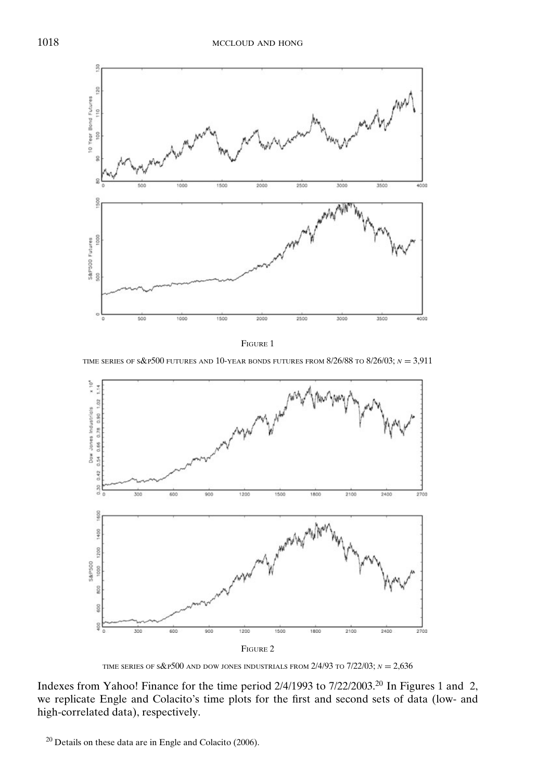

FIGURE 1

TIME SERIES OF S&P<sup>500</sup> FUTURES AND 10-YEAR BONDS FUTURES FROM  $8/26/88$  to  $8/26/03$ ;  $N = 3,911$ 



TIME SERIES OF  $s\&P500$  and dow jones industrials from  $2/4/93$  to  $7/22/03$ ;  $N = 2,636$ 

Indexes from Yahoo! Finance for the time period 2/4/1993 to 7/22/2003.<sup>20</sup> In Figures 1 and 2, we replicate Engle and Colacito's time plots for the first and second sets of data (low- and high-correlated data), respectively.

<sup>20</sup> Details on these data are in Engle and Colacito (2006).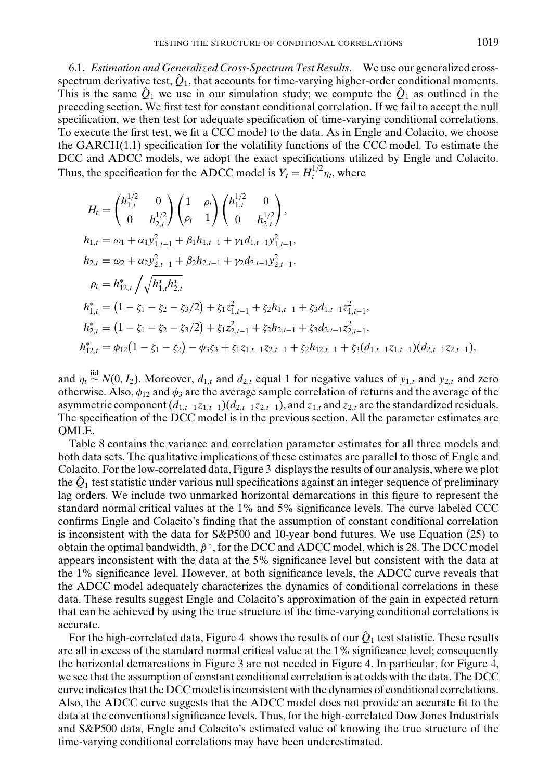6.1. *Estimation and Generalized Cross-Spectrum Test Results*. We use our generalized crossspectrum derivative test,  $\hat{Q}_1$ , that accounts for time-varying higher-order conditional moments. This is the same  $\hat{Q}_1$  we use in our simulation study; we compute the  $\hat{Q}_1$  as outlined in the preceding section. We first test for constant conditional correlation. If we fail to accept the null specification, we then test for adequate specification of time-varying conditional correlations. To execute the first test, we fit a CCC model to the data. As in Engle and Colacito, we choose the GARCH(1,1) specification for the volatility functions of the CCC model. To estimate the DCC and ADCC models, we adopt the exact specifications utilized by Engle and Colacito. Thus, the specification for the ADCC model is  $Y_t = H_t^{1/2} \eta_t$ , where

$$
H_{t} = \begin{pmatrix} h_{1,t}^{1/2} & 0 \\ 0 & h_{2,t}^{1/2} \end{pmatrix} \begin{pmatrix} 1 & \rho_{t} \\ \rho_{t} & 1 \end{pmatrix} \begin{pmatrix} h_{1,t}^{1/2} & 0 \\ 0 & h_{2,t}^{1/2} \end{pmatrix},
$$
  
\n
$$
h_{1,t} = \omega_{1} + \alpha_{1} y_{1,t-1}^{2} + \beta_{1} h_{1,t-1} + \gamma_{1} d_{1,t-1} y_{1,t-1}^{2},
$$
  
\n
$$
h_{2,t} = \omega_{2} + \alpha_{2} y_{2,t-1}^{2} + \beta_{2} h_{2,t-1} + \gamma_{2} d_{2,t-1} y_{2,t-1}^{2},
$$
  
\n
$$
\rho_{t} = h_{12,t}^{*} \Big/ \sqrt{h_{1,t}^{*} h_{2,t}^{*}}
$$
  
\n
$$
h_{1,t}^{*} = (1 - \zeta_{1} - \zeta_{2} - \zeta_{3}/2) + \zeta_{1} z_{1,t-1}^{2} + \zeta_{2} h_{1,t-1} + \zeta_{3} d_{1,t-1} z_{1,t-1}^{2},
$$
  
\n
$$
h_{2,t}^{*} = (1 - \zeta_{1} - \zeta_{2} - \zeta_{3}/2) + \zeta_{1} z_{2,t-1}^{2} + \zeta_{2} h_{2,t-1} + \zeta_{3} d_{2,t-1} z_{2,t-1}^{2},
$$
  
\n
$$
h_{12,t}^{*} = \phi_{12} (1 - \zeta_{1} - \zeta_{2}) - \phi_{3} \zeta_{3} + \zeta_{1} z_{1,t-1} z_{2,t-1} + \zeta_{2} h_{12,t-1} + \zeta_{3} (d_{1,t-1} z_{1,t-1}) (d_{2,t-1} z_{2,t-1}),
$$

and  $\eta_t \stackrel{\text{iid}}{\sim} N(0, I_2)$ . Moreover,  $d_{1,t}$  and  $d_{2,t}$  equal 1 for negative values of  $y_{1,t}$  and  $y_{2,t}$  and zero otherwise. Also,  $\phi_{12}$  and  $\phi_3$  are the average sample correlation of returns and the average of the asymmetric component  $(d_{1,t-1}z_{1,t-1})(d_{2,t-1}z_{2,t-1})$ , and  $z_{1,t}$  and  $z_{2,t}$  are the standardized residuals. The specification of the DCC model is in the previous section. All the parameter estimates are QMLE.

Table 8 contains the variance and correlation parameter estimates for all three models and both data sets. The qualitative implications of these estimates are parallel to those of Engle and Colacito. For the low-correlated data, Figure 3 displays the results of our analysis, where we plot the  $\hat{Q}_1$  test statistic under various null specifications against an integer sequence of preliminary lag orders. We include two unmarked horizontal demarcations in this figure to represent the standard normal critical values at the 1% and 5% significance levels. The curve labeled CCC confirms Engle and Colacito's finding that the assumption of constant conditional correlation is inconsistent with the data for S&P500 and 10-year bond futures. We use Equation (25) to obtain the optimal bandwidth,  $\hat{p}^*$ , for the DCC and ADCC model, which is 28. The DCC model appears inconsistent with the data at the 5% significance level but consistent with the data at the 1% significance level. However, at both significance levels, the ADCC curve reveals that the ADCC model adequately characterizes the dynamics of conditional correlations in these data. These results suggest Engle and Colacito's approximation of the gain in expected return that can be achieved by using the true structure of the time-varying conditional correlations is accurate.

For the high-correlated data, Figure 4 shows the results of our  $\hat{Q}_1$  test statistic. These results are all in excess of the standard normal critical value at the 1% significance level; consequently the horizontal demarcations in Figure 3 are not needed in Figure 4. In particular, for Figure 4, we see that the assumption of constant conditional correlation is at odds with the data. The DCC curve indicates that the DCC model is inconsistent with the dynamics of conditional correlations. Also, the ADCC curve suggests that the ADCC model does not provide an accurate fit to the data at the conventional significance levels. Thus, for the high-correlated Dow Jones Industrials and S&P500 data, Engle and Colacito's estimated value of knowing the true structure of the time-varying conditional correlations may have been underestimated.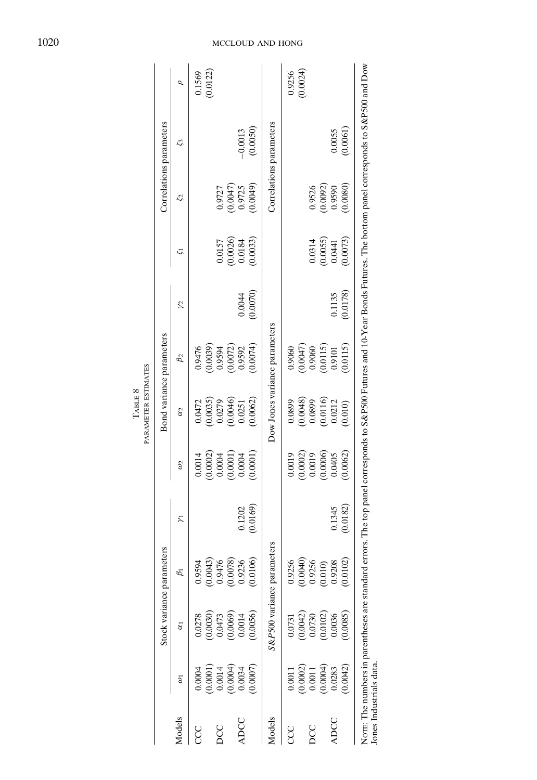|        |                    |                        | Stock variance parameters  |                          |                        |                                                   | Bond variance parameters         |                 |                        |                      | Correlations parameters |                    |
|--------|--------------------|------------------------|----------------------------|--------------------------|------------------------|---------------------------------------------------|----------------------------------|-----------------|------------------------|----------------------|-------------------------|--------------------|
| Models | $\tilde{v}$        | $\overline{\alpha}$    | B1                         | $\overline{\mathcal{L}}$ | $\mathcal{S}$          | $\alpha_2$                                        | $\beta_2$                        | $\mathcal{V}^2$ | 51                     | $\mathcal{S}$        | S,                      | Ó                  |
| CCC    | (0.0001)<br>0.0004 | (0.0030)<br>0.0278     | 0.9594                     |                          | (0.0002)<br>0.0014     | 0.0472                                            | 0.9476                           |                 |                        |                      |                         | (0.0122)<br>0.1569 |
| DCC    | (0.0004)<br>0.0014 | 0.0473                 | $(0.0043)$<br>$0.9476$     |                          | (0.0001)<br>0.0004     | $(0.0035)$<br>$0.0279$                            | $(0.0039)$<br>0.9594<br>(0.0072) |                 | 0.0157                 | 0.9727               |                         |                    |
| ADCC   | 0.0034             | (0.0069)<br>0.0014     | $(0.0078)$<br>$0.9236$     | 0.1202                   | 0.0004                 | (0.0046)<br>0.0251                                | 0.9592                           | 0.0044          | $(0.0026)$<br>$0.0184$ | $(0.0047)$<br>0.9725 | $-0.0013$               |                    |
|        | (0.0007)           | 0.0056                 | 0.0106                     | (0.0169)                 | (0.0001)               | 0.0062                                            | (0.0074)                         | (0.0070)        | (0.0033)               | (0.0049)             | (0.0050)                |                    |
| Models |                    |                        | S&P500 variance parameters |                          |                        |                                                   | Dow Jones variance parameters    |                 |                        |                      | Correlations parameters |                    |
| CCC    | (0.0002)<br>0.0011 | 0.0731                 | 0.9256                     |                          | 0.0019                 | 0.0899                                            | 0.9060                           |                 |                        |                      |                         | (0.0024)<br>0.9256 |
| DCC    | 0.0011             | $(0.0042)$<br>$0.0730$ | $(0.0040)$<br>$0.9256$     |                          | $(0.0002)$<br>$0.0019$ | $(0.0048)$<br>$0.0899$                            | $(0.0047)$<br>0.9060             |                 | 0.0314                 | 0.9526               |                         |                    |
| ADCC   | (0.0004)<br>0.0283 | (0.0102)<br>0.0036     | $(0.010)$<br>$0.9208$      | 0.1345                   | $(0.0006)$<br>$0.0405$ | $\begin{array}{c} (0.0116) \\ 0.0212 \end{array}$ | (0.0115)<br>0.9101               | 0.1135          | $(0.0055)$<br>0.0441   | $(0.0092)$<br>0.9590 | 0.0055                  |                    |
|        | (0.0042)           | (0.0085)               | 0.0102                     | (0.0182)                 | 0.0062                 | 0.010                                             | 0.0115                           | (0.0178)        | 0.0073)                | (0.0080)             | (0.0061)                |                    |

# 1020 MCCLOUD AND HONG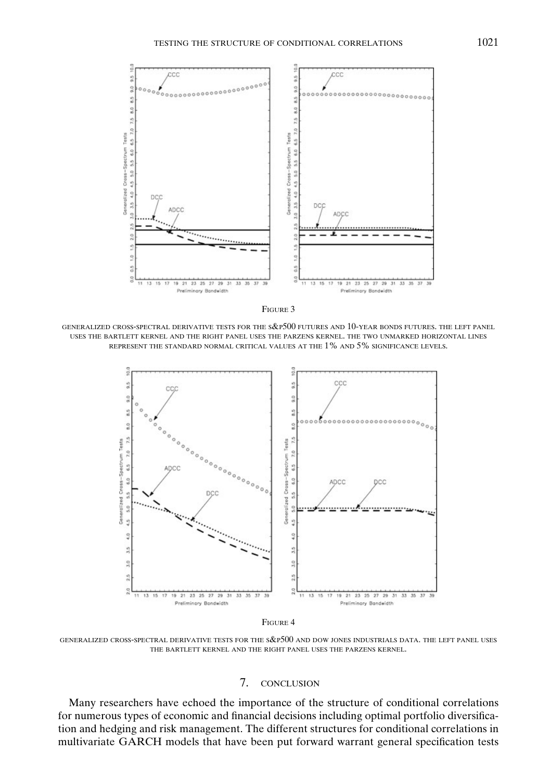



GENERALIZED CROSS-SPECTRAL DERIVATIVE TESTS FOR THE S&P500 FUTURES AND 10-YEAR BONDS FUTURES. THE LEFT PANEL USES THE BARTLETT KERNEL AND THE RIGHT PANEL USES THE PARZENS KERNEL. THE TWO UNMARKED HORIZONTAL LINES REPRESENT THE STANDARD NORMAL CRITICAL VALUES AT THE 1% AND 5% SIGNIFICANCE LEVELS.





GENERALIZED CROSS-SPECTRAL DERIVATIVE TESTS FOR THE S&P500 AND DOW JONES INDUSTRIALS DATA. THE LEFT PANEL USES THE BARTLETT KERNEL AND THE RIGHT PANEL USES THE PARZENS KERNEL.

# 7. CONCLUSION

Many researchers have echoed the importance of the structure of conditional correlations for numerous types of economic and financial decisions including optimal portfolio diversification and hedging and risk management. The different structures for conditional correlations in multivariate GARCH models that have been put forward warrant general specification tests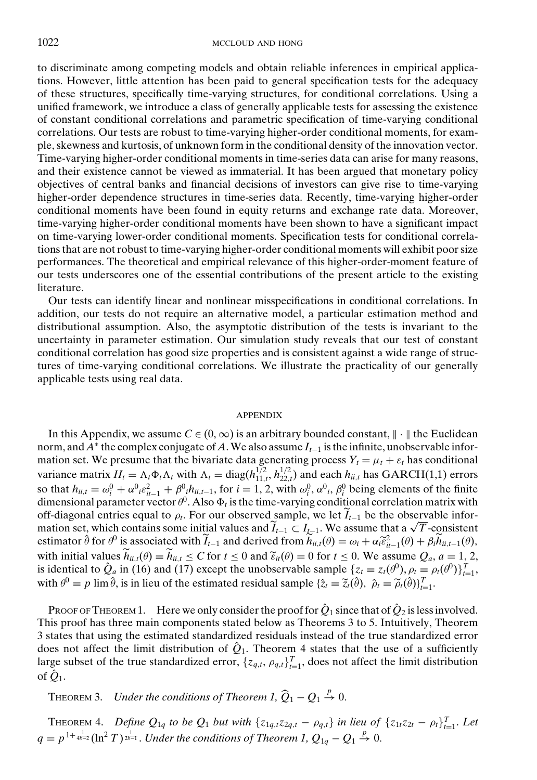to discriminate among competing models and obtain reliable inferences in empirical applications. However, little attention has been paid to general specification tests for the adequacy of these structures, specifically time-varying structures, for conditional correlations. Using a unified framework, we introduce a class of generally applicable tests for assessing the existence of constant conditional correlations and parametric specification of time-varying conditional correlations. Our tests are robust to time-varying higher-order conditional moments, for example, skewness and kurtosis, of unknown form in the conditional density of the innovation vector. Time-varying higher-order conditional moments in time-series data can arise for many reasons, and their existence cannot be viewed as immaterial. It has been argued that monetary policy objectives of central banks and financial decisions of investors can give rise to time-varying higher-order dependence structures in time-series data. Recently, time-varying higher-order conditional moments have been found in equity returns and exchange rate data. Moreover, time-varying higher-order conditional moments have been shown to have a significant impact on time-varying lower-order conditional moments. Specification tests for conditional correlations that are not robust to time-varying higher-order conditional moments will exhibit poor size performances. The theoretical and empirical relevance of this higher-order-moment feature of our tests underscores one of the essential contributions of the present article to the existing literature.

Our tests can identify linear and nonlinear misspecifications in conditional correlations. In addition, our tests do not require an alternative model, a particular estimation method and distributional assumption. Also, the asymptotic distribution of the tests is invariant to the uncertainty in parameter estimation. Our simulation study reveals that our test of constant conditional correlation has good size properties and is consistent against a wide range of structures of time-varying conditional correlations. We illustrate the practicality of our generally applicable tests using real data.

#### APPENDIX

In this Appendix, we assume  $C \in (0, \infty)$  is an arbitrary bounded constant,  $\| \cdot \|$  the Euclidean norm, and *A*<sup>∗</sup> the complex conjugate of *A*.We also assume *It*<sup>−</sup><sup>1</sup> is the infinite, unobservable information set. We presume that the bivariate data generating process  $Y_t = \mu_t + \varepsilon_t$  has conditional variance matrix  $H_t = \Lambda_t \Phi_t \Lambda_t$  with  $\Lambda_t = \text{diag}(h_{11,t}^{1/2}, h_{22,t}^{1/2})$  and each  $h_{ii,t}$  has GARCH(1,1) errors so that  $h_{ii,t} = \omega_i^0 + \alpha^0_i \varepsilon_{it-1}^2 + \beta^0_i h_{ii,t-1}$ , for  $i = 1, 2$ , with  $\omega_i^0$ ,  $\alpha^0_i$ ,  $\beta_i^0$  being elements of the finite dimensional parameter vector  $\theta^0$ . Also  $\Phi_t$  is the time-varying conditional correlation matrix with off-diagonal entries equal to  $\rho_t$ . For our observed sample, we let  $\widetilde{I}_{t-1}$  be the observable inforoff-diagonal entries equal to  $\rho_t$ . For our observed sample, we let  $I_{t-1}$  be the observable information set, which contains some initial values and  $\tilde{I}_{t-1} \subset I_{t-1}$ . We assume that a  $\sqrt{T}$ -consistent estimator  $\hat{\theta}$  for  $\theta^0$  is associated with  $\tilde{I}_{t-1}$  and derived from  $\tilde{h}_{ii,t}(\theta) = \omega_i + \alpha_i \tilde{\epsilon}_{it-1}^2(\theta) + \beta_i \tilde{h}_{ii,t-1}(\theta)$ , with initial values  $h_{ii,t}(\theta) \equiv h_{ii,t} \le C$  for  $t \le 0$  and  $\tilde{\epsilon}_{it}(\theta) = 0$  for  $t \le 0$ . We assume  $Q_a$ ,  $a = 1, 2$ , is identical to  $\hat{Q}_a$  in (16) and (17) except the unobservable sample  $\{z_t \equiv z_t(\theta^0), \rho_t \equiv \rho_t(\theta^0)\}_{t=1}^T$ with  $\theta^0 \equiv p \lim \hat{\theta}$ , is in lieu of the estimated residual sample  $\{\hat{z}_t \equiv \tilde{z}_t(\hat{\theta}), \ \hat{\rho}_t \equiv \tilde{\rho}_t(\hat{\theta})\}_{t=1}^T$ .

PROOF OF THEOREM 1. Here we only consider the proof for  $\hat{Q}_1$  since that of  $\hat{Q}_2$  is less involved. This proof has three main components stated below as Theorems 3 to 5. Intuitively, Theorem 3 states that using the estimated standardized residuals instead of the true standardized error does not affect the limit distribution of  $\hat{Q}_1$ . Theorem 4 states that the use of a sufficiently large subset of the true standardized error,  $\{z_{q,t}, \rho_{q,t}\}_{t=1}^T$ , does not affect the limit distribution of  $\hat{Q}_1$ .

THEOREM 3. *Under the conditions of Theorem 1,*  $\widehat{Q}_1 - Q_1 \stackrel{p}{\rightarrow} 0$ .

THEOREM 4. Define  $Q_{1q}$  to be  $Q_1$  but with  $\{z_{1q,t}z_{2q,t} - \rho_{q,t}\}$  in lieu of  $\{z_{1t}z_{2t} - \rho_t\}_{t=1}^T$ . Let  $q = p^{1 + \frac{1}{4b-2}} (\ln^2 T)^{\frac{1}{2b-1}}$ . *Under the conditions of Theorem 1,*  $Q_{1q} - Q_1 \overset{p}{\to} 0$ *.*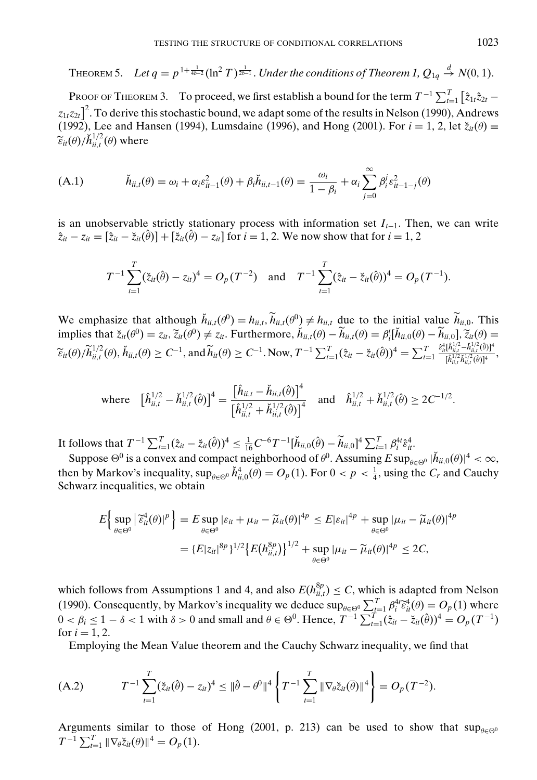THEOREM 5. Let  $q = p^{1+\frac{1}{4b-2}}(\ln^2 T)^{\frac{1}{2b-1}}.$  Under the conditions of Theorem 1,  $Q_{1q} \stackrel{d}{\rightarrow} N(0,1).$ 

PROOF OF THEOREM 3. To proceed, we first establish a bound for the term  $T^{-1} \sum_{t=1}^{T} \left[ \hat{z}_{1t} \hat{z}_{2t}$  $z_{1t}z_{2t}$ <sup>2</sup>. To derive this stochastic bound, we adapt some of the results in Nelson (1990), Andrews (1992), Lee and Hansen (1994), Lumsdaine (1996), and Hong (2001). For  $i = 1, 2$ , let  $\zeta_{it}(\theta) \equiv$  $\widetilde{\varepsilon}_{it}(\theta)/\breve{h}_{ii,t}^{1/2}(\theta)$  where

(A.1) 
$$
\breve{h}_{ii,t}(\theta) = \omega_i + \alpha_i \varepsilon_{it-1}^2(\theta) + \beta_i \breve{h}_{ii,t-1}(\theta) = \frac{\omega_i}{1 - \beta_i} + \alpha_i \sum_{j=0}^{\infty} \beta_i^j \varepsilon_{it-1-j}^2(\theta)
$$

is an unobservable strictly stationary process with information set *It*−1. Then, we can write  $\hat{z}_{it} - z_{it} = [\hat{z}_{it} - \check{z}_{it}(\hat{\theta})] + [\check{z}_{it}(\hat{\theta}) - z_{it}]$  for  $i = 1, 2$ . We now show that for  $i = 1, 2$ 

$$
T^{-1}\sum_{t=1}^T(\tilde{z}_{it}(\hat{\theta})-z_{it})^4=O_p(T^{-2})\quad\text{and}\quad T^{-1}\sum_{t=1}^T(\hat{z}_{it}-\tilde{z}_{it}(\hat{\theta}))^4=O_p(T^{-1}).
$$

We emphasize that although  $\check{h}_{ii,t}(\theta^0) = h_{ii,t}$ ,  $\widetilde{h}_{ii,t}(\theta^0) \neq h_{ii,t}$  due to the initial value  $\widetilde{h}_{ii,0}$ . This implies that  $\zeta_{it}(\theta^0) = z_{it}$ ,  $\widetilde{z}_{it}(\theta^0) \neq z_{it}$ . Furthermore,  $\check{h}_{ii,t}(\theta) - \widetilde{h}_{ii,t}(\theta) = \beta_i^t [\check{h}_{ii,0}(\theta) - \widetilde{h}_{ii,0}], \widetilde{z}_{it}(\theta) = \widetilde{z}_{i+1}$  $\widetilde{\epsilon}_{it}(\theta) / \widetilde{h}_{ii,t}^{1/2}(\theta), \check{h}_{ii,t}(\theta) \ge C^{-1}, \text{ and } \widetilde{h}_{it}(\theta) \ge C^{-1}.\text{ Now, } T^{-1} \sum_{t=1}^{T} (\hat{z}_{it} - \check{z}_{it}(\hat{\theta}))^4 = \sum_{t=1}^{T}$  $\hat{\varepsilon}_{it}^4 [\hat{h}_{ii,t}^{1/2} \!-\! \check{h}_{ii,t}^{1/2}(\hat{\theta})]^4$  $\frac{\left[\hat{h}_{ii,t}^{1/2} \tilde{h}_{ii,t}^{1/2}(\hat{\theta})\right]^4}{\left[\hat{h}_{ii,t}^{1/2} \tilde{h}_{ii,t}^{1/2}(\hat{\theta})\right]^4},$ 

where 
$$
[\hat{h}_{ii,t}^{1/2} - \check{h}_{ii,t}^{1/2}(\hat{\theta})]^4 = \frac{[\hat{h}_{ii,t} - \check{h}_{ii,t}(\hat{\theta})]^4}{[\hat{h}_{ii,t}^{1/2} + \check{h}_{ii,t}^{1/2}(\hat{\theta})]^4}
$$
 and  $\hat{h}_{ii,t}^{1/2} + \check{h}_{ii,t}^{1/2}(\hat{\theta}) \ge 2C^{-1/2}$ .

It follows that  $T^{-1} \sum_{t=1}^{T} (\hat{z}_{it} - \check{z}_{it}(\hat{\theta}))^4 \leq \frac{1}{16} C^{-6} T^{-1} [\check{h}_{ii,0}(\hat{\theta}) - \widetilde{h}_{ii,0}]^4 \sum_{t=1}^{T} \beta_i^4 t \hat{\epsilon}_{it}^4$ .

Suppose  $\Theta^0$  is a convex and compact neighborhood of  $\theta^0$ . Assuming  $E \sup_{\theta \in \Theta^0} |\check{h}_{ii,0}(\theta)|^4 < \infty$ , then by Markov's inequality,  $\sup_{\theta \in \Theta^0} \check{h}_{ii,0}^4(\theta) = O_p(1)$ . For  $0 < p < \frac{1}{4}$ , using the  $C_r$  and Cauchy Schwarz inequalities, we obtain

$$
E\left\{\sup_{\theta\in\Theta^0}|\tilde{\varepsilon}_{it}^4(\theta)|^p\right\} = E\sup_{\theta\in\Theta^0}|\varepsilon_{it} + \mu_{it} - \widetilde{\mu}_{it}(\theta)|^{4p} \le E|\varepsilon_{it}|^{4p} + \sup_{\theta\in\Theta^0}|\mu_{it} - \widetilde{\mu}_{it}(\theta)|^{4p}
$$

$$
= \{E|z_{it}|^{8p}\}^{1/2}\{E(h_{it,t}^{8p})\}^{1/2} + \sup_{\theta\in\Theta^0}|\mu_{it} - \widetilde{\mu}_{it}(\theta)|^{4p} \le 2C,
$$

which follows from Assumptions 1 and 4, and also  $E(h_{ii,t}^{8p}) \leq C$ , which is adapted from Nelson (1990). Consequently, by Markov's inequality we deduce  $\sup_{\theta \in \Theta^0} \sum_{t=1}^T \beta_t^4 \widetilde{\epsilon}_{it}^4(\theta) = O_p(1)$  where  $\theta \in \Theta^0$  and excellent  $\theta \in \Theta^0$ . Hence  $T^{-1} \sum_{t=1}^T \widetilde{\epsilon}_{it}^2 \approx (\partial \Omega)^4$  $0 < \beta_i \leq 1 - \delta < 1$  with  $\delta > 0$  and small and  $\theta \in \Theta^0$ . Hence,  $T^{-1} \sum_{t=1}^T (\hat{z}_{it} - \check{z}_{it}(\hat{\theta}))^4 = O_p(T^{-1})$ for  $i = 1, 2$ .

Employing the Mean Value theorem and the Cauchy Schwarz inequality, we find that

(A.2) 
$$
T^{-1} \sum_{t=1}^{T} (\breve{z}_{it}(\hat{\theta}) - z_{it})^4 \leq \|\hat{\theta} - \theta^0\|^4 \left\{ T^{-1} \sum_{t=1}^{T} \|\nabla_{\theta} \breve{z}_{it}(\bar{\theta})\|^4 \right\} = O_p(T^{-2}).
$$

Arguments similar to those of Hong (2001, p. 213) can be used to show that  $\sup_{\theta \in \Theta^0}$  $T^{-1} \sum_{t=1}^{T} \|\nabla_{\theta} \xi_{it}(\theta)\|^4 = O_p(1).$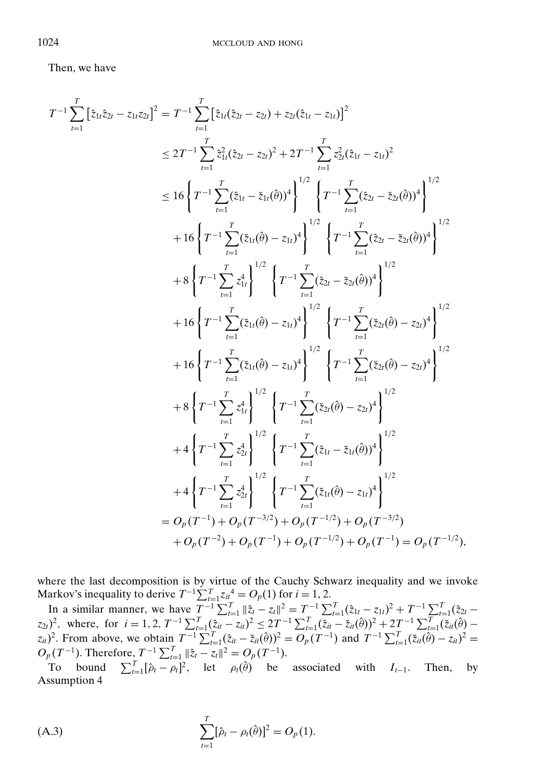Then, we have

$$
T^{-1} \sum_{t=1}^{T} \left[ \hat{z}_{1t} \hat{z}_{2t} - z_{1t} z_{2t} \right]^{2} = T^{-1} \sum_{t=1}^{T} \left[ \hat{z}_{1t} (\hat{z}_{2t} - z_{2t}) + z_{2t} (\hat{z}_{1t} - z_{1t}) \right]^{2}
$$
  
\n
$$
\leq 2T^{-1} \sum_{t=1}^{T} \hat{z}_{1t}^{2} (\hat{z}_{2t} - z_{2t})^{2} + 2T^{-1} \sum_{t=1}^{T} z_{2t}^{2} (\hat{z}_{1t} - z_{1t})^{2}
$$
  
\n
$$
\leq 16 \left\{ T^{-1} \sum_{t=1}^{T} (\hat{z}_{1t} - \hat{z}_{1t}(\hat{\theta}))^{4} \right\}^{1/2} \left\{ T^{-1} \sum_{t=1}^{T} (\hat{z}_{2t} - \hat{z}_{2t}(\hat{\theta}))^{4} \right\}^{1/2}
$$
  
\n
$$
+ 16 \left\{ T^{-1} \sum_{t=1}^{T} (\hat{z}_{1t}(\hat{\theta}) - z_{1t})^{4} \right\}^{1/2} \left\{ T^{-1} \sum_{t=1}^{T} (\hat{z}_{2t} - \hat{z}_{2t}(\hat{\theta}))^{4} \right\}^{1/2}
$$
  
\n
$$
+ 8 \left\{ T^{-1} \sum_{t=1}^{T} z_{1t}^{4} \right\}^{1/2} \left\{ T^{-1} \sum_{t=1}^{T} (\hat{z}_{2t} - \hat{z}_{2t}(\hat{\theta}))^{4} \right\}^{1/2}
$$
  
\n
$$
+ 16 \left\{ T^{-1} \sum_{t=1}^{T} (\hat{z}_{1t}(\hat{\theta}) - z_{1t})^{4} \right\}^{1/2} \left\{ T^{-1} \sum_{t=1}^{T} (\hat{z}_{2t}(\hat{\theta}) - z_{2t})^{4} \right\}^{1/2}
$$
  
\n
$$
+ 8 \left\{ T^{-1} \sum_{t=1}^{T} z_{1t}^{4} \right\}^{1/2} \left\{ T^{-1} \sum_{t=1}^{T} (\hat{z}_{2t}(\hat{\theta}) - z_{2t})^{4} \right\}^{
$$

where the last decomposition is by virtue of the Cauchy Schwarz inequality and we invoke Markov's inequality to derive  $T^{-1} \sum_{t=1}^{T} z_{it}^4 = O_p(1)$  for  $i = 1, 2$ .

In a similar manner, we have  $T^{-1} \sum_{t=1}^{T} ||\hat{z}_t - z_t||^2 = T^{-1} \sum_{t=1}^{T} (\hat{z}_{1t} - z_{1t})^2 + T^{-1} \sum_{t=1}^{T} (\hat{z}_{2t} - z_{1t})^2$  $(z_{2t})^2$ , where, for  $i = 1, 2, T^{-1} \sum_{t=1}^{T} (\tilde{z}_{it} - z_{it})^2 \le 2T^{-1} \sum_{t=1}^{T} (\tilde{z}_{it} - \tilde{z}_{it}(\hat{\theta}))^2 + 2T^{-1} \sum_{t=1}^{T} (\tilde{z}_{it}(\hat{\theta}) - \tilde{z}_{it}(\hat{\theta}))^2$  $(z_{it})^2$ . From above, we obtain  $T^{-1} \sum_{t=1}^T (\hat{z}_{it} - \check{z}_{it}(\hat{\theta}))^2 = O_p(T^{-1})$  and  $T^{-1} \sum_{t=1}^T (\check{z}_{it}(\hat{\theta}) - z_{it})^2 =$  $O_p(T^{-1})$ . Therefore,  $T^{-1} \sum_{t=1}^T ||\hat{z}_t - z_t||^2 = O_p(T^{-1})$ .

To bound  $\sum_{t=1}^{T} [\hat{\rho}_t - \rho_t]^2$ , let  $\rho_t(\hat{\theta})$  be associated with *I<sub>t−1</sub>*. Then, by Assumption 4

(A.3) 
$$
\sum_{t=1}^{T} [\hat{\rho}_t - \rho_t(\hat{\theta})]^2 = O_p(1).
$$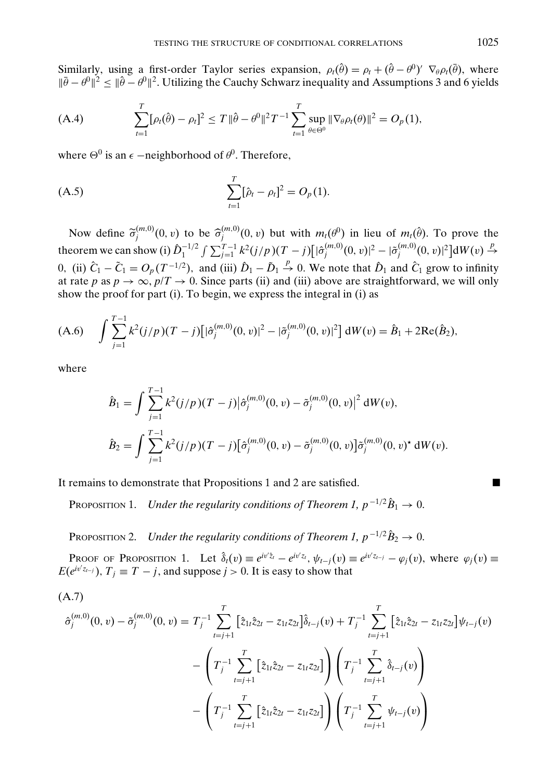Similarly, using a first-order Taylor series expansion,  $\rho_t(\hat{\theta}) = \rho_t + (\hat{\theta} - \theta^0)' \nabla_{\theta} \rho_t(\bar{\theta})$ , where  $\|\bar{\theta}-\theta^0\|^2 \leq \|\hat{\theta}-\theta^0\|^2$ . Utilizing the Cauchy Schwarz inequality and Assumptions 3 and 6 yields

(A.4) 
$$
\sum_{t=1}^{T} [\rho_t(\hat{\theta}) - \rho_t]^2 \le T \|\hat{\theta} - \theta^0\|^2 T^{-1} \sum_{t=1}^{T} \sup_{\theta \in \Theta^0} \|\nabla_{\theta} \rho_t(\theta)\|^2 = O_p(1),
$$

where  $\Theta^0$  is an  $\epsilon$  –neighborhood of  $\theta^0$ . Therefore,

(A.5) 
$$
\sum_{t=1}^{T} [\hat{\rho}_t - \rho_t]^2 = O_p(1).
$$

Now define  $\tilde{\sigma}_j^{(m,0)}(0, v)$  to be  $\hat{\sigma}_j^{(m,0)}(0, v)$  but with  $m_t(\theta^0)$  in lieu of  $m_t(\hat{\theta})$ . To prove the theorem we can show (i)  $\hat{D}_1^{-1/2} \int \sum_{j=1}^{T-1} k^2 (j/p) (T-j) [\hat{\sigma}_j^{(m,0)}(0, v)]^2 - |\tilde{\sigma}_j^{(m,0)}(0, v)|^2] dW(v) \stackrel{p}{\rightarrow}$ 0, (ii)  $\hat{C}_1 - \tilde{C}_1 = O_p(T^{-1/2})$ , and (iii)  $\hat{D}_1 - \tilde{D}_1 \stackrel{p}{\rightarrow} 0$ . We note that  $\hat{D}_1$  and  $\hat{C}_1$  grow to infinity at rate *p* as  $p \to \infty$ ,  $p/T \to 0$ . Since parts (ii) and (iii) above are straightforward, we will only show the proof for part (i). To begin, we express the integral in (i) as

$$
(A.6) \quad \int \sum_{j=1}^{T-1} k^2 (j/p) (T-j) \big[ |\hat{\sigma}_j^{(m,0)}(0,v)|^2 - |\tilde{\sigma}_j^{(m,0)}(0,v)|^2 \big] \, dW(v) = \hat{B}_1 + 2 \text{Re}(\hat{B}_2),
$$

where

$$
\hat{B}_1 = \int \sum_{j=1}^{T-1} k^2 (j/p) (T-j) |\hat{\sigma}_j^{(m,0)}(0, v) - \tilde{\sigma}_j^{(m,0)}(0, v)|^2 dW(v),
$$
  

$$
\hat{B}_2 = \int \sum_{j=1}^{T-1} k^2 (j/p) (T-j) [\hat{\sigma}_j^{(m,0)}(0, v) - \tilde{\sigma}_j^{(m,0)}(0, v)] \tilde{\sigma}_j^{(m,0)}(0, v)^{\star} dW(v).
$$

It remains to demonstrate that Propositions 1 and 2 are satisfied.

PROPOSITION 1. *Under the regularity conditions of Theorem 1,*  $p^{-1/2}\hat{B}_1 \rightarrow 0$ *.* 

PROPOSITION 2. *Under the regularity conditions of Theorem 1,*  $p^{-1/2}\hat{B}_2 \rightarrow 0$ *.* 

PROOF OF PROPOSITION 1. Let  $\hat{\delta}_t(v) \equiv e^{iv^{\prime}z_t} - e^{iv^{\prime}z_t}$ ,  $\psi_{t-j}(v) \equiv e^{iv^{\prime}z_{t-j}} - \varphi_j(v)$ , where  $\varphi_j(v) \equiv$  $E(e^{i v'z_{t-j}})$ ,  $T_j \equiv T - j$ , and suppose  $j > 0$ . It is easy to show that

$$
(A.7)
$$
\n
$$
\hat{\sigma}_{j}^{(m,0)}(0, v) - \tilde{\sigma}_{j}^{(m,0)}(0, v) = T_{j}^{-1} \sum_{t=j+1}^{T} \left[ \hat{z}_{1t} \hat{z}_{2t} - z_{1t} z_{2t} \right] \hat{\delta}_{t-j}(v) + T_{j}^{-1} \sum_{t=j+1}^{T} \left[ \hat{z}_{1t} \hat{z}_{2t} - z_{1t} z_{2t} \right] \psi_{t-j}(v) - \left( T_{j}^{-1} \sum_{t=j+1}^{T} \left[ \hat{z}_{1t} \hat{z}_{2t} - z_{1t} z_{2t} \right] \right) \left( T_{j}^{-1} \sum_{t=j+1}^{T} \hat{\delta}_{t-j}(v) \right) - \left( T_{j}^{-1} \sum_{t=j+1}^{T} \left[ \hat{z}_{1t} \hat{z}_{2t} - z_{1t} z_{2t} \right] \right) \left( T_{j}^{-1} \sum_{t=j+1}^{T} \psi_{t-j}(v) \right)
$$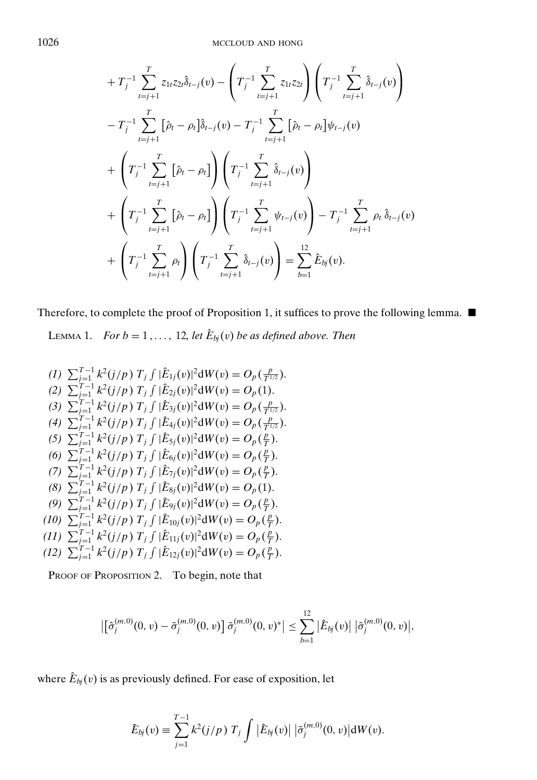$$
+ T_{j}^{-1} \sum_{t=j+1}^{T} z_{1t} z_{2t} \hat{\delta}_{t-j}(v) - \left( T_{j}^{-1} \sum_{t=j+1}^{T} z_{1t} z_{2t} \right) \left( T_{j}^{-1} \sum_{t=j+1}^{T} \hat{\delta}_{t-j}(v) \right)
$$
  

$$
- T_{j}^{-1} \sum_{t=j+1}^{T} [\hat{\rho}_{t} - \rho_{t}] \hat{\delta}_{t-j}(v) - T_{j}^{-1} \sum_{t=j+1}^{T} [\hat{\rho}_{t} - \rho_{t}] \psi_{t-j}(v)
$$
  

$$
+ \left( T_{j}^{-1} \sum_{t=j+1}^{T} [\hat{\rho}_{t} - \rho_{t}] \right) \left( T_{j}^{-1} \sum_{t=j+1}^{T} \hat{\delta}_{t-j}(v) \right)
$$
  

$$
+ \left( T_{j}^{-1} \sum_{t=j+1}^{T} [\hat{\rho}_{t} - \rho_{t}] \right) \left( T_{j}^{-1} \sum_{t=j+1}^{T} \psi_{t-j}(v) \right) - T_{j}^{-1} \sum_{t=j+1}^{T} \rho_{t} \hat{\delta}_{t-j}(v)
$$
  

$$
+ \left( T_{j}^{-1} \sum_{t=j+1}^{T} \rho_{t} \right) \left( T_{j}^{-1} \sum_{t=j+1}^{T} \hat{\delta}_{t-j}(v) \right) = \sum_{b=1}^{12} \hat{E}_{bj}(v).
$$

Therefore, to complete the proof of Proposition 1, it suffices to prove the following lemma.  $\blacksquare$ 

LEMMA 1. *For b* = 1,..., 12, let  $\hat{E}_{bj}(v)$  *be as defined above. Then* 

(1) 
$$
\sum_{j=1}^{T-1} k^2 (j/p) T_j \int |\hat{E}_{1j}(v)|^2 dW(v) = O_p(\frac{p}{T^{1/2}}).
$$
  
\n(2) 
$$
\sum_{j=1}^{T-1} k^2 (j/p) T_j \int |\hat{E}_{2j}(v)|^2 dW(v) = O_p(1).
$$
  
\n(3) 
$$
\sum_{j=1}^{T-1} k^2 (j/p) T_j \int |\hat{E}_{3j}(v)|^2 dW(v) = O_p(\frac{p}{T^{1/2}}).
$$
  
\n(4) 
$$
\sum_{j=1}^{T-1} k^2 (j/p) T_j \int |\hat{E}_{4j}(v)|^2 dW(v) = O_p(\frac{p}{T^{1/2}}).
$$
  
\n(5) 
$$
\sum_{j=1}^{T-1} k^2 (j/p) T_j \int |\hat{E}_{5j}(v)|^2 dW(v) = O_p(\frac{p}{T}).
$$
  
\n(6) 
$$
\sum_{j=1}^{T-1} k^2 (j/p) T_j \int |\hat{E}_{6j}(v)|^2 dW(v) = O_p(\frac{p}{T}).
$$
  
\n(7) 
$$
\sum_{j=1}^{T-1} k^2 (j/p) T_j \int |\hat{E}_{7j}(v)|^2 dW(v) = O_p(\frac{p}{T}).
$$
  
\n(8) 
$$
\sum_{j=1}^{T-1} k^2 (j/p) T_j \int |\hat{E}_{8j}(v)|^2 dW(v) = O_p(1).
$$
  
\n(9) 
$$
\sum_{j=1}^{T-1} k^2 (j/p) T_j \int |\hat{E}_{9j}(v)|^2 dW(v) = O_p(\frac{p}{T}).
$$
  
\n(10) 
$$
\sum_{j=1}^{T-1} k^2 (j/p) T_j \int |\hat{E}_{10j}(v)|^2 dW(v) = O_p(\frac{p}{T}).
$$
  
\n(11) 
$$
\sum_{j=1}^{T-1} k^2 (j/p) T_j \int |\hat{E}_{11j}(v)|^2 dW(v) = O_p(\frac{p}{T}).
$$
  
\n(12) 
$$
\sum_{j=1}^{T-1} k^2 (j/p) T_j \int |\hat{E}_{12j}(v)|^2 dW(v) = O_p(\frac{p}{T}).
$$

PROOF OF PROPOSITION 2. To begin, note that

$$
\left|\left[\hat{\sigma}_{j}^{(m,0)}(0,\,v)-\tilde{\sigma}_{j}^{(m,0)}(0,\,v)\right]\tilde{\sigma}_{j}^{(m,0)}(0,\,v)^{*}\right|\leq\sum_{b=1}^{12}\left|\hat{E}_{bj}(v)\right|\,\left|\tilde{\sigma}_{j}^{(m,0)}(0,\,v)\right|,
$$

where  $\hat{E}_{bj}(v)$  is as previously defined. For ease of exposition, let

$$
\tilde{E}_{bj}(v) \equiv \sum_{j=1}^{T-1} k^2 (j/p) T_j \int |\hat{E}_{bj}(v)| |\tilde{\sigma}_j^{(m,0)}(0,v)| dW(v).
$$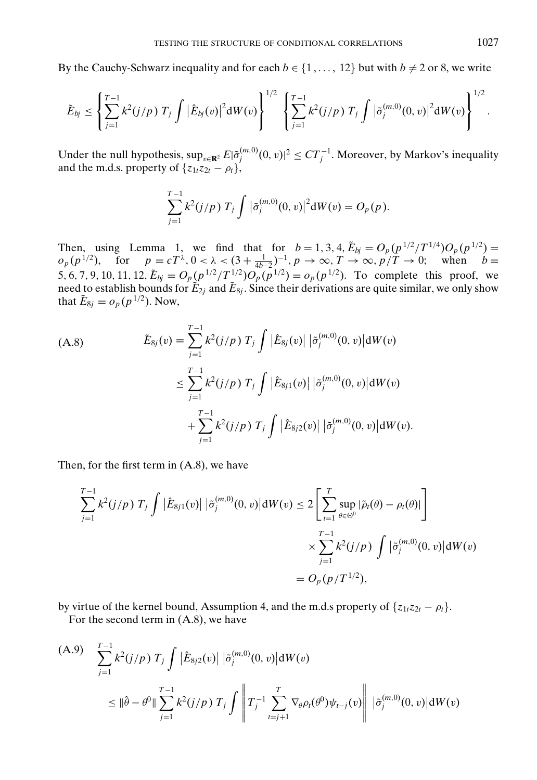By the Cauchy-Schwarz inequality and for each  $b \in \{1, \ldots, 12\}$  but with  $b \neq 2$  or 8, we write

$$
\tilde{E}_{bj} \leq \left\{ \sum_{j=1}^{T-1} k^2(j/p) T_j \int |\hat{E}_{bj}(v)|^2 dW(v) \right\}^{1/2} \left\{ \sum_{j=1}^{T-1} k^2(j/p) T_j \int |\tilde{\sigma}_j^{(m,0)}(0,v)|^2 dW(v) \right\}^{1/2}.
$$

Under the null hypothesis,  $\sup_{v \in \mathbf{R}^2} E|\tilde{\sigma}_{j}^{(m,0)}(0,v)|^2 \leq CT_j^{-1}$ . Moreover, by Markov's inequality and the m.d.s. property of  $\{z_{1t}z_{2t} - \rho_t\}$ ,

$$
\sum_{j=1}^{T-1} k^2 (j/p) T_j \int |\tilde{\sigma}_j^{(m,0)}(0,v)|^2 dW(v) = O_p(p).
$$

Then, using Lemma 1, we find that for  $b = 1, 3, 4$ ,  $\tilde{E}_{bj} = O_p(p^{1/2}/T^{1/4})O_p(p^{1/2}) =$  $o_p(p^{1/2})$ , for  $p = cT^{\lambda}, 0 < \lambda < (3 + \frac{1}{4b-2})^{-1}, p \to \infty, T \to \infty, p/T \to 0;$  when  $b =$ 5, 6, 7, 9, 10, 11, 12,  $\tilde{E}_{bj} = O_p(p^{1/2}/T^{1/2})O_p(p^{1/2}) = o_p(p^{1/2})$ . To complete this proof, we need to establish bounds for  $\tilde{E}_{2j}$  and  $\tilde{E}_{8j}$ . Since their derivations are quite similar, we only show that  $\tilde{E}_{8j} = o_p(p^{1/2})$ . Now,

(A.8)  
\n
$$
\tilde{E}_{8j}(v) \equiv \sum_{j=1}^{T-1} k^2 (j/p) T_j \int |\hat{E}_{8j}(v)| |\tilde{\sigma}_j^{(m,0)}(0, v)| dW(v)
$$
\n
$$
\leq \sum_{j=1}^{T-1} k^2 (j/p) T_j \int |\hat{E}_{8j1}(v)| |\tilde{\sigma}_j^{(m,0)}(0, v)| dW(v)
$$
\n
$$
+ \sum_{j=1}^{T-1} k^2 (j/p) T_j \int |\hat{E}_{8j2}(v)| |\tilde{\sigma}_j^{(m,0)}(0, v)| dW(v).
$$

Then, for the first term in (A.8), we have

$$
\sum_{j=1}^{T-1} k^2 (j/p) T_j \int |\hat{E}_{8j1}(v)| |\tilde{\sigma}_j^{(m,0)}(0,v)| dW(v) \le 2 \left[ \sum_{t=1}^T \sup_{\theta \in \Theta^0} |\tilde{\rho}_t(\theta) - \rho_t(\theta)| \right] \times \sum_{j=1}^{T-1} k^2 (j/p) \int |\tilde{\sigma}_j^{(m,0)}(0,v)| dW(v) = O_p(p/T^{1/2}),
$$

by virtue of the kernel bound, Assumption 4, and the m.d.s property of  $\{z_{1t}z_{2t} - \rho_t\}$ .

For the second term in (A.8), we have

(A.9) 
$$
\sum_{j=1}^{T-1} k^2 (j/p) T_j \int |\hat{E}_{8j2}(v)| |\tilde{\sigma}_j^{(m,0)}(0,v)| dW(v)
$$
  

$$
\leq ||\hat{\theta} - \theta^0|| \sum_{j=1}^{T-1} k^2 (j/p) T_j \int \left||T_j^{-1} \sum_{t=j+1}^{T} \nabla_{\theta} \rho_t(\theta^0) \psi_{t-j}(v) \right|| |\tilde{\sigma}_j^{(m,0)}(0,v)| dW(v)
$$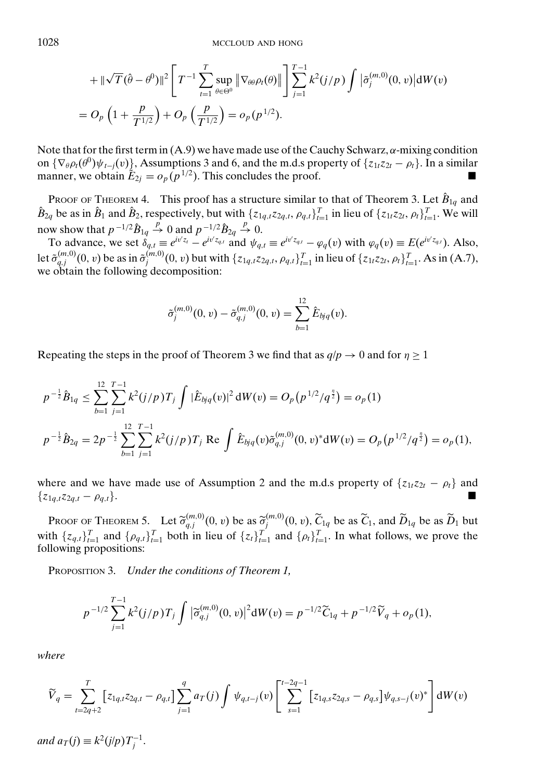$$
+ \|\sqrt{T}(\hat{\theta} - \theta^0)\|^2 \left[ T^{-1} \sum_{t=1}^T \sup_{\theta \in \Theta^0} \|\nabla_{\theta\theta} \rho_t(\theta)\| \right] \sum_{j=1}^{T-1} k^2 (j/p) \int |\tilde{\sigma}_j^{(m,0)}(0, v)| dW(v) = O_p \left( 1 + \frac{p}{T^{1/2}} \right) + O_p \left( \frac{p}{T^{1/2}} \right) = o_p(p^{1/2}).
$$

Note that for the first term in  $(A.9)$  we have made use of the Cauchy Schwarz,  $\alpha$ -mixing condition on  $\{\nabla_{\theta} \rho_t(\theta^0) \psi_{t-j}(v)\}\$ , Assumptions 3 and 6, and the m.d.s property of  $\{z_{1t}z_{2t} - \rho_t\}\$ . In a similar manner, we obtain  $\tilde{E}_{2j} = o_p(p^{1/2})$ . This concludes the proof.

PROOF OF THEOREM 4. This proof has a structure similar to that of Theorem 3. Let  $\hat{B}_{1q}$  and  $\hat{B}_{2q}$  be as in  $\hat{B}_1$  and  $\hat{B}_2$ , respectively, but with  $\{z_{1q,t}z_{2q,t}, \rho_{q,t}\}_{t=1}^T$  in lieu of  $\{z_{1t}z_{2t}, \rho_t\}_{t=1}^T$ . We will now show that  $p^{-1/2}\hat{B}_{1q} \stackrel{p}{\rightarrow} 0$  and  $p^{-1/2}\hat{B}_{2q} \stackrel{p}{\rightarrow} 0$ .

To advance, we set  $\delta_{q,t} \equiv e^{iv'z_t} - e^{iv'z_{q,t}}$  and  $\psi_{q,t} \equiv e^{iv'z_{q,t}} - \varphi_q(v)$  with  $\varphi_q(v) \equiv E(e^{iv'z_{q,t}})$ . Also, let  $\tilde{\sigma}_{q,j}^{(m,0)}(0, v)$  be as in  $\tilde{\sigma}_j^{(m,0)}(0, v)$  but with  $\{z_{1q,t}z_{2q,t}, \rho_{q,t}\}_{t=1}^T$  in lieu of  $\{z_{1t}z_{2t}, \rho_t\}_{t=1}^T$ . As in (A.7), we obtain the following decomposition:

$$
\tilde{\sigma}_j^{(m,0)}(0,v) - \tilde{\sigma}_{q,j}^{(m,0)}(0,v) = \sum_{b=1}^{12} \hat{E}_{bjq}(v).
$$

Repeating the steps in the proof of Theorem 3 we find that as  $q/p \rightarrow 0$  and for  $\eta \ge 1$ 

$$
p^{-\frac{1}{2}}\hat{B}_{1q} \leq \sum_{b=1}^{12} \sum_{j=1}^{T-1} k^2 (j/p) T_j \int |\hat{E}_{bjq}(v)|^2 dW(v) = O_p(p^{1/2}/q^{\frac{1}{2}}) = o_p(1)
$$
  

$$
p^{-\frac{1}{2}}\hat{B}_{2q} = 2p^{-\frac{1}{2}} \sum_{b=1}^{12} \sum_{j=1}^{T-1} k^2 (j/p) T_j \text{ Re } \int \hat{E}_{bjq}(v) \tilde{\sigma}_{q,j}^{(m,0)}(0,v)^* dW(v) = O_p(p^{1/2}/q^{\frac{1}{2}}) = o_p(1),
$$

where and we have made use of Assumption 2 and the m.d.s property of  $\{z_{1t}z_{2t} - \rho_t\}$  and  $\{z_{1q,t}z_{2q,t} - \rho_{q,t}\}.$ 

PROOF OF THEOREM 5. Let  $\tilde{\sigma}_{qj}^{(m,0)}(0, v)$  be as  $\tilde{\sigma}_{j}^{(m,0)}(0, v)$ ,  $\tilde{C}_{1q}$  be as  $\tilde{C}_{1}$ , and  $\tilde{D}_{1q}$  be as  $\tilde{D}_{1}$  but the fall of  $\tilde{D}_{1}$  and  $\tilde{C}_{1}$ ,  $\tilde{C}_{2}$  and  $\tilde{C}_{3}$ ,  $\tilde{C}_{4}$  i with  $\{z_{q,t}\}_{t=1}^T$  and  $\{\rho_{q,t}\}_{t=1}^T$  both in lieu of  $\{z_t\}_{t=1}^T$  and  $\{\rho_t\}_{t=1}^T$ . In what follows, we prove the following propositions:

PROPOSITION 3. *Under the conditions of Theorem 1,*

$$
p^{-1/2}\sum_{j=1}^{T-1}k^2(j/p)T_j\int|\widetilde{\sigma}_{q,j}^{(m,0)}(0,v)|^2dW(v)=p^{-1/2}\widetilde{C}_{1q}+p^{-1/2}\widetilde{V}_q+o_p(1),
$$

*where*

$$
\widetilde{V}_q = \sum_{t=2q+2}^T \left[ z_{1q,t} z_{2q,t} - \rho_{q,t} \right] \sum_{j=1}^q a_T(j) \int \psi_{q,t-j}(v) \left[ \sum_{s=1}^{t-2q-1} \left[ z_{1q,s} z_{2q,s} - \rho_{q,s} \right] \psi_{q,s-j}(v)^* \right] dW(v)
$$

*and*  $a_T(j) \equiv k^2(j/p)T_j^{-1}$ .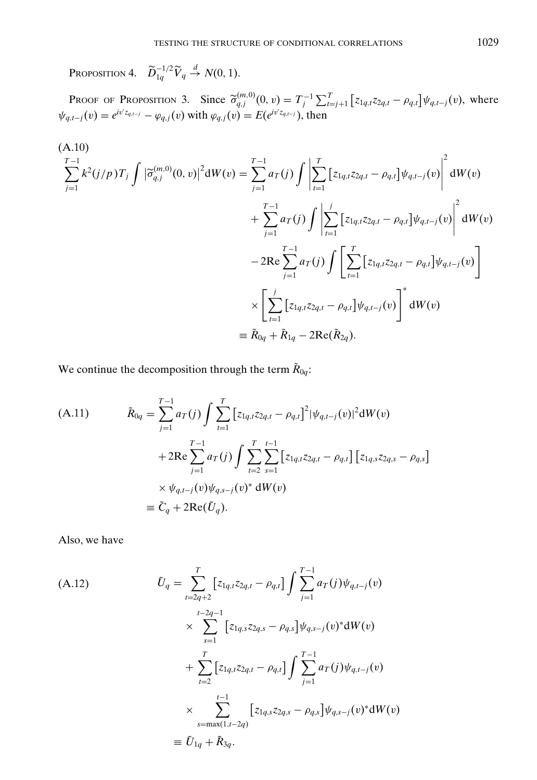Proposition 4.  $\widetilde{D}_{1q}^{-1/2}\widetilde{V}_q \stackrel{d}{\rightarrow} N(0, 1)$ .

**PROOF OF PROPOSITION 3.** Since  $\tilde{\sigma}_{q,j}^{(m,0)}(0, v) = T_j^{-1} \sum_{i=j+1}^T \left[ z_{1q,t} z_{2q,t} - \rho_{q,t} \right] \psi_{q,t-j}(v)$ , where  $\psi_{q,t-j}(v) = e^{iv'z_{q,t-j}} - \varphi_{q,j}(v)$  with  $\varphi_{q,j}(v) = E(e^{iv'z_{q,t-j}})$ , then

$$
(A.10)
$$
\n
$$
\sum_{j=1}^{T-1} k^{2}(j/p)T_{j} \int |\tilde{\sigma}_{q,j}^{(m,0)}(0,v)|^{2} dW(v) = \sum_{j=1}^{T-1} a_{T}(j) \int \left| \sum_{t=1}^{T} [z_{1q,t}z_{2q,t} - \rho_{q,t}] \psi_{q,t-j}(v) \right|^{2} dW(v)
$$
\n
$$
+ \sum_{j=1}^{T-1} a_{T}(j) \int \left| \sum_{t=1}^{j} [z_{1q,t}z_{2q,t} - \rho_{q,t}] \psi_{q,t-j}(v) \right|^{2} dW(v)
$$
\n
$$
- 2Re \sum_{j=1}^{T-1} a_{T}(j) \int \left[ \sum_{t=1}^{T} [z_{1q,t}z_{2q,t} - \rho_{q,t}] \psi_{q,t-j}(v) \right]
$$
\n
$$
\times \left[ \sum_{t=1}^{j} [z_{1q,t}z_{2q,t} - \rho_{q,t}] \psi_{q,t-j}(v) \right]^{*} dW(v)
$$
\n
$$
\equiv \tilde{R}_{0q} + \tilde{R}_{1q} - 2Re(\tilde{R}_{2q}).
$$

We continue the decomposition through the term  $\tilde{R}_{0q}$ :

(A.11) 
$$
\tilde{R}_{0q} = \sum_{j=1}^{T-1} a_T(j) \int \sum_{t=1}^{T} \left[ z_{1q,t} z_{2q,t} - \rho_{q,t} \right]^2 |\psi_{q,t-j}(v)|^2 dW(v) \n+ 2Re \sum_{j=1}^{T-1} a_T(j) \int \sum_{t=2}^{T} \sum_{s=1}^{t-1} \left[ z_{1q,t} z_{2q,t} - \rho_{q,t} \right] \left[ z_{1q,s} z_{2q,s} - \rho_{q,s} \right] \n\times \psi_{q,t-j}(v) \psi_{q,s-j}(v)^* dW(v) \n\equiv \tilde{C}_q + 2Re(\tilde{U}_q).
$$

Also, we have

$$
(A.12) \t\t\t $\tilde{U}_q = \sum_{t=2q+2}^T \left[ z_{1q,t} z_{2q,t} - \rho_{q,t} \right] \int \sum_{j=1}^{T-1} a_T(j) \psi_{q,t-j}(v)$   
\t\t\t $\times \sum_{s=1}^{t-2q-1} \left[ z_{1q,s} z_{2q,s} - \rho_{q,s} \right] \psi_{q,s-j}(v)^* dW(v)$   
\t\t\t $+ \sum_{t=2}^T \left[ z_{1q,t} z_{2q,t} - \rho_{q,t} \right] \int \sum_{j=1}^{T-1} a_T(j) \psi_{q,t-j}(v)$   
\t\t\t $\times \sum_{s=\max(1,t-2q)}^{t-1} \left[ z_{1q,s} z_{2q,s} - \rho_{q,s} \right] \psi_{q,s-j}(v)^* dW(v)$   
\t\t $\equiv \tilde{U}_{1q} + \tilde{R}_{3q}.$
$$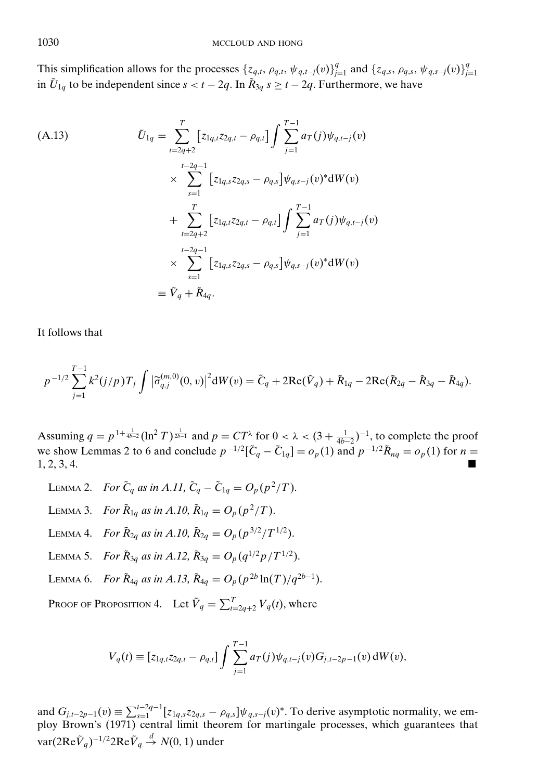This simplification allows for the processes  $\{z_{q,t}, \rho_{q,t}, \psi_{q,t-j}(v)\}_{j=1}^q$  and  $\{z_{q,s}, \rho_{q,s}, \psi_{q,s-j}(v)\}_{j=1}^q$ in  $\tilde{U}_{1q}$  to be independent since  $s < t - 2q$ . In  $\tilde{R}_{3q}$   $s \ge t - 2q$ . Furthermore, we have

(A.13)  
\n
$$
\tilde{U}_{1q} = \sum_{t=2q+2}^{T} [z_{1q,t}z_{2q,t} - \rho_{q,t}] \int \sum_{j=1}^{T-1} a_T(j)\psi_{q,t-j}(v)
$$
\n
$$
\times \sum_{s=1}^{t-2q-1} [z_{1q,s}z_{2q,s} - \rho_{q,s}] \psi_{q,s-j}(v)^* dW(v)
$$
\n
$$
+ \sum_{t=2q+2}^{T} [z_{1q,t}z_{2q,t} - \rho_{q,t}] \int \sum_{j=1}^{T-1} a_T(j)\psi_{q,t-j}(v)
$$
\n
$$
\times \sum_{s=1}^{t-2q-1} [z_{1q,s}z_{2q,s} - \rho_{q,s}] \psi_{q,s-j}(v)^* dW(v)
$$
\n
$$
\equiv \tilde{V}_q + \tilde{R}_{4q}.
$$

It follows that

$$
p^{-1/2}\sum_{j=1}^{T-1}k^2(j/p)T_j\int \left|\widetilde{\sigma}_{q,j}^{(m,0)}(0,v)\right|^2 dW(v) = \widetilde{C}_q + 2\text{Re}(\widetilde{V}_q) + \widetilde{R}_{1q} - 2\text{Re}(\widetilde{R}_{2q} - \widetilde{R}_{3q} - \widetilde{R}_{4q}).
$$

Assuming  $q = p^{1 + \frac{1}{4b-2}} (\ln^2 T)^{\frac{1}{2b-1}}$  and  $p = CT^{\lambda}$  for  $0 < \lambda < (3 + \frac{1}{4b-2})^{-1}$ , to complete the proof we show Lemmas 2 to 6 and conclude  $p^{-1/2}[\tilde{C}_q - \tilde{C}_{1q}] = o_p(1)$  and  $p^{-1/2}\tilde{R}_{nq} = o_p(1)$  for  $n =$  $1, 2, 3, 4.$ 

- LEMMA 2. *For*  $\tilde{C}_q$  *as in A.11,*  $\tilde{C}_q \tilde{C}_{1q} = O_p(p^2/T)$ . LEMMA 3. *For*  $\tilde{R}_{1q}$  *as in A.10,*  $\tilde{R}_{1q} = O_p(p^2/T)$ . LEMMA 4. *For*  $\tilde{R}_{2q}$  *as in A.10,*  $\tilde{R}_{2q} = O_p(p^{3/2}/T^{1/2})$ . LEMMA 5. *For*  $\tilde{R}_{3a}$  *as in A.12,*  $\tilde{R}_{3a} = O_p(q^{1/2}p/T^{1/2})$ . LEMMA 6. *For*  $\tilde{R}_{4q}$  *as in A.13*,  $\tilde{R}_{4q} = O_p(p^{2b} \ln(T)/q^{2b-1})$ .
- 

Proof of Proposition 4. Let  $\tilde{V}_q = \sum_{t=2q+2}^{T} V_q(t)$ , where

$$
V_q(t) \equiv [z_{1q,t}z_{2q,t} - \rho_{q,t}] \int \sum_{j=1}^{T-1} a_T(j) \psi_{q,t-j}(v) G_{j,t-2p-1}(v) dW(v),
$$

and  $G_{j,t-2p-1}(v) \equiv \sum_{s=1}^{t-2q-1} [z_{1q,s}z_{2q,s} - \rho_{q,s}] \psi_{q,s-j}(v)^*$ . To derive asymptotic normality, we employ Brown's (1971) central limit theorem for martingale processes, which guarantees that var(2Re $\tilde{V}_q$ )<sup>−1/2</sup>2Re $\tilde{V}_q \stackrel{d}{\rightarrow} N(0,1)$  under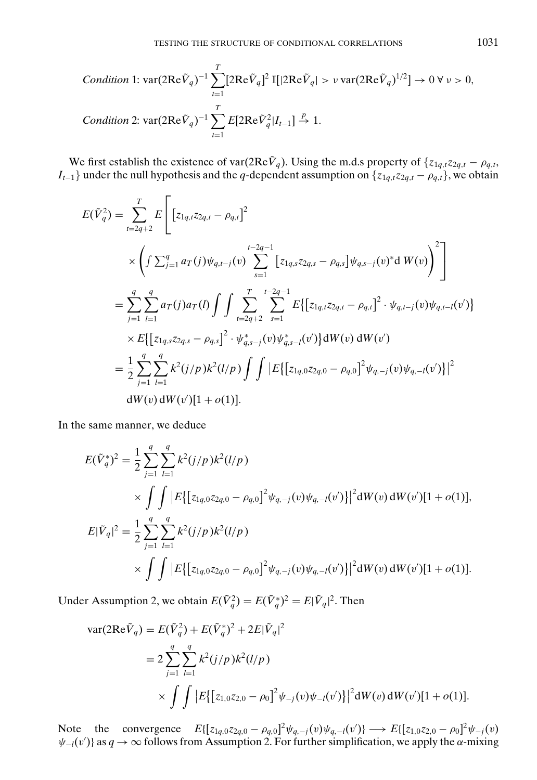Condition 1: 
$$
\text{var}(2\text{Re}\tilde{V}_q)^{-1} \sum_{t=1}^{T} [2\text{Re}\tilde{V}_q]^2 \mathbb{I}[|2\text{Re}\tilde{V}_q| > \nu \text{var}(2\text{Re}\tilde{V}_q)^{1/2}] \to 0 \ \forall \ \nu > 0,
$$
  
Condition 2:  $\text{var}(2\text{Re}\tilde{V}_q)^{-1} \sum_{t=1}^{T} E[2\text{Re}\tilde{V}_q^2|I_{t-1}] \xrightarrow{P} 1.$ 

We first establish the existence of var( $2\text{Re}\tilde{V}_q$ ). Using the m.d.s property of  $\{z_{1q,t}z_{2q,t} - \rho_{q,t}$ , *I*<sub>*t*−1</sub>} under the null hypothesis and the *q*-dependent assumption on {*z*<sub>1*q*</sub>,*tz*<sub>2*q*</sub>,*t* − *ρ*<sub>*q*</sub>,*t*}, we obtain

$$
E(\tilde{V}_q^2) = \sum_{t=2q+2}^T E \left[ \left[ z_{1q,t} z_{2q,t} - \rho_{q,t} \right]^2 \times \left( \int \sum_{j=1}^q a_T(j) \psi_{q,t-j}(v) \sum_{s=1}^{t-2q-1} \left[ z_{1q,s} z_{2q,s} - \rho_{q,s} \right] \psi_{q,s-j}(v)^* d W(v) \right)^2 \right]
$$
  
\n
$$
= \sum_{j=1}^q \sum_{l=1}^q a_T(j) a_T(l) \int \int \sum_{t=2q+2}^T \sum_{s=1}^{t-2q-1} E \left\{ \left[ z_{1q,t} z_{2q,t} - \rho_{q,t} \right]^2 \cdot \psi_{q,t-j}(v) \psi_{q,t-l}(v') \right\}
$$
  
\n
$$
\times E \left\{ \left[ z_{1q,s} z_{2q,s} - \rho_{q,s} \right]^2 \cdot \psi_{q,s-j}(v) \psi_{q,s-l}(v') \right\} dW(v) dW(v')
$$
  
\n
$$
= \frac{1}{2} \sum_{j=1}^q \sum_{l=1}^q k^2(j/p) k^2(l/p) \int \int |E \left\{ \left[ z_{1q,0} z_{2q,0} - \rho_{q,0} \right]^2 \psi_{q,-j}(v) \psi_{q,-l}(v') \right\} |^2 dW(v) dW(v') [1 + o(1)].
$$

In the same manner, we deduce

$$
E(\tilde{V}_q^*)^2 = \frac{1}{2} \sum_{j=1}^q \sum_{l=1}^q k^2 (j/p) k^2 (l/p)
$$
  
 
$$
\times \int \int |E\{ [z_{1q,0}z_{2q,0} - \rho_{q,0}]^2 \psi_{q,-j}(v) \psi_{q,-l}(v') \} |^2 dW(v) dW(v')[1+o(1)],
$$
  

$$
E|\tilde{V}_q|^2 = \frac{1}{2} \sum_{j=1}^q \sum_{l=1}^q k^2 (j/p) k^2 (l/p)
$$
  

$$
\times \int \int |E\{ [z_{1q,0}z_{2q,0} - \rho_{q,0}]^2 \psi_{q,-j}(v) \psi_{q,-l}(v') \} |^2 dW(v) dW(v')[1+o(1)].
$$

Under Assumption 2, we obtain  $E(\tilde{V}_q^2) = E(\tilde{V}_q^*)^2 = E|\tilde{V}_q|^2$ . Then

$$
\begin{split} \text{var}(2\text{Re}\tilde{V}_q) &= E(\tilde{V}_q^2) + E(\tilde{V}_q^*)^2 + 2E|\tilde{V}_q|^2 \\ &= 2\sum_{j=1}^q \sum_{l=1}^q k^2(j/p)k^2(l/p) \\ &\times \int \int |E\big\{ \big[z_{1,0}z_{2,0} - \rho_0\big]^2 \psi_{-j}(v)\psi_{-l}(v') \big\} \big|^2 \mathrm{d}W(v) \, \mathrm{d}W(v') [1 + o(1)]. \end{split}
$$

Note the convergence  $E\{[z_{1q,0}z_{2q,0} - \rho_{q,0}]^2 \psi_{q,-j}(v) \psi_{q,-l}(v')\} \longrightarrow E\{[z_{1,0}z_{2,0} - \rho_{0}]^2 \psi_{-j}(v)$  $\psi_{-l}(v')$ } as  $q \to \infty$  follows from Assumption 2. For further simplification, we apply the  $\alpha$ -mixing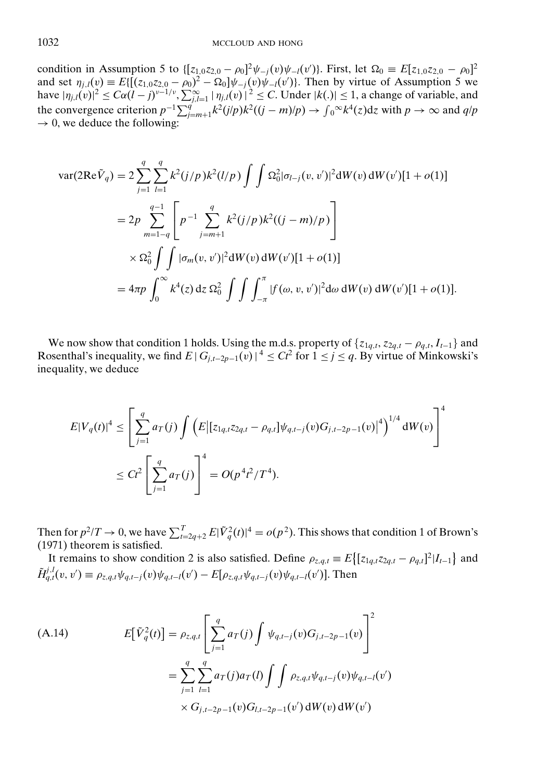condition in Assumption 5 to  $\{[z_{1,0}z_{2,0} - \rho_0]^2 \psi_{-j}(v) \psi_{-l}(v')\}$ . First, let  $\Omega_0 \equiv E[z_{1,0}z_{2,0} - \rho_0]^2$ and set  $\eta_{j,l}(v) \equiv E\{[(z_{1,0}z_{2,0} - \rho_0)^2 - \Omega_0]\psi_{-l}(v)\psi_{-l}(v')\}$ . Then by virtue of Assumption 5 we have  $|\eta_{j,l}(v)|^2 \leq C\alpha (l-j)^{v-1/v}$ ,  $\sum_{j,l=1}^{\infty} |\eta_{j,l}(v)|^2 \leq C$ . Under  $|k(.)| \leq 1$ , a change of variable, and the convergence criterion  $p^{-1} \sum_{j=m+1}^{q'} k^2 (j/p) k^2 ((j-m)/p) \to \int_0^\infty k^4(z) dz$  with  $p \to \infty$  and  $q/p$  $\rightarrow$  0, we deduce the following:

$$
\begin{split} \text{var}(2\mathrm{Re}\tilde{V}_{q}) &= 2\sum_{j=1}^{q} \sum_{l=1}^{q} k^{2}(j/p)k^{2}(l/p)\int\int\Omega_{0}^{2}|\sigma_{l-j}(v,v')|^{2}\mathrm{d}W(v)\,\mathrm{d}W(v')[1+o(1)] \\ &= 2p\sum_{m=1-q}^{q-1}\left[p^{-1}\sum_{j=m+1}^{q} k^{2}(j/p)k^{2}((j-m)/p)\right] \\ &\times \Omega_{0}^{2}\int\int|\sigma_{m}(v,v')|^{2}\mathrm{d}W(v)\,\mathrm{d}W(v')[1+o(1)] \\ &= 4\pi p\int_{0}^{\infty} k^{4}(z)\,\mathrm{d}z\,\Omega_{0}^{2}\int\int\int_{-\pi}^{\pi}|f(\omega,v,v')|^{2}\mathrm{d}\omega\,\mathrm{d}W(v)\,\mathrm{d}W(v')[1+o(1)]. \end{split}
$$

We now show that condition 1 holds. Using the m.d.s. property of  $\{z_{1q,t}, z_{2q,t} - \rho_{q,t}, I_{t-1}\}\$  and Rosenthal's inequality, we find  $E | G_{i,t-2p-1}(v) |^4 \leq Ct^2$  for  $1 \leq j \leq q$ . By virtue of Minkowski's inequality, we deduce

$$
E|V_q(t)|^4 \le \left[\sum_{j=1}^q a_T(j) \int \left(E\big|\big[z_{1q,t}z_{2q,t} - \rho_{q,t}\big]\psi_{q,t-j}(v)G_{j,t-2p-1}(v)\big|^4\right)^{1/4}dW(v)\right]^4
$$
  

$$
\le C t^2 \left[\sum_{j=1}^q a_T(j)\right]^4 = O(p^4 t^2/T^4).
$$

Then for  $p^2/T \to 0$ , we have  $\sum_{t=2q+2}^T E|\tilde{V}_q^2(t)|^4 = o(p^2)$ . This shows that condition 1 of Brown's (1971) theorem is satisfied.

It remains to show condition 2 is also satisfied. Define  $\rho_{z,q,t} \equiv E\left\{ [z_{1q,t}z_{2q,t} - \rho_{q,t}]^2 | I_{t-1} \right\}$  and  $\tilde{H}_{q,t}^{j,l}(v, v') \equiv \rho_{z,q,t} \psi_{q,t-j}(v) \psi_{q,t-l}(v') - E[\rho_{z,q,t} \psi_{q,t-j}(v) \psi_{q,t-l}(v')]$ . Then

(A.14)  
\n
$$
E[\tilde{V}_q^2(t)] = \rho_{z,q,t} \left[ \sum_{j=1}^q a_T(j) \int \psi_{q,t-j}(v) G_{j,t-2p-1}(v) \right]^2
$$
\n
$$
= \sum_{j=1}^q \sum_{l=1}^q a_T(j) a_T(l) \int \int \rho_{z,q,t} \psi_{q,t-j}(v) \psi_{q,t-l}(v') \times G_{j,t-2p-1}(v) G_{l,t-2p-1}(v') dW(v) dW(v')
$$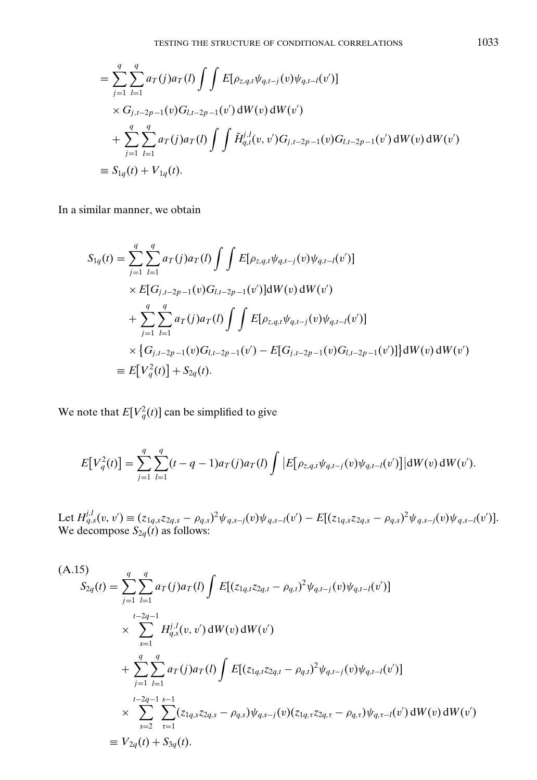$$
\begin{split}\n&= \sum_{j=1}^{q} \sum_{l=1}^{q} a_{T}(j) a_{T}(l) \int \int E[\rho_{z,q,l} \psi_{q,t-j}(v) \psi_{q,t-l}(v')] \\
&\times G_{j,t-2p-1}(v) G_{l,t-2p-1}(v') dW(v) dW(v') \\
&+ \sum_{j=1}^{q} \sum_{l=1}^{q} a_{T}(j) a_{T}(l) \int \int \tilde{H}_{q,t}^{j,l}(v,v') G_{j,t-2p-1}(v) G_{l,t-2p-1}(v') dW(v) dW(v') \\
&= S_{1q}(t) + V_{1q}(t).\n\end{split}
$$

In a similar manner, we obtain

$$
S_{1q}(t) = \sum_{j=1}^{q} \sum_{l=1}^{q} a_{T}(j) a_{T}(l) \int \int E[\rho_{z,q,t} \psi_{q,t-j}(v) \psi_{q,t-l}(v')] \times E[G_{j,t-2p-1}(v)G_{l,t-2p-1}(v')] dW(v) dW(v') + \sum_{j=1}^{q} \sum_{l=1}^{q} a_{T}(j) a_{T}(l) \int \int E[\rho_{z,q,t} \psi_{q,t-j}(v) \psi_{q,t-l}(v')] \times \{G_{j,t-2p-1}(v)G_{l,t-2p-1}(v') - E[G_{j,t-2p-1}(v)G_{l,t-2p-1}(v')] \} dW(v) dW(v') \equiv E[V_{q}^{2}(t)] + S_{2q}(t).
$$

We note that  $E[V_q^2(t)]$  can be simplified to give

$$
E[V_q^2(t)] = \sum_{j=1}^q \sum_{l=1}^q (t - q - 1) a_T(j) a_T(l) \int |E[\rho_{z,q,t} \psi_{q,t-j}(v) \psi_{q,t-l}(v')] dW(v) dW(v').
$$

Let  $H_{q,s}^{j,l}(v, v') \equiv (z_{1q,s}z_{2q,s} - \rho_{q,s})^2 \psi_{q,s-j}(v) \psi_{q,s-l}(v') - E[(z_{1q,s}z_{2q,s} - \rho_{q,s})^2 \psi_{q,s-j}(v) \psi_{q,s-l}(v')]$ . We decompose  $S_{2q}(t)$  as follows:

$$
(A.15) \nS_{2q}(t) = \sum_{j=1}^{q} \sum_{l=1}^{q} a_T(j) a_T(l) \int E[(z_{1q,t} z_{2q,t} - \rho_{q,t})^2 \psi_{q,t-j}(v) \psi_{q,t-l}(v')] \n\times \sum_{s=1}^{t-2q-1} H_{q,s}^{j,l}(v, v') dW(v) dW(v')
$$
\n
$$
+ \sum_{j=1}^{q} \sum_{l=1}^{q} a_T(j) a_T(l) \int E[(z_{1q,t} z_{2q,t} - \rho_{q,t})^2 \psi_{q,t-j}(v) \psi_{q,t-l}(v')] \n\times \sum_{s=2}^{t-2q-1} \sum_{\tau=1}^{s-1} (z_{1q,s} z_{2q,s} - \rho_{q,s}) \psi_{q,s-j}(v) (z_{1q,\tau} z_{2q,\tau} - \rho_{q,\tau}) \psi_{q,\tau-l}(v') dW(v) dW(v')
$$
\n
$$
\equiv V_{2q}(t) + S_{3q}(t).
$$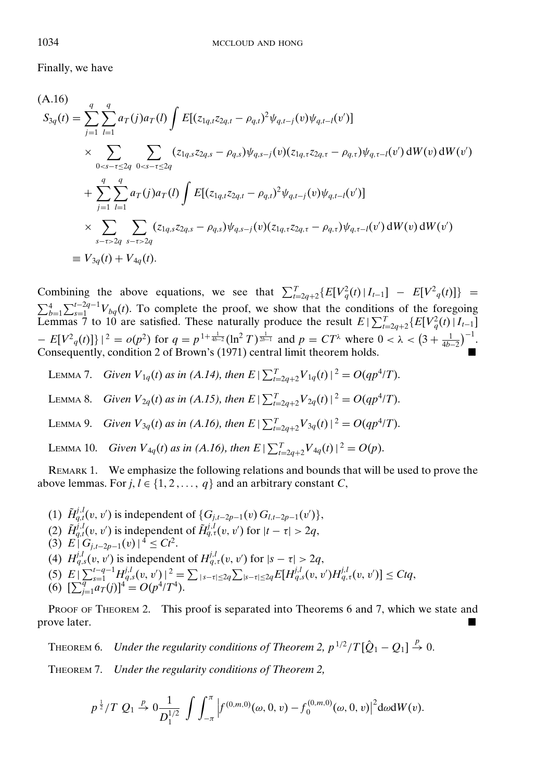Finally, we have

$$
(A.16)
$$
\n
$$
S_{3q}(t) = \sum_{j=1}^{q} \sum_{l=1}^{q} a_{T}(j) a_{T}(l) \int E[(z_{1q,t}z_{2q,t} - \rho_{q,t})^{2} \psi_{q,t-j}(v) \psi_{q,t-l}(v')] \times \sum_{0 < s-t \le 2q} \sum_{0 < s-t \le 2q} (z_{1q,s}z_{2q,s} - \rho_{q,s}) \psi_{q,s-j}(v) (z_{1q,\tau}z_{2q,\tau} - \rho_{q,\tau}) \psi_{q,\tau-l}(v') dW(v) dW(v')
$$
\n
$$
+ \sum_{j=1}^{q} \sum_{l=1}^{q} a_{T}(j) a_{T}(l) \int E[(z_{1q,t}z_{2q,t} - \rho_{q,t})^{2} \psi_{q,t-j}(v) \psi_{q,t-l}(v')] \times \sum_{s-t > 2q} \sum_{s-t > 2q} (z_{1q,s}z_{2q,s} - \rho_{q,s}) \psi_{q,s-j}(v) (z_{1q,\tau}z_{2q,\tau} - \rho_{q,\tau}) \psi_{q,\tau-l}(v') dW(v) dW(v')
$$
\n
$$
\equiv V_{3q}(t) + V_{4q}(t).
$$

Combining the above equations, we see that  $\sum_{t=2q+2}^{T} {E[V_q^2(t) | I_{t-1}]} - E[V_q^2(t)] =$  $\sum_{b=1}^{4} \sum_{s=1}^{t-2q-1} V_{bq}(t)$ . To complete the proof, we show that the conditions of the foregoing Lemmas 7 to 10 are satisfied. These naturally produce the result  $E\left[\sum_{t=2q+2}^{T} \{E[V_q^2(t) | I_{t-1}]\}\right]$  $- E[V^2_q(t)] \} |^2 = o(p^2)$  for  $q = p^{1 + \frac{1}{4b-2}} (\ln^2 T)^{\frac{1}{2b-1}}$  and  $p = CT^{\lambda}$  where  $0 < \lambda < (3 + \frac{1}{4b-2})^{-1}$ . Consequently, condition 2 of Brown's (1971) central limit theorem holds.

LEMMA 7. *Given*  $V_{1q}(t)$  *as in* (*A.14*), then  $E | \sum_{t=2q+2}^{T} V_{1q}(t) |^2 = O(q p^4 / T)$ .

LEMMA 8. *Given*  $V_{2q}(t)$  *as in* (*A.15*), then  $E | \sum_{t=2q+2}^{T} V_{2q}(t) |^2 = O(qp^4/T)$ .

LEMMA 9. *Given*  $V_{3q}(t)$  *as in* (*A.16*), then  $E | \sum_{t=2q+2}^{T} V_{3q}(t) |^2 = O(qp^4/T)$ .

LEMMA 10. *Given*  $V_{4q}(t)$  *as in* (*A.16*), then  $E | \sum_{t=2q+2}^{T} V_{4q}(t) |^2 = O(p)$ .

REMARK 1. We emphasize the following relations and bounds that will be used to prove the above lemmas. For  $j, l \in \{1, 2, ..., q\}$  and an arbitrary constant *C*,

- (1)  $\tilde{H}_{q,t}^{j,l}(v, v')$  is independent of  $\{G_{j,t-2p-1}(v) G_{l,t-2p-1}(v')\},$
- (2)  $\tilde{H}_{q,t}^{j,l}(v, v')$  is independent of  $\tilde{H}_{q,t}^{j,l}(v, v')$  for  $|t \tau| > 2q$ ,
- $(3)$   $E \mid G_{i,t-2p-1}(v) \mid^4 \leq Ct^2$ .
- (4)  $H_{q,s}^{j,l}(v, v')$  is independent of  $H_{q,t}^{j,l}(v, v')$  for  $|s \tau| > 2q$ ,
- (5)  $E|\sum_{s=1}^{t-q-1} H_{q,s}^{j,l}(v,v')|^2 = \sum_{|s-\tau|\leq 2q} \sum_{|s-\tau|\leq 2q} E[H_{q,s}^{j,l}(v,v')H_{q,\tau}^{j,l}(v,v')] \leq C t q,$
- (6)  $[\sum_{j=1}^{q} a_T(j)]^4 = O(p^4/T^4).$

PROOF OF THEOREM 2. This proof is separated into Theorems 6 and 7, which we state and prove later.

THEOREM 6. *Under the regularity conditions of Theorem 2,*  $p^{1/2}/T[\hat{Q}_1 - Q_1] \stackrel{p}{\rightarrow} 0$ *.* 

THEOREM 7. *Under the regularity conditions of Theorem 2,*

$$
p^{\frac{1}{2}}/T Q_1 \stackrel{p}{\rightarrow} 0 \frac{1}{D_1^{1/2}} \int \int_{-\pi}^{\pi} \left| f^{(0,m,0)}(\omega,0,v) - f_0^{(0,m,0)}(\omega,0,v) \right|^2 d\omega dW(v).
$$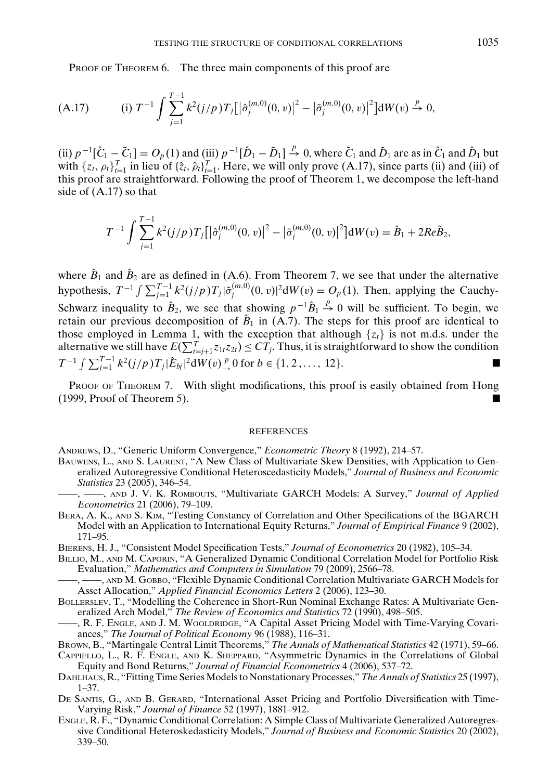PROOF OF THEOREM 6. The three main components of this proof are

(A.17) (i) 
$$
T^{-1} \int \sum_{j=1}^{T-1} k^2 (j/p) T_j [\left| \hat{\sigma}_j^{(m,0)}(0,v) \right|^2 - \left| \tilde{\sigma}_j^{(m,0)}(0,v) \right|^2] dW(v) \stackrel{p}{\to} 0,
$$

(ii)  $p^{-1}[\hat{C}_1 - \tilde{C}_1] = O_p(1)$  and (iii)  $p^{-1}[\hat{D}_1 - \tilde{D}_1] \stackrel{p}{\rightarrow} 0$ , where  $\tilde{C}_1$  and  $\tilde{D}_1$  are as in  $\hat{C}_1$  and  $\hat{D}_1$  but with  $\{z_t, \rho_t\}_{t=1}^T$  in lieu of  $\{\hat{z}_t, \hat{\rho}_t\}_{t=1}^T$ . Here, we will only prove (A.17), since parts (ii) and (iii) of this proof are straightforward. Following the proof of Theorem 1, we decompose the left-hand side of (A.17) so that

$$
T^{-1} \int \sum_{j=1}^{T-1} k^2 (j/p) T_j [\left| \hat{\sigma}_j^{(m,0)}(0,v) \right|^2 - \left| \tilde{\sigma}_j^{(m,0)}(0,v) \right|^2] dW(v) = \hat{B}_1 + 2Re \hat{B}_2,
$$

where  $\hat{B}_1$  and  $\hat{B}_2$  are as defined in (A.6). From Theorem 7, we see that under the alternative hypothesis,  $T^{-1} \int \sum_{j=1}^{T-1} k^2 (j/p) T_j |\tilde{\sigma}_j^{(m,0)}(0, v)|^2 dW(v) = O_p(1)$ . Then, applying the Cauchy-Schwarz inequality to  $\hat{B}_2$ , we see that showing  $p^{-1}\hat{B}_1 \stackrel{p}{\rightarrow} 0$  will be sufficient. To begin, we retain our previous decomposition of  $\hat{B}_1$  in (A.7). The steps for this proof are identical to those employed in Lemma 1, with the exception that although  $\{z_t\}$  is not m.d.s. under the alternative we still have  $E(\sum_{t=j+1}^{T} z_{1t}z_{2t}) \le CT_j$ . Thus, it is straightforward to show the condition *T*<sup>−1</sup>  $\int \sum_{j=1}^{T-1} k^2(j/p) T_j |\hat{E}_{bj}|^2 dW(v) \frac{p}{p}$  o for *b* ∈ {1, 2, ..., 12}.

PROOF OF THEOREM 7. With slight modifications, this proof is easily obtained from Hong  $(1999, \text{Proof of Theorem 5}).$ 

#### REFERENCES

ANDREWS, D., "Generic Uniform Convergence," *Econometric Theory* 8 (1992), 214–57.

- BAUWENS, L., AND S. LAURENT, "A New Class of Multivariate Skew Densities, with Application to Generalized Autoregressive Conditional Heteroscedasticity Models," *Journal of Business and Economic Statistics* 23 (2005), 346–54.
- ——, ——, AND J. V. K. ROMBOUTS, "Multivariate GARCH Models: A Survey," *Journal of Applied Econometrics* 21 (2006), 79–109.
- BERA, A. K., AND S. KIM, "Testing Constancy of Correlation and Other Specifications of the BGARCH Model with an Application to International Equity Returns," *Journal of Empirical Finance* 9 (2002), 171–95.

BIERENS, H. J., "Consistent Model Specification Tests," *Journal of Econometrics* 20 (1982), 105–34.

- BILLIO, M., AND M. CAPORIN, "A Generalized Dynamic Conditional Correlation Model for Portfolio Risk Evaluation," *Mathematics and Computers in Simulation* 79 (2009), 2566–78.
- ——, ——, AND M. GOBBO, "Flexible Dynamic Conditional Correlation Multivariate GARCH Models for Asset Allocation," *Applied Financial Economics Letters* 2 (2006), 123–30.
- BOLLERSLEV, T., "Modelling the Coherence in Short-Run Nominal Exchange Rates: A Multivariate Generalized Arch Model," *The Review of Economics and Statistics* 72 (1990), 498–505.
- , R. F. ENGLE, AND J. M. WOOLDRIDGE, "A Capital Asset Pricing Model with Time-Varying Covariances," *The Journal of Political Economy* 96 (1988), 116–31.
- BROWN, B., "Martingale Central Limit Theorems," *The Annals of Mathematical Statistics* 42 (1971), 59–66.
- CAPPIELLO, L., R. F. ENGLE, AND K. SHEPPARD, "Asymmetric Dynamics in the Correlations of Global Equity and Bond Returns," *Journal of Financial Econometrics* 4 (2006), 537–72.
- DAHLHAUS, R., "Fitting Time Series Models to Nonstationary Processes,"*The Annals of Statistics* 25 (1997), 1–37.
- DE SANTIS, G., AND B. GERARD, "International Asset Pricing and Portfolio Diversification with Time-Varying Risk," *Journal of Finance* 52 (1997), 1881–912.
- ENGLE, R. F., "Dynamic Conditional Correlation: A Simple Class of Multivariate Generalized Autoregressive Conditional Heteroskedasticity Models," *Journal of Business and Economic Statistics* 20 (2002), 339–50.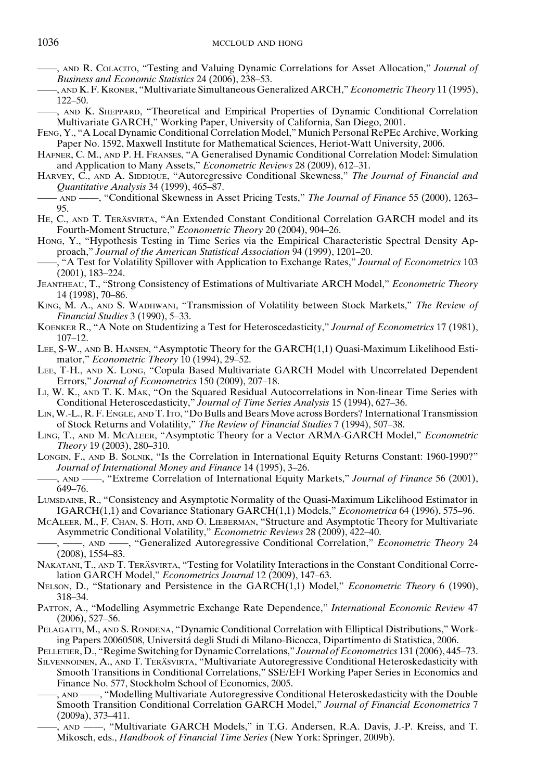- ——, AND R. COLACITO, "Testing and Valuing Dynamic Correlations for Asset Allocation," *Journal of Business and Economic Statistics* 24 (2006), 238–53.
- ——, AND K. F. KRONER, "Multivariate Simultaneous Generalized ARCH," *Econometric Theory* 11 (1995), 122–50.
- ——, AND K. SHEPPARD, "Theoretical and Empirical Properties of Dynamic Conditional Correlation Multivariate GARCH," Working Paper, University of California, San Diego, 2001.
- FENG, Y., "A Local Dynamic Conditional Correlation Model," Munich Personal RePEc Archive, Working Paper No. 1592, Maxwell Institute for Mathematical Sciences, Heriot-Watt University, 2006.
- HAFNER, C. M., AND P. H. FRANSES, "A Generalised Dynamic Conditional Correlation Model: Simulation and Application to Many Assets," *Econometric Reviews* 28 (2009), 612–31.
- HARVEY, C., AND A. SIDDIQUE, "Autoregressive Conditional Skewness," *The Journal of Financial and Quantitative Analysis* 34 (1999), 465–87.
- —— AND ——, "Conditional Skewness in Asset Pricing Tests," *The Journal of Finance* 55 (2000), 1263– 95.
- HE, C., AND T. TERÄSVIRTA, "An Extended Constant Conditional Correlation GARCH model and its Fourth-Moment Structure," *Econometric Theory* 20 (2004), 904–26.
- HONG, Y., "Hypothesis Testing in Time Series via the Empirical Characteristic Spectral Density Approach," *Journal of the American Statistical Association* 94 (1999), 1201–20.
- ——, "A Test for Volatility Spillover with Application to Exchange Rates," *Journal of Econometrics* 103 (2001), 183–224.
- JEANTHEAU, T., "Strong Consistency of Estimations of Multivariate ARCH Model," *Econometric Theory* 14 (1998), 70–86.
- KING, M. A., AND S. WADHWANI, "Transmission of Volatility between Stock Markets," *The Review of Financial Studies* 3 (1990), 5–33.
- KOENKER R., "A Note on Studentizing a Test for Heteroscedasticity," *Journal of Econometrics* 17 (1981), 107–12.
- LEE, S-W., AND B. HANSEN, "Asymptotic Theory for the GARCH(1,1) Quasi-Maximum Likelihood Estimator," *Econometric Theory* 10 (1994), 29–52.
- LEE, T-H., AND X. LONG, "Copula Based Multivariate GARCH Model with Uncorrelated Dependent Errors," *Journal of Econometrics* 150 (2009), 207–18.
- LI, W. K., AND T. K. MAK, "On the Squared Residual Autocorrelations in Non-linear Time Series with Conditional Heteroscedasticity," *Journal of Time Series Analysis* 15 (1994), 627–36.
- LIN, W.-L., R. F. ENGLE, AND T. ITO, "Do Bulls and Bears Move across Borders? International Transmission of Stock Returns and Volatility," *The Review of Financial Studies* 7 (1994), 507–38.
- LING, T., AND M. MCALEER, "Asymptotic Theory for a Vector ARMA-GARCH Model," *Econometric Theory* 19 (2003), 280–310.
- LONGIN, F., AND B. SOLNIK, "Is the Correlation in International Equity Returns Constant: 1960-1990?" *Journal of International Money and Finance* 14 (1995), 3–26.
- ——, AND ——, "Extreme Correlation of International Equity Markets," *Journal of Finance* 56 (2001), 649–76.
- LUMSDAINE, R., "Consistency and Asymptotic Normality of the Quasi-Maximum Likelihood Estimator in IGARCH(1,1) and Covariance Stationary GARCH(1,1) Models," *Econometrica* 64 (1996), 575–96.
- MCALEER, M., F. CHAN, S. HOTI, AND O. LIEBERMAN, "Structure and Asymptotic Theory for Multivariate Asymmetric Conditional Volatility," *Econometric Reviews* 28 (2009), 422–40.
- ——, ——, AND ——, "Generalized Autoregressive Conditional Correlation," *Econometric Theory* 24 (2008), 1554–83.
- NAKATANI, T., AND T. TERÄSVIRTA, "Testing for Volatility Interactions in the Constant Conditional Correlation GARCH Model," *Econometrics Journal* 12 (2009), 147–63.
- NELSON, D., "Stationary and Persistence in the GARCH(1,1) Model," *Econometric Theory* 6 (1990), 318–34.
- PATTON, A., "Modelling Asymmetric Exchange Rate Dependence," *International Economic Review* 47 (2006), 527–56.
- PELAGATTI, M., AND S. RONDENA, "Dynamic Conditional Correlation with Elliptical Distributions," Working Papers 20060508, Universita degli Studi di Milano-Bicocca, Dipartimento di Statistica, 2006. ´
- PELLETIER, D., "Regime Switching for Dynamic Correlations," *Journal of Econometrics* 131 (2006), 445–73.
- SILVENNOINEN, A., AND T. TERÄSVIRTA, "Multivariate Autoregressive Conditional Heteroskedasticity with Smooth Transitions in Conditional Correlations," SSE/EFI Working Paper Series in Economics and Finance No. 577, Stockholm School of Economics, 2005.
- ——, AND ——, "Modelling Multivariate Autoregressive Conditional Heteroskedasticity with the Double Smooth Transition Conditional Correlation GARCH Model," *Journal of Financial Econometrics* 7 (2009a), 373–411.
	- ——, AND ——, "Multivariate GARCH Models," in T.G. Andersen, R.A. Davis, J.-P. Kreiss, and T. Mikosch, eds., *Handbook of Financial Time Series* (New York: Springer, 2009b).